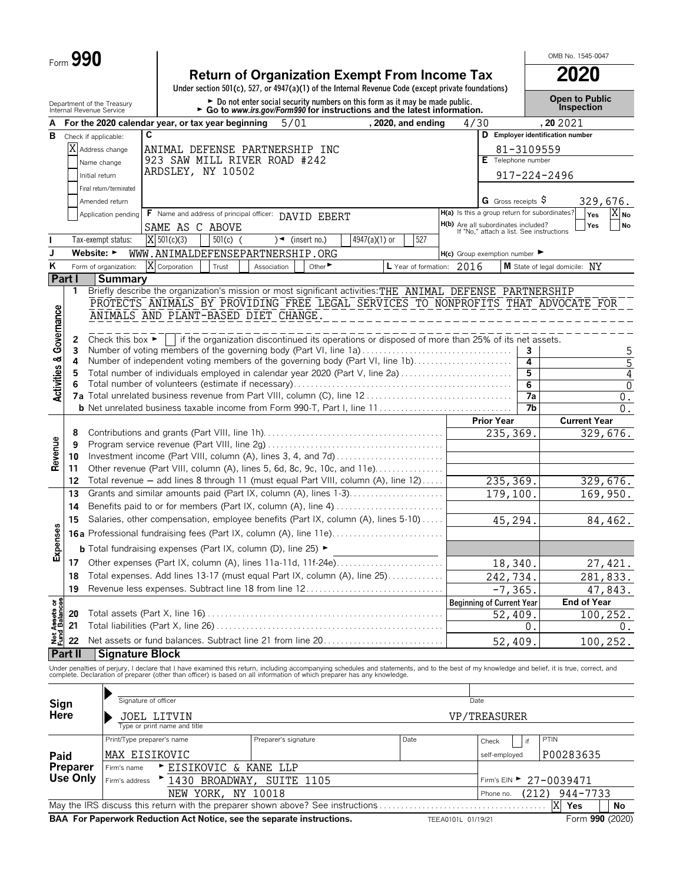|                                    | Form 990                                                                                                        |                                                                                                                                      |            |             |                               |                       |                 |                                                                                                                                                            |                                                     |                                                                                 | OMB No. 1545-0047                                                                 |                  |  |
|------------------------------------|-----------------------------------------------------------------------------------------------------------------|--------------------------------------------------------------------------------------------------------------------------------------|------------|-------------|-------------------------------|-----------------------|-----------------|------------------------------------------------------------------------------------------------------------------------------------------------------------|-----------------------------------------------------|---------------------------------------------------------------------------------|-----------------------------------------------------------------------------------|------------------|--|
|                                    |                                                                                                                 |                                                                                                                                      |            |             |                               |                       |                 | <b>Return of Organization Exempt From Income Tax</b><br>Under section 501(c), 527, or 4947(a)(1) of the Internal Revenue Code (except private foundations) |                                                     |                                                                                 | 2020                                                                              |                  |  |
|                                    | Department of the Treasury<br>Internal Revenue Service                                                          |                                                                                                                                      |            |             |                               |                       |                 | Do not enter social security numbers on this form as it may be made public.<br>Go to www.irs.gov/Form990 for instructions and the latest information.      |                                                     |                                                                                 | <b>Open to Public</b><br><b>Inspection</b>                                        |                  |  |
| А                                  | For the 2020 calendar year, or tax year beginning                                                               |                                                                                                                                      |            |             | 5/01                          |                       |                 | , 2020, and ending                                                                                                                                         | 4/30                                                |                                                                                 | ,20 20 21                                                                         |                  |  |
| в                                  | Check if applicable:                                                                                            | C                                                                                                                                    |            |             |                               |                       |                 |                                                                                                                                                            |                                                     |                                                                                 | D Employer identification number                                                  |                  |  |
|                                    | Address change                                                                                                  | ANIMAL DEFENSE PARTNERSHIP INC                                                                                                       |            |             |                               |                       |                 |                                                                                                                                                            |                                                     | 81-3109559                                                                      |                                                                                   |                  |  |
|                                    | Name change                                                                                                     | 923 SAW MILL RIVER ROAD #242                                                                                                         |            |             |                               |                       |                 |                                                                                                                                                            |                                                     | $E$ Telephone number                                                            |                                                                                   |                  |  |
|                                    | Initial return                                                                                                  | ARDSLEY, NY 10502                                                                                                                    |            |             |                               |                       |                 |                                                                                                                                                            |                                                     | 917-224-2496                                                                    |                                                                                   |                  |  |
|                                    | Final return/terminated                                                                                         |                                                                                                                                      |            |             |                               |                       |                 |                                                                                                                                                            |                                                     |                                                                                 |                                                                                   |                  |  |
|                                    | Amended return                                                                                                  |                                                                                                                                      |            |             |                               |                       |                 |                                                                                                                                                            |                                                     | G Gross receipts $\ddot{\varphi}$                                               | 329,676.                                                                          |                  |  |
|                                    | Application pending                                                                                             | F Name and address of principal officer: DAVID EBERT                                                                                 |            |             |                               |                       |                 |                                                                                                                                                            |                                                     | H(a) Is this a group return for subordinates?                                   | Yes                                                                               | A No             |  |
|                                    |                                                                                                                 | SAME AS C ABOVE                                                                                                                      |            |             |                               |                       |                 |                                                                                                                                                            |                                                     | H(b) Are all subordinates included?<br>If "No," attach a list. See instructions | Yes                                                                               | <b>No</b>        |  |
|                                    | Tax-exempt status:                                                                                              | $X$ 501(c)(3)                                                                                                                        | $501(c)$ ( |             | $\sqrt{\bullet}$ (insert no.) |                       | $4947(a)(1)$ or | 527                                                                                                                                                        |                                                     |                                                                                 |                                                                                   |                  |  |
|                                    | Website: $\blacktriangleright$                                                                                  | WWW.ANIMALDEFENSEPARTNERSHIP.ORG                                                                                                     |            |             |                               |                       |                 |                                                                                                                                                            | $H(c)$ Group exemption number $\blacktriangleright$ |                                                                                 |                                                                                   |                  |  |
| ĸ                                  | Form of organization:                                                                                           | X Corporation                                                                                                                        | Trust      | Association |                               | Other <sup>&gt;</sup> |                 | L Year of formation: 2016                                                                                                                                  |                                                     |                                                                                 | M State of legal domicile: NY                                                     |                  |  |
|                                    | Part I<br><b>Summary</b>                                                                                        |                                                                                                                                      |            |             |                               |                       |                 |                                                                                                                                                            |                                                     |                                                                                 |                                                                                   |                  |  |
|                                    | Briefly describe the organization's mission or most significant activities: THE ANIMAL DEFENSE PARTNERSHIP<br>1 |                                                                                                                                      |            |             |                               |                       |                 |                                                                                                                                                            |                                                     |                                                                                 |                                                                                   |                  |  |
|                                    |                                                                                                                 |                                                                                                                                      |            |             |                               |                       |                 |                                                                                                                                                            |                                                     |                                                                                 | PROTECTS ANIMALS BY PROVIDING FREE LEGAL SERVICES TO NONPROFITS THAT ADVOCATE FOR |                  |  |
|                                    | ANIMALS AND PLANT-BASED DIET CHANGE.                                                                            |                                                                                                                                      |            |             |                               |                       |                 |                                                                                                                                                            |                                                     |                                                                                 |                                                                                   |                  |  |
| <b>Activities &amp; Governance</b> | Check this box $\blacktriangleright$<br>2                                                                       |                                                                                                                                      |            |             |                               |                       |                 | if the organization discontinued its operations or disposed of more than 25% of its net assets.                                                            |                                                     |                                                                                 |                                                                                   |                  |  |
|                                    | Number of voting members of the governing body (Part VI, line 1a)<br>3                                          |                                                                                                                                      |            |             |                               |                       |                 |                                                                                                                                                            |                                                     | 3                                                                               |                                                                                   | 5                |  |
|                                    | Number of independent voting members of the governing body (Part VI, line 1b)<br>4                              |                                                                                                                                      |            |             |                               |                       |                 |                                                                                                                                                            |                                                     | 4                                                                               |                                                                                   | 5                |  |
|                                    | Total number of individuals employed in calendar year 2020 (Part V, line 2a)<br>5                               |                                                                                                                                      |            |             |                               |                       |                 |                                                                                                                                                            |                                                     | 5                                                                               |                                                                                   | 4                |  |
|                                    |                                                                                                                 |                                                                                                                                      |            |             |                               |                       |                 |                                                                                                                                                            |                                                     | 6                                                                               |                                                                                   | $\overline{0}$   |  |
|                                    |                                                                                                                 |                                                                                                                                      |            |             |                               |                       |                 |                                                                                                                                                            |                                                     | 7a                                                                              |                                                                                   | $\overline{0}$ . |  |
|                                    |                                                                                                                 |                                                                                                                                      |            |             |                               |                       |                 |                                                                                                                                                            |                                                     | 7b                                                                              |                                                                                   | 0.               |  |
|                                    |                                                                                                                 |                                                                                                                                      |            |             |                               |                       |                 |                                                                                                                                                            | <b>Prior Year</b>                                   |                                                                                 | <b>Current Year</b>                                                               |                  |  |
|                                    | 8                                                                                                               |                                                                                                                                      |            |             |                               |                       |                 |                                                                                                                                                            |                                                     | 235,369.                                                                        |                                                                                   | 329,676.         |  |
|                                    | 9<br>Investment income (Part VIII, column (A), lines 3, 4, and 7d)<br>10                                        |                                                                                                                                      |            |             |                               |                       |                 |                                                                                                                                                            |                                                     |                                                                                 |                                                                                   |                  |  |
| Revenue                            | Other revenue (Part VIII, column (A), lines 5, 6d, 8c, 9c, 10c, and 11e)<br>11                                  |                                                                                                                                      |            |             |                               |                       |                 |                                                                                                                                                            |                                                     |                                                                                 |                                                                                   |                  |  |
|                                    | Total revenue - add lines 8 through 11 (must equal Part VIII, column (A), line 12)<br>12                        |                                                                                                                                      |            |             |                               |                       |                 |                                                                                                                                                            |                                                     | 235,369.                                                                        |                                                                                   | 329,676.         |  |
|                                    | 13                                                                                                              |                                                                                                                                      |            |             |                               |                       |                 |                                                                                                                                                            |                                                     | 179,100.                                                                        |                                                                                   | 169,950.         |  |
|                                    | 14                                                                                                              |                                                                                                                                      |            |             |                               |                       |                 |                                                                                                                                                            |                                                     |                                                                                 |                                                                                   |                  |  |
|                                    | Salaries, other compensation, employee benefits (Part IX, column (A), lines 5-10)<br>15                         |                                                                                                                                      |            |             |                               |                       |                 |                                                                                                                                                            |                                                     | 45,294.                                                                         |                                                                                   | 84,462.          |  |
| S,<br>ق                            |                                                                                                                 |                                                                                                                                      |            |             |                               |                       |                 |                                                                                                                                                            |                                                     |                                                                                 |                                                                                   |                  |  |
|                                    |                                                                                                                 |                                                                                                                                      |            |             |                               |                       |                 |                                                                                                                                                            |                                                     |                                                                                 |                                                                                   |                  |  |
| Expense                            |                                                                                                                 | <b>b</b> Total fundraising expenses (Part IX, column (D), line 25) ►<br>Other expenses (Part IX, column (A), lines 11a-11d, 11f-24e) |            |             |                               |                       |                 |                                                                                                                                                            |                                                     |                                                                                 |                                                                                   |                  |  |
|                                    | 17                                                                                                              |                                                                                                                                      |            |             |                               |                       |                 |                                                                                                                                                            |                                                     | 18,340.                                                                         |                                                                                   | 27,421.          |  |
|                                    | Total expenses. Add lines 13-17 (must equal Part IX, column (A), line 25)<br>18                                 |                                                                                                                                      |            |             |                               |                       |                 |                                                                                                                                                            |                                                     | 242,734.                                                                        | 281,833.                                                                          |                  |  |
|                                    | Revenue less expenses. Subtract line 18 from line 12<br>19                                                      |                                                                                                                                      |            |             |                               |                       |                 |                                                                                                                                                            |                                                     | $-7, 365.$                                                                      |                                                                                   | 47,843.          |  |
|                                    |                                                                                                                 |                                                                                                                                      |            |             |                               |                       |                 |                                                                                                                                                            | <b>Beginning of Current Year</b>                    |                                                                                 | <b>End of Year</b>                                                                |                  |  |
| Net Assets or<br>Fund Balances     | 20                                                                                                              |                                                                                                                                      |            |             |                               |                       |                 |                                                                                                                                                            |                                                     | 52,409.                                                                         |                                                                                   | 100,252.         |  |
|                                    | 21                                                                                                              |                                                                                                                                      |            |             |                               |                       |                 |                                                                                                                                                            |                                                     | 0.                                                                              |                                                                                   | 0.               |  |
|                                    | Net assets or fund balances. Subtract line 21 from line 20<br>22                                                |                                                                                                                                      |            |             |                               |                       |                 |                                                                                                                                                            |                                                     | 52,409.                                                                         |                                                                                   | 100, 252.        |  |

**Part II Signature Block**

Under penalties of perjury, I declare that I have examined this return, including accompanying schedules and statements, and to the best of my knowledge and belief, it is true, correct, and<br>complete. Declaration of prepare

|              | Signature of officer                                                            |                      |                         | Date                       |          |  |  |
|--------------|---------------------------------------------------------------------------------|----------------------|-------------------------|----------------------------|----------|--|--|
| Sign<br>Here | JOEL LITVIN                                                                     |                      | VP/TREASURER            |                            |          |  |  |
|              | Type or print name and title                                                    |                      |                         |                            |          |  |  |
|              | Print/Type preparer's name                                                      | Preparer's signature | Date                    | l if<br>Check              | PTIN     |  |  |
| Paid         | MAX EISIKOVIC                                                                   |                      |                         | P00283635<br>self-employed |          |  |  |
| Preparer     | EISIKOVIC & KANE LLP<br>Firm's name                                             |                      |                         |                            |          |  |  |
| Use Only     | L1430 BROADWAY, SUITE 1105<br>Firm's address                                    |                      | Firm's EIN > 27-0039471 |                            |          |  |  |
|              | NEW YORK, NY 10018                                                              |                      |                         | (212)<br>Phone no.         | 944-7733 |  |  |
|              | May the IRS discuss this return with the preparer shown above? See instructions |                      |                         | X<br>Yes                   | No       |  |  |
|              | BAA For Paperwork Reduction Act Notice, see the separate instructions.          | TEEA0101L 01/19/21   |                         | Form 990 (2020)            |          |  |  |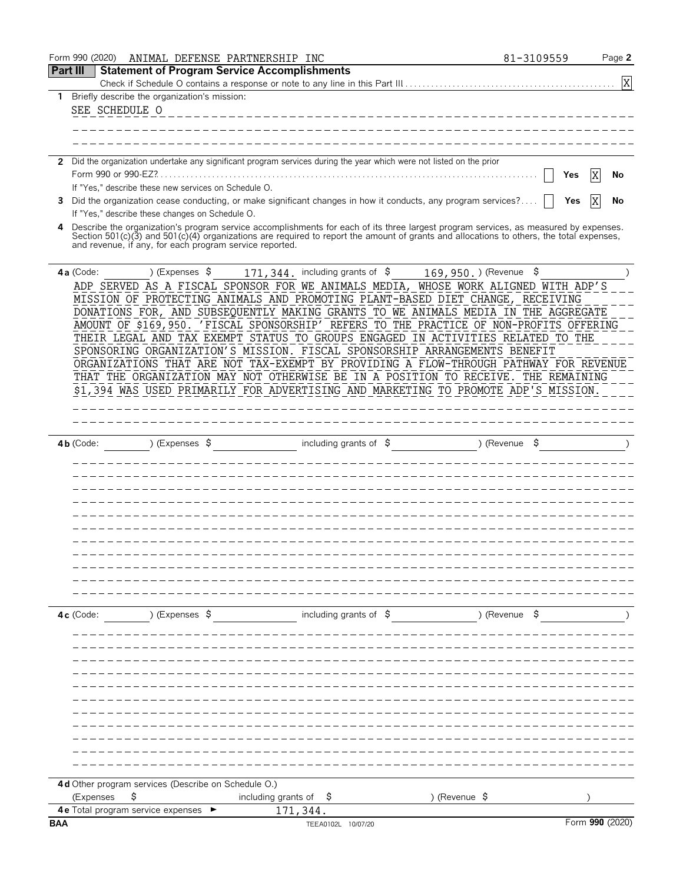| Form 990 (2020) | ANIMAL DEFENSE PARTNERSHIP INC                          |                                                                                                                    | 81-3109559                                                                                                                                                                                                                                                                                                                                                                                                                                                                                                                                                                                                                                                                                                      | Page 2          |
|-----------------|---------------------------------------------------------|--------------------------------------------------------------------------------------------------------------------|-----------------------------------------------------------------------------------------------------------------------------------------------------------------------------------------------------------------------------------------------------------------------------------------------------------------------------------------------------------------------------------------------------------------------------------------------------------------------------------------------------------------------------------------------------------------------------------------------------------------------------------------------------------------------------------------------------------------|-----------------|
| <b>Part III</b> | <b>Statement of Program Service Accomplishments</b>     |                                                                                                                    |                                                                                                                                                                                                                                                                                                                                                                                                                                                                                                                                                                                                                                                                                                                 |                 |
|                 |                                                         |                                                                                                                    |                                                                                                                                                                                                                                                                                                                                                                                                                                                                                                                                                                                                                                                                                                                 | X               |
| 1               | Briefly describe the organization's mission:            |                                                                                                                    |                                                                                                                                                                                                                                                                                                                                                                                                                                                                                                                                                                                                                                                                                                                 |                 |
|                 | SEE SCHEDULE O                                          |                                                                                                                    |                                                                                                                                                                                                                                                                                                                                                                                                                                                                                                                                                                                                                                                                                                                 |                 |
|                 |                                                         |                                                                                                                    |                                                                                                                                                                                                                                                                                                                                                                                                                                                                                                                                                                                                                                                                                                                 |                 |
|                 |                                                         |                                                                                                                    |                                                                                                                                                                                                                                                                                                                                                                                                                                                                                                                                                                                                                                                                                                                 |                 |
| 2               |                                                         | Did the organization undertake any significant program services during the year which were not listed on the prior |                                                                                                                                                                                                                                                                                                                                                                                                                                                                                                                                                                                                                                                                                                                 |                 |
|                 |                                                         |                                                                                                                    |                                                                                                                                                                                                                                                                                                                                                                                                                                                                                                                                                                                                                                                                                                                 | Χ<br>No<br>Yes  |
|                 | If "Yes," describe these new services on Schedule O.    |                                                                                                                    |                                                                                                                                                                                                                                                                                                                                                                                                                                                                                                                                                                                                                                                                                                                 |                 |
| 3               |                                                         | Did the organization cease conducting, or make significant changes in how it conducts, any program services?       |                                                                                                                                                                                                                                                                                                                                                                                                                                                                                                                                                                                                                                                                                                                 | ΙX<br>No<br>Yes |
|                 | If "Yes," describe these changes on Schedule O.         |                                                                                                                    |                                                                                                                                                                                                                                                                                                                                                                                                                                                                                                                                                                                                                                                                                                                 |                 |
|                 | and revenue, if any, for each program service reported. |                                                                                                                    | 4 Describe the organization's program service accomplishments for each of its three largest program services, as measured by expenses.<br>Section 501(c)(3) and 501(c)(4) organizations are required to report the amount of gran                                                                                                                                                                                                                                                                                                                                                                                                                                                                               |                 |
| 4a (Code:       | ) (Expenses $\sqrt{5}$                                  | 171, 344. including grants of $\frac{1}{5}$                                                                        | 169, 950. ) (Revenue \$                                                                                                                                                                                                                                                                                                                                                                                                                                                                                                                                                                                                                                                                                         |                 |
|                 |                                                         | SPONSORING ORGANIZATION'S MISSION. FISCAL SPONSORSHIP ARRANGEMENTS BENEFIT                                         | ADP SERVED AS A FISCAL SPONSOR FOR WE ANIMALS MEDIA, WHOSE WORK ALIGNED WITH ADP'S<br>MISSION OF PROTECTING ANIMALS AND PROMOTING PLANT-BASED DIET CHANGE, RECEIVING<br>DONATIONS FOR, AND SUBSEQUENTLY MAKING GRANTS TO WE ANIMALS MEDIA IN THE AGGREGATE<br>AMOUNT OF \$169,950. 'FISCAL SPONSORSHIP' REFERS TO THE PRACTICE OF NON-PROFITS OFFERING<br>THEIR LEGAL AND TAX EXEMPT STATUS TO GROUPS ENGAGED IN ACTIVITIES RELATED TO THE<br>ORGANIZATIONS THAT ARE NOT TAX-EXEMPT BY PROVIDING A FLOW-THROUGH PATHWAY FOR REVENUE<br>THAT THE ORGANIZATION MAY NOT OTHERWISE BE IN A POSITION TO RECEIVE. THE REMAINING<br>\$1,394 WAS USED PRIMARILY FOR ADVERTISING AND MARKETING TO PROMOTE ADP'S MISSION. |                 |
| $4b$ (Code:     | (Express 5)                                             | including grants of $\frac{1}{2}$                                                                                  | ) (Revenue                                                                                                                                                                                                                                                                                                                                                                                                                                                                                                                                                                                                                                                                                                      |                 |
|                 |                                                         |                                                                                                                    |                                                                                                                                                                                                                                                                                                                                                                                                                                                                                                                                                                                                                                                                                                                 |                 |
|                 |                                                         |                                                                                                                    |                                                                                                                                                                                                                                                                                                                                                                                                                                                                                                                                                                                                                                                                                                                 |                 |
| $4c$ (Code:     | ) (Expenses \$                                          | including grants of $\beta$ (Revenue $\beta$ )                                                                     |                                                                                                                                                                                                                                                                                                                                                                                                                                                                                                                                                                                                                                                                                                                 |                 |
|                 |                                                         |                                                                                                                    |                                                                                                                                                                                                                                                                                                                                                                                                                                                                                                                                                                                                                                                                                                                 |                 |
|                 | 4d Other program services (Describe on Schedule O.)     |                                                                                                                    |                                                                                                                                                                                                                                                                                                                                                                                                                                                                                                                                                                                                                                                                                                                 |                 |
| (Expenses       | \$                                                      | including grants of<br>-Ş                                                                                          | ) (Revenue \$                                                                                                                                                                                                                                                                                                                                                                                                                                                                                                                                                                                                                                                                                                   |                 |
|                 | <b>4e</b> Total program service expenses                | 171,344.                                                                                                           |                                                                                                                                                                                                                                                                                                                                                                                                                                                                                                                                                                                                                                                                                                                 |                 |
| <b>BAA</b>      |                                                         | TEEA0102L 10/07/20                                                                                                 |                                                                                                                                                                                                                                                                                                                                                                                                                                                                                                                                                                                                                                                                                                                 | Form 990 (2020) |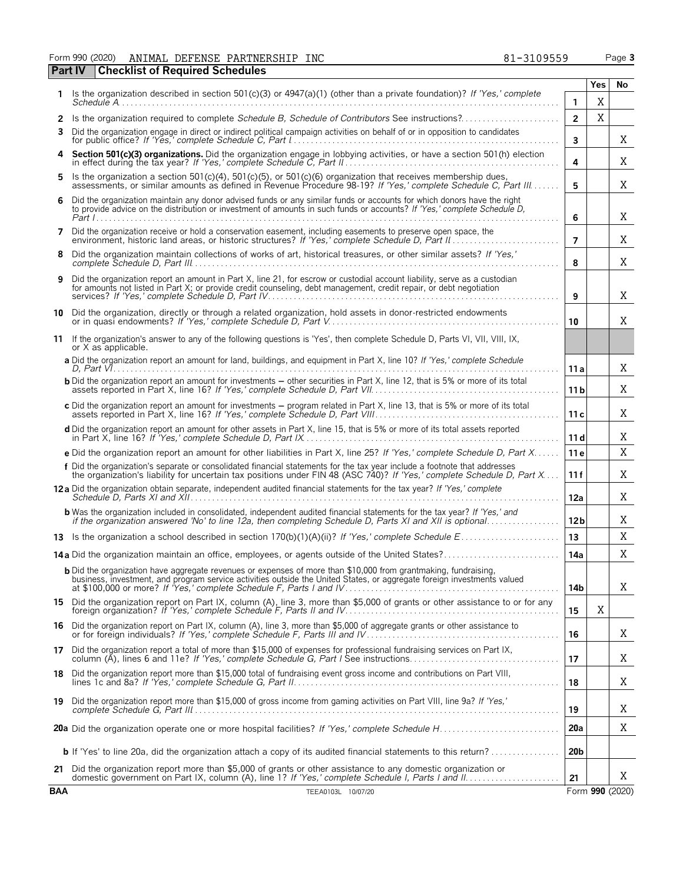#### Form 990 (2020) Page **3** ANIMAL DEFENSE PARTNERSHIP INC 81-3109559 **Part IV Checklist of Required Schedules**

| 81-3109559 |
|------------|
|            |

|            |                                                                                                                                                                                                                                                     |                 | <b>Yes</b> | No.             |
|------------|-----------------------------------------------------------------------------------------------------------------------------------------------------------------------------------------------------------------------------------------------------|-----------------|------------|-----------------|
| 1.         | Is the organization described in section 501(c)(3) or $4947(a)(1)$ (other than a private foundation)? If 'Yes,' complete                                                                                                                            | 1               | X          |                 |
| 2          | Is the organization required to complete Schedule B, Schedule of Contributors See instructions?                                                                                                                                                     | $\overline{2}$  | X          |                 |
| 3          | Did the organization engage in direct or indirect political campaign activities on behalf of or in opposition to candidates                                                                                                                         | 3               |            | Χ               |
| 4          | Section 501(c)(3) organizations. Did the organization engage in lobbying activities, or have a section 501(h) election in effect during the tax year? If 'Yes,' complete Schedule C, Part II                                                        | 4               |            | X               |
| 5.         | Is the organization a section 501(c)(4), 501(c)(5), or 501(c)(6) organization that receives membership dues, assessments, or similar amounts as defined in Revenue Procedure 98-19? If 'Yes,' complete Schedule C, Part III                         | 5               |            | X               |
| 6          | Did the organization maintain any donor advised funds or any similar funds or accounts for which donors have the right<br>to provide advice on the distribution or investment of amounts in such funds or accounts? If 'Yes,' complete Schedule D,  | 6               |            | Χ               |
| 7          | Did the organization receive or hold a conservation easement, including easements to preserve open space, the                                                                                                                                       | $\overline{7}$  |            | X               |
| 8          | Did the organization maintain collections of works of art, historical treasures, or other similar assets? If 'Yes,'                                                                                                                                 | 8               |            | X               |
| 9          | Did the organization report an amount in Part X, line 21, for escrow or custodial account liability, serve as a custodian<br>for amounts not listed in Part X; or provide credit counseling, debt management, credit repair, or debt negotiation    | 9               |            | X.              |
|            | 10 Did the organization, directly or through a related organization, hold assets in donor-restricted endowments                                                                                                                                     | 10              |            | X               |
|            | 11 If the organization's answer to any of the following questions is 'Yes', then complete Schedule D, Parts VI, VII, VIII, IX,<br>or X as applicable.                                                                                               |                 |            |                 |
|            | a Did the organization report an amount for land, buildings, and equipment in Part X, line 10? If 'Yes,' complete Schedule                                                                                                                          | 11 a            |            | X.              |
|            | <b>b</b> Did the organization report an amount for investments – other securities in Part X, line 12, that is 5% or more of its total                                                                                                               | 11 <sub>b</sub> |            | X.              |
|            | c Did the organization report an amount for investments – program related in Part X, line 13, that is 5% or more of its total assets reported in Part X, line 16? If 'Yes,' complete Schedule D, Part VIII                                          | 11c             |            | X               |
|            | d Did the organization report an amount for other assets in Part X, line 15, that is 5% or more of its total assets reported                                                                                                                        | 11d             |            | Χ               |
|            | e Did the organization report an amount for other liabilities in Part X, line 25? If 'Yes,' complete Schedule D, Part X                                                                                                                             | 11e             |            | X               |
|            | f Did the organization's separate or consolidated financial statements for the tax year include a footnote that addresses<br>the organization's liability for uncertain tax positions under FIN 48 (ASC 740)? If 'Yes,' complete Schedule D, Part X | 11f             |            | Χ               |
|            | 12a Did the organization obtain separate, independent audited financial statements for the tax year? If 'Yes,' complete                                                                                                                             | 12a             |            | X.              |
|            | <b>b</b> Was the organization included in consolidated, independent audited financial statements for the tax year? If 'Yes,' and<br>if the organization answered 'No' to line 12a, then completing Schedule D, Parts XI and XII is optional         | 12 <sub>b</sub> |            | Χ               |
|            |                                                                                                                                                                                                                                                     | 13              |            | Χ               |
|            |                                                                                                                                                                                                                                                     | 14a             |            | X               |
|            | <b>b</b> Did the organization have aggregate revenues or expenses of more than \$10,000 from grantmaking, fundraising,<br>business, investment, and program service activities outside the United States, or aggregate foreign investments valued   | 14 <sub>b</sub> |            | X               |
|            | 15 Did the organization report on Part IX, column (A), line 3, more than \$5,000 of grants or other assistance to or for any foreign organization? If 'Yes,' complete Schedule F, Parts II and IV.                                                  | 15              | Χ          |                 |
|            | 16 Did the organization report on Part IX, column (A), line 3, more than \$5,000 of aggregate grants or other assistance to<br>or for foreign individuals? If 'Yes,' complete Schedule F, Parts III and IV.                                         | 16              |            | X.              |
| 17         | Did the organization report a total of more than \$15,000 of expenses for professional fundraising services on Part IX,                                                                                                                             | 17              |            | Χ               |
| 18         | Did the organization report more than \$15,000 total of fundraising event gross income and contributions on Part VIII,                                                                                                                              | 18              |            | Χ               |
| 19         | Did the organization report more than \$15,000 of gross income from gaming activities on Part VIII, line 9a? If 'Yes,'                                                                                                                              | 19              |            | X               |
|            |                                                                                                                                                                                                                                                     | 20a             |            | X               |
|            |                                                                                                                                                                                                                                                     | 20 <sub>b</sub> |            |                 |
|            | 21 Did the organization report more than \$5,000 of grants or other assistance to any domestic organization or                                                                                                                                      | 21              |            | X               |
| <b>BAA</b> | TEEA0103L 10/07/20                                                                                                                                                                                                                                  |                 |            | Form 990 (2020) |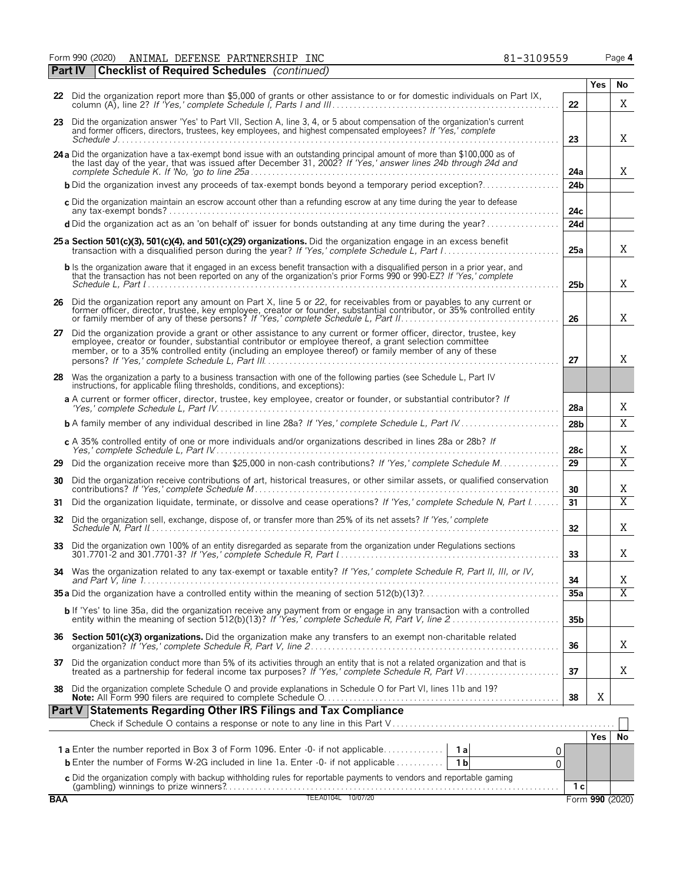#### Form 990 (2020) ANIMAL DEFENSE PARTNERSHIP INC 81-3109559 Page **4 Part IV Checklist of Required Schedules** *(continued)*

|     | 22 Did the organization report more than \$5,000 of grants or other assistance to or for domestic individuals on Part IX,                                                                                                                                                                                                             |                 | Yes        | No                      |
|-----|---------------------------------------------------------------------------------------------------------------------------------------------------------------------------------------------------------------------------------------------------------------------------------------------------------------------------------------|-----------------|------------|-------------------------|
|     | 23 Did the organization answer 'Yes' to Part VII, Section A, line 3, 4, or 5 about compensation of the organization's current                                                                                                                                                                                                         | 22              |            | Χ                       |
|     | and former officers, directors, trustees, key employees, and highest compensated employees? If 'Yes,' complete                                                                                                                                                                                                                        | 23              |            | Χ                       |
|     | 24 a Did the organization have a tax-exempt bond issue with an outstanding principal amount of more than \$100,000 as of<br>the last day of the year, that was issued after December 31, 2002? If 'Yes,' answer lines 24b through 24d and                                                                                             | 24a             |            | X                       |
|     | <b>b</b> Did the organization invest any proceeds of tax-exempt bonds beyond a temporary period exception?                                                                                                                                                                                                                            | 24 <sub>b</sub> |            |                         |
|     | c Did the organization maintain an escrow account other than a refunding escrow at any time during the year to defease                                                                                                                                                                                                                | 24c             |            |                         |
|     | d Did the organization act as an 'on behalf of' issuer for bonds outstanding at any time during the year?                                                                                                                                                                                                                             | 24d             |            |                         |
|     | 25 a Section 501(c)(3), 501(c)(4), and 501(c)(29) organizations. Did the organization engage in an excess benefit                                                                                                                                                                                                                     | 25a             |            | X                       |
|     | b Is the organization aware that it engaged in an excess benefit transaction with a disqualified person in a prior year, and<br>that the transaction has not been reported on any of the organization's prior Forms 990 or 990-EZ? If 'Yes,' complete                                                                                 | 25 <sub>b</sub> |            | X                       |
|     | 26 Did the organization report any amount on Part X, line 5 or 22, for receivables from or payables to any current or<br>former officer, director, trustee, key employee, creator or founder, substantial contributor, or 35% controlled entity<br>or family member of any of these persons? If 'Yes,' complete Schedule L, Part II   | 26              |            | Χ                       |
| 27  | Did the organization provide a grant or other assistance to any current or former officer, director, trustee, key<br>employee, creator or founder, substantial contributor or employee thereof, a grant selection committee<br>member, or to a 35% controlled entity (including an employee thereof) or family member of any of these | 27              |            | Χ                       |
|     | 28 Was the organization a party to a business transaction with one of the following parties (see Schedule L, Part IV<br>instructions, for applicable filing thresholds, conditions, and exceptions):                                                                                                                                  |                 |            |                         |
|     | a A current or former officer, director, trustee, key employee, creator or founder, or substantial contributor? If                                                                                                                                                                                                                    | 28a             |            | X                       |
|     |                                                                                                                                                                                                                                                                                                                                       | 28 <sub>b</sub> |            | Χ                       |
|     | c A 35% controlled entity of one or more individuals and/or organizations described in lines 28a or 28b? If                                                                                                                                                                                                                           | 28c             |            | Χ                       |
| 29  | Did the organization receive more than \$25,000 in non-cash contributions? If 'Yes,' complete Schedule M                                                                                                                                                                                                                              | 29              |            | $\overline{\mathrm{X}}$ |
| 30  | Did the organization receive contributions of art, historical treasures, or other similar assets, or qualified conservation                                                                                                                                                                                                           | 30              |            | X                       |
| 31  | Did the organization liquidate, terminate, or dissolve and cease operations? If 'Yes,' complete Schedule N, Part I                                                                                                                                                                                                                    | 31              |            | $\overline{X}$          |
| 32  | Did the organization sell, exchange, dispose of, or transfer more than 25% of its net assets? If 'Yes,' complete                                                                                                                                                                                                                      | 32              |            | X                       |
|     |                                                                                                                                                                                                                                                                                                                                       | 33              |            | X                       |
|     | 34 Was the organization related to any tax-exempt or taxable entity? If 'Yes,' complete Schedule R, Part II, III, or IV,                                                                                                                                                                                                              | 34              |            | Χ                       |
|     |                                                                                                                                                                                                                                                                                                                                       | 35a             |            | $\overline{X}$          |
|     | b If 'Yes' to line 35a, did the organization receive any payment from or engage in any transaction with a controlled<br>entity within the meaning of section 512(b)(13)? If 'Yes,' complete Schedule R, Part V, line 2                                                                                                                | 35 <sub>b</sub> |            |                         |
|     | 36 Section 501(c)(3) organizations. Did the organization make any transfers to an exempt non-charitable related                                                                                                                                                                                                                       | 36              |            | Χ                       |
|     | 37 Did the organization conduct more than 5% of its activities through an entity that is not a related organization and that is                                                                                                                                                                                                       | 37              |            | Χ                       |
|     | 38 Did the organization complete Schedule O and provide explanations in Schedule O for Part VI, lines 11b and 19?                                                                                                                                                                                                                     | 38              | Χ          |                         |
|     | Part V Statements Regarding Other IRS Filings and Tax Compliance                                                                                                                                                                                                                                                                      |                 |            |                         |
|     |                                                                                                                                                                                                                                                                                                                                       |                 | <b>Yes</b> | No                      |
|     | 0                                                                                                                                                                                                                                                                                                                                     |                 |            |                         |
|     | <b>b</b> Enter the number of Forms W-2G included in line 1a. Enter -0- if not applicable<br>$\Omega$                                                                                                                                                                                                                                  |                 |            |                         |
|     | c Did the organization comply with backup withholding rules for reportable payments to vendors and reportable gaming                                                                                                                                                                                                                  |                 |            |                         |
| BAA | TEEA0104L 10/07/20                                                                                                                                                                                                                                                                                                                    | 1 с             |            | Form 990 (2020)         |
|     |                                                                                                                                                                                                                                                                                                                                       |                 |            |                         |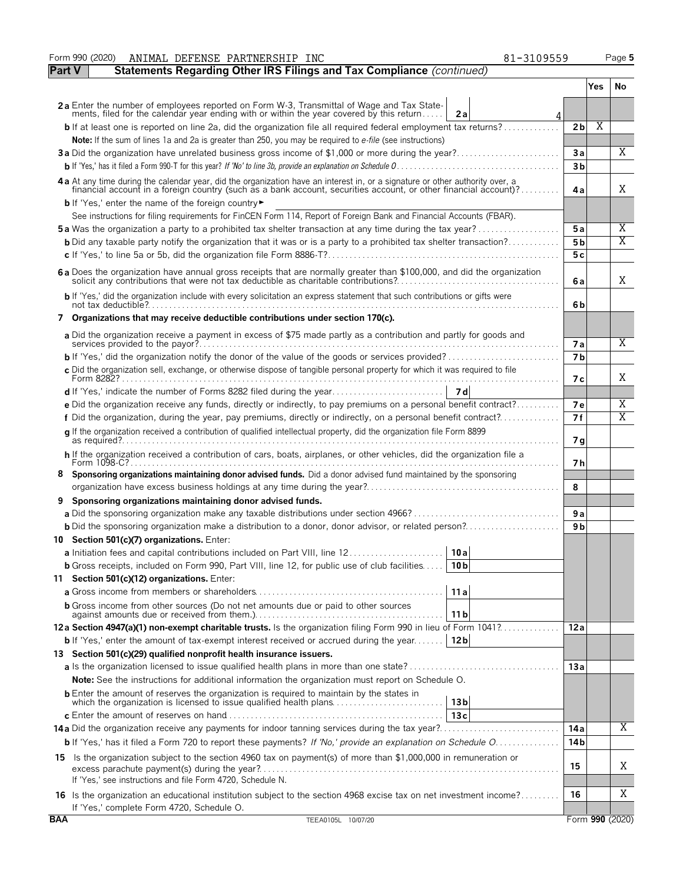|            | Form 990 (2020)<br>ANIMAL DEFENSE PARTNERSHIP INC<br>81-3109559                                                                                                                                                                |                 |      | Page 5         |
|------------|--------------------------------------------------------------------------------------------------------------------------------------------------------------------------------------------------------------------------------|-----------------|------|----------------|
| Part V     | Statements Regarding Other IRS Filings and Tax Compliance (continued)                                                                                                                                                          |                 |      |                |
|            |                                                                                                                                                                                                                                |                 | Yes. | No             |
|            | 2a Enter the number of employees reported on Form W-3, Transmittal of Wage and Tax State-                                                                                                                                      |                 |      |                |
|            | ments, filed for the calendar year ending with or within the year covered by this return<br>2a<br>4                                                                                                                            |                 |      |                |
|            | <b>b</b> If at least one is reported on line 2a, did the organization file all required federal employment tax returns?                                                                                                        | 2 <sub>b</sub>  | Χ    |                |
|            | Note: If the sum of lines 1a and 2a is greater than 250, you may be required to e-file (see instructions)                                                                                                                      |                 |      |                |
|            | 3a Did the organization have unrelated business gross income of \$1,000 or more during the year?                                                                                                                               | Зa              |      | Χ              |
|            |                                                                                                                                                                                                                                | 3b              |      |                |
|            | 4a At any time during the calendar year, did the organization have an interest in, or a signature or other authority over, a financial account in a foreign country (such as a bank account, securities account, or other fina | 4a              |      | Χ              |
|            | <b>b</b> If 'Yes,' enter the name of the foreign country                                                                                                                                                                       |                 |      |                |
|            | See instructions for filing requirements for FinCEN Form 114, Report of Foreign Bank and Financial Accounts (FBAR).                                                                                                            |                 |      |                |
|            | <b>5a</b> Was the organization a party to a prohibited tax shelter transaction at any time during the tax year?                                                                                                                | 5 a             |      | X              |
|            | <b>b</b> Did any taxable party notify the organization that it was or is a party to a prohibited tax shelter transaction?                                                                                                      | 5 <sub>b</sub>  |      | Χ              |
|            |                                                                                                                                                                                                                                | 5c              |      |                |
|            | 6 a Does the organization have annual gross receipts that are normally greater than \$100,000, and did the organization<br>solicit any contributions that were not tax deductible as charitable contributions?                 | 6 a             |      | X              |
|            | b If 'Yes,' did the organization include with every solicitation an express statement that such contributions or gifts were                                                                                                    | 6b              |      |                |
|            | 7 Organizations that may receive deductible contributions under section 170(c).                                                                                                                                                |                 |      |                |
|            | a Did the organization receive a payment in excess of \$75 made partly as a contribution and partly for goods and                                                                                                              | 7а              |      | $\overline{X}$ |
|            |                                                                                                                                                                                                                                | 7 <sub>b</sub>  |      |                |
|            | c Did the organization sell, exchange, or otherwise dispose of tangible personal property for which it was required to file                                                                                                    | 7 с             |      | Χ              |
|            |                                                                                                                                                                                                                                |                 |      |                |
|            | e Did the organization receive any funds, directly or indirectly, to pay premiums on a personal benefit contract?                                                                                                              | <b>7e</b>       |      | $\overline{X}$ |
|            | f Did the organization, during the year, pay premiums, directly or indirectly, on a personal benefit contract?                                                                                                                 | 7 f             |      | X              |
|            | q If the organization received a contribution of qualified intellectual property, did the organization file Form 8899                                                                                                          | 7 g             |      |                |
|            | h If the organization received a contribution of cars, boats, airplanes, or other vehicles, did the organization file a                                                                                                        | 7 h             |      |                |
|            | 8 Sponsoring organizations maintaining donor advised funds. Did a donor advised fund maintained by the sponsoring                                                                                                              |                 |      |                |
|            |                                                                                                                                                                                                                                | 8               |      |                |
| 9          | Sponsoring organizations maintaining donor advised funds.                                                                                                                                                                      |                 |      |                |
|            |                                                                                                                                                                                                                                | 9a              |      |                |
|            | <b>b</b> Did the sponsoring organization make a distribution to a donor, donor advisor, or related person?                                                                                                                     | 9 b             |      |                |
|            | 10 Section 501(c)(7) organizations. Enter:                                                                                                                                                                                     |                 |      |                |
|            |                                                                                                                                                                                                                                |                 |      |                |
|            | <b>b</b> Gross receipts, included on Form 990, Part VIII, line 12, for public use of club facilities<br>10 <sub>b</sub>                                                                                                        |                 |      |                |
|            | 11 Section 501(c)(12) organizations. Enter:                                                                                                                                                                                    |                 |      |                |
|            | 11a                                                                                                                                                                                                                            |                 |      |                |
|            | <b>b</b> Gross income from other sources (Do not net amounts due or paid to other sources<br>11 b                                                                                                                              |                 |      |                |
|            | 12a Section 4947(a)(1) non-exempt charitable trusts. Is the organization filing Form 990 in lieu of Form 1041?                                                                                                                 | 12a             |      |                |
|            | <b>b</b> If 'Yes,' enter the amount of tax-exempt interest received or accrued during the year<br>12 <sub>b</sub>                                                                                                              |                 |      |                |
|            | 13 Section 501(c)(29) qualified nonprofit health insurance issuers.                                                                                                                                                            |                 |      |                |
|            |                                                                                                                                                                                                                                | 13 a            |      |                |
|            | <b>Note:</b> See the instructions for additional information the organization must report on Schedule O.                                                                                                                       |                 |      |                |
|            | <b>b</b> Enter the amount of reserves the organization is required to maintain by the states in<br>which the organization is licensed to issue qualified health plans<br>13 <sub>b</sub>                                       |                 |      |                |
|            | 13c                                                                                                                                                                                                                            |                 |      |                |
|            | <b>14a</b> Did the organization receive any payments for indoor tanning services during the tax year?                                                                                                                          | 14 a            |      | Χ              |
|            | <b>b</b> If 'Yes,' has it filed a Form 720 to report these payments? If 'No,' provide an explanation on Schedule O                                                                                                             | 14 b            |      |                |
|            | 15 Is the organization subject to the section 4960 tax on payment(s) of more than \$1,000,000 in remuneration or                                                                                                               | 15              |      | X              |
|            | If 'Yes,' see instructions and file Form 4720, Schedule N.                                                                                                                                                                     |                 |      |                |
|            | 16 Is the organization an educational institution subject to the section 4968 excise tax on net investment income?<br>If 'Yes,' complete Form 4720, Schedule O.                                                                | 16              |      | Χ              |
| <b>BAA</b> | TEEA0105L 10/07/20                                                                                                                                                                                                             | Form 990 (2020) |      |                |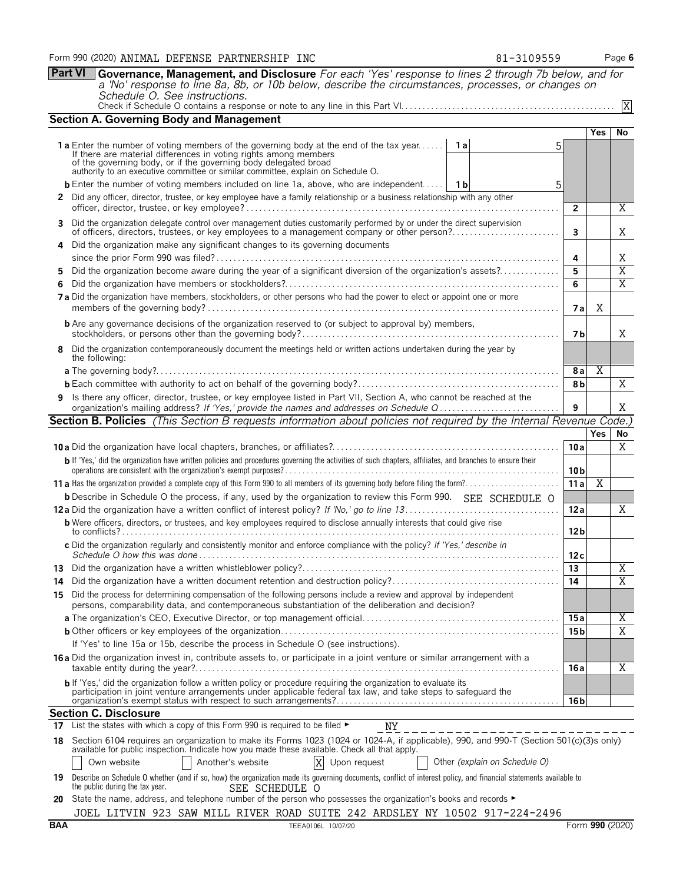#### Form 990 (2020) Page **6** ANIMAL DEFENSE PARTNERSHIP INC 81-3109559

|                                                                                                                            | a 'No' response to line 8a, 8b, or 10b below, describe the circumstances, processes, or changes on<br>Schedule O. See instructions.                                                                                                                                                                                                     |                 |            |                 |  |  |  |  |  |
|----------------------------------------------------------------------------------------------------------------------------|-----------------------------------------------------------------------------------------------------------------------------------------------------------------------------------------------------------------------------------------------------------------------------------------------------------------------------------------|-----------------|------------|-----------------|--|--|--|--|--|
|                                                                                                                            |                                                                                                                                                                                                                                                                                                                                         |                 |            | X               |  |  |  |  |  |
|                                                                                                                            | <b>Section A. Governing Body and Management</b>                                                                                                                                                                                                                                                                                         |                 |            |                 |  |  |  |  |  |
|                                                                                                                            |                                                                                                                                                                                                                                                                                                                                         |                 | Yes.       | No              |  |  |  |  |  |
|                                                                                                                            | <b>1a</b> Enter the number of voting members of the governing body at the end of the tax year <b>1a</b><br>5<br>If there are material differences in voting rights among members<br>of the governing body, or if the governing body delegated broad<br>authority to an executive committee or similar committee, explain on Schedule O. |                 |            |                 |  |  |  |  |  |
| <b>b</b> Enter the number of voting members included on line 1a, above, who are independent   1b<br>5                      |                                                                                                                                                                                                                                                                                                                                         |                 |            |                 |  |  |  |  |  |
| 2 Did any officer, director, trustee, or key employee have a family relationship or a business relationship with any other |                                                                                                                                                                                                                                                                                                                                         |                 |            |                 |  |  |  |  |  |
|                                                                                                                            |                                                                                                                                                                                                                                                                                                                                         |                 |            |                 |  |  |  |  |  |
|                                                                                                                            | 3 Did the organization delegate control over management duties customarily performed by or under the direct supervision<br>of officers, directors, trustees, or key employees to a management company or other person?                                                                                                                  |                 |            |                 |  |  |  |  |  |
|                                                                                                                            | Did the organization make any significant changes to its governing documents                                                                                                                                                                                                                                                            |                 |            |                 |  |  |  |  |  |
|                                                                                                                            |                                                                                                                                                                                                                                                                                                                                         | 4               |            | X               |  |  |  |  |  |
|                                                                                                                            | Did the organization become aware during the year of a significant diversion of the organization's assets?<br>5.                                                                                                                                                                                                                        | 5               |            | X               |  |  |  |  |  |
| 6                                                                                                                          |                                                                                                                                                                                                                                                                                                                                         | 6               |            | Χ               |  |  |  |  |  |
|                                                                                                                            | 7 a Did the organization have members, stockholders, or other persons who had the power to elect or appoint one or more                                                                                                                                                                                                                 | 7 a             | X          |                 |  |  |  |  |  |
|                                                                                                                            | <b>b</b> Are any governance decisions of the organization reserved to (or subject to approval by) members,                                                                                                                                                                                                                              | 7 <b>b</b>      |            | X               |  |  |  |  |  |
|                                                                                                                            | Did the organization contemporaneously document the meetings held or written actions undertaken during the year by<br>8<br>the following:                                                                                                                                                                                               |                 |            |                 |  |  |  |  |  |
|                                                                                                                            |                                                                                                                                                                                                                                                                                                                                         | 8 a             | X          |                 |  |  |  |  |  |
|                                                                                                                            |                                                                                                                                                                                                                                                                                                                                         | 8b              |            | X               |  |  |  |  |  |
|                                                                                                                            | 9 Is there any officer, director, trustee, or key employee listed in Part VII, Section A, who cannot be reached at the<br>organization's mailing address? If 'Yes,' provide the names and addresses on Schedule Q                                                                                                                       | 9               |            | X               |  |  |  |  |  |
|                                                                                                                            | Section B. Policies (This Section B requests information about policies not required by the Internal Revenue Code.)                                                                                                                                                                                                                     |                 |            |                 |  |  |  |  |  |
|                                                                                                                            |                                                                                                                                                                                                                                                                                                                                         |                 | <b>Yes</b> | No<br>Χ         |  |  |  |  |  |
|                                                                                                                            |                                                                                                                                                                                                                                                                                                                                         | 10a             |            |                 |  |  |  |  |  |
|                                                                                                                            | b If 'Yes,' did the organization have written policies and procedures governing the activities of such chapters, affiliates, and branches to ensure their                                                                                                                                                                               | 10 <sub>b</sub> |            |                 |  |  |  |  |  |
|                                                                                                                            |                                                                                                                                                                                                                                                                                                                                         | 11a             | Χ          |                 |  |  |  |  |  |
|                                                                                                                            | <b>b</b> Describe in Schedule O the process, if any, used by the organization to review this Form 990. SEE SCHEDULE O                                                                                                                                                                                                                   |                 |            |                 |  |  |  |  |  |
|                                                                                                                            |                                                                                                                                                                                                                                                                                                                                         | 12a             |            | X               |  |  |  |  |  |
|                                                                                                                            | <b>b</b> Were officers, directors, or trustees, and key employees required to disclose annually interests that could give rise                                                                                                                                                                                                          | 12 <sub>b</sub> |            |                 |  |  |  |  |  |
|                                                                                                                            | c Did the organization regularly and consistently monitor and enforce compliance with the policy? If 'Yes,' describe in                                                                                                                                                                                                                 | 12c             |            |                 |  |  |  |  |  |
|                                                                                                                            |                                                                                                                                                                                                                                                                                                                                         | 13              |            | Χ               |  |  |  |  |  |
|                                                                                                                            |                                                                                                                                                                                                                                                                                                                                         | $\overline{14}$ |            | $\overline{X}$  |  |  |  |  |  |
|                                                                                                                            | 15 Did the process for determining compensation of the following persons include a review and approval by independent<br>persons, comparability data, and contemporaneous substantiation of the deliberation and decision?                                                                                                              |                 |            |                 |  |  |  |  |  |
|                                                                                                                            |                                                                                                                                                                                                                                                                                                                                         | 15 a            |            | Χ               |  |  |  |  |  |
|                                                                                                                            |                                                                                                                                                                                                                                                                                                                                         | 15 b            |            | $\overline{X}$  |  |  |  |  |  |
|                                                                                                                            | If 'Yes' to line 15a or 15b, describe the process in Schedule O (see instructions).<br><b>16a</b> Did the organization invest in, contribute assets to, or participate in a joint venture or similar arrangement with a                                                                                                                 |                 |            |                 |  |  |  |  |  |
|                                                                                                                            |                                                                                                                                                                                                                                                                                                                                         | 16 a            |            | Χ               |  |  |  |  |  |
|                                                                                                                            | b If 'Yes,' did the organization follow a written policy or procedure requiring the organization to evaluate its<br>participation in joint venture arrangements under applicable federal tax law, and take steps to safeguard the                                                                                                       | 16 <sub>b</sub> |            |                 |  |  |  |  |  |
|                                                                                                                            | <b>Section C. Disclosure</b>                                                                                                                                                                                                                                                                                                            |                 |            |                 |  |  |  |  |  |
| 17                                                                                                                         | List the states with which a copy of this Form 990 is required to be filed ►<br>NY                                                                                                                                                                                                                                                      |                 |            |                 |  |  |  |  |  |
| 18                                                                                                                         | Section 6104 requires an organization to make its Forms 1023 (1024 or 1024-A, if applicable), 990, and 990-T (Section 501(c)(3)s only)<br>available for public inspection. Indicate how you made these available. Check all that apply.                                                                                                 |                 |            |                 |  |  |  |  |  |
|                                                                                                                            | Own website<br>Another's website<br>X<br>Upon request<br>Other (explain on Schedule O)                                                                                                                                                                                                                                                  |                 |            |                 |  |  |  |  |  |
| 19                                                                                                                         | Describe on Schedule O whether (and if so, how) the organization made its governing documents, conflict of interest policy, and financial statements available to<br>the public during the tax year.<br>SEE SCHEDULE O                                                                                                                  |                 |            |                 |  |  |  |  |  |
|                                                                                                                            | 20 State the name, address, and telephone number of the person who possesses the organization's books and records ►                                                                                                                                                                                                                     |                 |            |                 |  |  |  |  |  |
|                                                                                                                            | JOEL LITVIN 923 SAW MILL RIVER ROAD SUITE 242 ARDSLEY NY 10502 917-224-2496                                                                                                                                                                                                                                                             |                 |            |                 |  |  |  |  |  |
| BAA                                                                                                                        | TEEA0106L 10/07/20                                                                                                                                                                                                                                                                                                                      |                 |            | Form 990 (2020) |  |  |  |  |  |

**Part VI Governance, Management, and Disclosure** *For each 'Yes' response to lines 2 through 7b below, and for*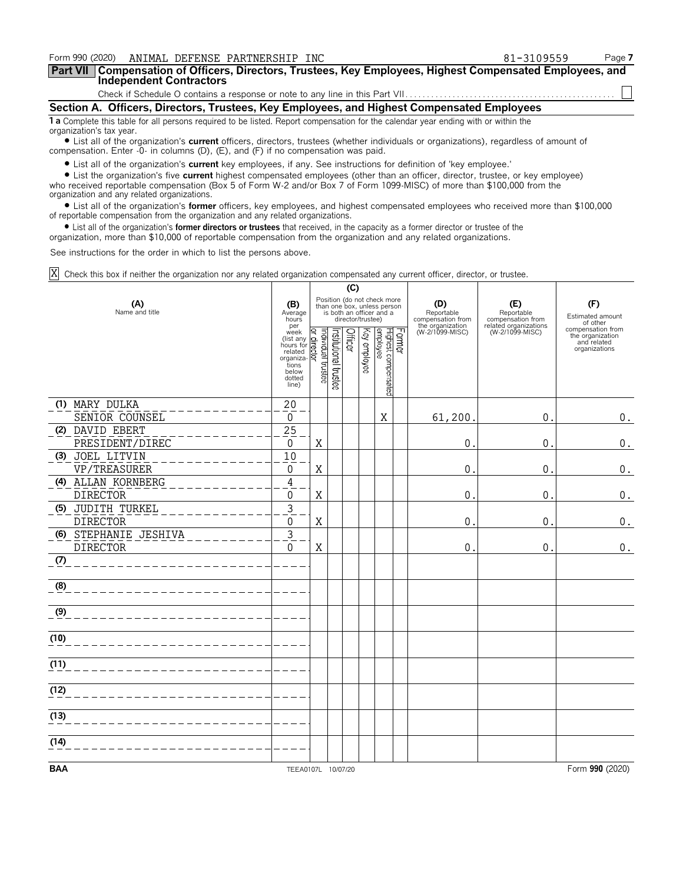| Form 990 (2020)  ANIMAL DEFENSE PARTNERSHIP INC                                                                                                                | 81-3109559 | Page 7 |
|----------------------------------------------------------------------------------------------------------------------------------------------------------------|------------|--------|
| Part VII   Compensation of Officers, Directors, Trustees, Key Employees, Highest Compensated Employees, and<br><b>Independent Contractors</b>                  |            |        |
|                                                                                                                                                                |            |        |
| Section A. Officers, Directors, Trustees, Key Employees, and Highest Compensated Employees                                                                     |            |        |
| 1 a Complete this table for all persons required to be listed. Report compensation for the calendar year ending with or within the<br>organization's tax year. |            |        |
| • List all of the organization's current officers, directors, trustees (whether individuals or organizations), regardless of amount of                         |            |        |

? List all of the organization's **current** officers, directors, trustees (whether individuals or organizations), regardless of amount of compensation. Enter -0- in columns (D), (E), and (F) if no compensation was paid.

? List all of the organization's **current** key employees, if any. See instructions for definition of 'key employee.'

? List the organization's five **current** highest compensated employees (other than an officer, director, trustee, or key employee) who received reportable compensation (Box 5 of Form W-2 and/or Box 7 of Form 1099-MISC) of more than \$100,000 from the organization and any related organizations.

? List all of the organization's **former** officers, key employees, and highest compensated employees who received more than \$100,000 of reportable compensation from the organization and any related organizations.

? List all of the organization's **former directors or trustees** that received, in the capacity as a former director or trustee of the

organization, more than \$10,000 of reportable compensation from the organization and any related organizations.

See instructions for the order in which to list the persons above.

X Check this box if neither the organization nor any related organization compensated any current officer, director, or trustee.

|                                          |                                |   |                       | (C)     |                   |                                                                                        |        |                                                            |                                                                 |                                                                       |
|------------------------------------------|--------------------------------|---|-----------------------|---------|-------------------|----------------------------------------------------------------------------------------|--------|------------------------------------------------------------|-----------------------------------------------------------------|-----------------------------------------------------------------------|
| (A)<br>Name and title                    | (B)<br>Average<br>hours<br>per |   |                       |         | director/trustee) | Position (do not check more<br>than one box, unless person<br>is both an officer and a |        | (D)<br>Reportable<br>compensation from<br>the organization | (E)<br>Reportable<br>compensation from<br>related organizations | (F)<br>Estimated amount<br>of other                                   |
|                                          | line)                          |   | Institutional trustee | Officer | Key employee      | Highest compensated<br>employee                                                        | Former | (W-2/1099-MISC)                                            | (W-2/1099-MISC)                                                 | compensation from<br>the organization<br>and related<br>organizations |
| (1) MARY DULKA<br>SENIOR COUNSEL         | 20<br>0                        |   |                       |         |                   | X                                                                                      |        | 61,200                                                     | 0                                                               |                                                                       |
| (2) DAVID EBERT                          | 25                             |   |                       |         |                   |                                                                                        |        |                                                            |                                                                 | $\boldsymbol{0}$ .                                                    |
| PRESIDENT/DIREC                          | 0                              | X |                       |         |                   |                                                                                        |        | 0                                                          | 0                                                               | $\mathbf 0$ .                                                         |
| (3) JOEL LITVIN<br>VP/TREASURER          | 10<br>0                        | X |                       |         |                   |                                                                                        |        | 0                                                          | 0                                                               | 0.                                                                    |
| (4) ALLAN KORNBERG                       | 4                              |   |                       |         |                   |                                                                                        |        |                                                            |                                                                 |                                                                       |
| <b>DIRECTOR</b>                          | 0                              | Χ |                       |         |                   |                                                                                        |        | 0                                                          | 0                                                               | $\boldsymbol{0}$ .                                                    |
| (5) JUDITH TURKEL<br><b>DIRECTOR</b>     | 3<br>0                         | Χ |                       |         |                   |                                                                                        |        | 0                                                          | 0                                                               | 0.                                                                    |
| (6) STEPHANIE JESHIVA<br><b>DIRECTOR</b> | $\overline{3}$<br>$\Omega$     | Χ |                       |         |                   |                                                                                        |        | 0                                                          | 0                                                               | $\mathbf 0$ .                                                         |
| (7)                                      |                                |   |                       |         |                   |                                                                                        |        |                                                            |                                                                 |                                                                       |
| (8)                                      |                                |   |                       |         |                   |                                                                                        |        |                                                            |                                                                 |                                                                       |
| (9)                                      |                                |   |                       |         |                   |                                                                                        |        |                                                            |                                                                 |                                                                       |
| (10)                                     |                                |   |                       |         |                   |                                                                                        |        |                                                            |                                                                 |                                                                       |
| (11)                                     |                                |   |                       |         |                   |                                                                                        |        |                                                            |                                                                 |                                                                       |
| (12)                                     |                                |   |                       |         |                   |                                                                                        |        |                                                            |                                                                 |                                                                       |
| (13)                                     |                                |   |                       |         |                   |                                                                                        |        |                                                            |                                                                 |                                                                       |
| (14)                                     |                                |   |                       |         |                   |                                                                                        |        |                                                            |                                                                 |                                                                       |
| <b>BAA</b>                               | TEEA0107L 10/07/20             |   |                       |         |                   |                                                                                        |        |                                                            |                                                                 | Form 990 (2020)                                                       |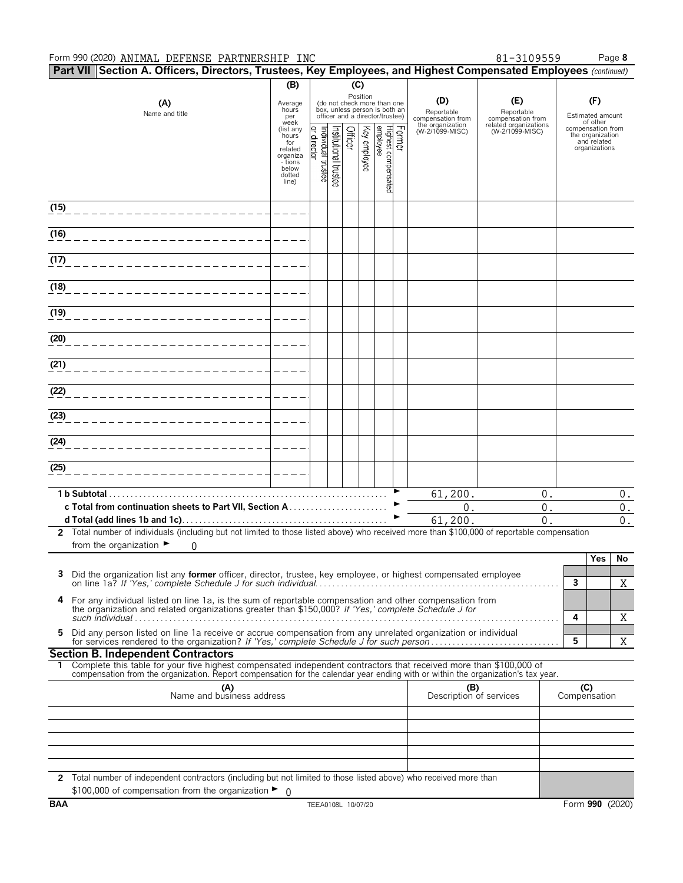#### Form 990 (2020) **ANIMAL DEFENSE PARTNERSHIP INC** 81-3109559 Page **8** ANIMAL DEFENSE PARTNERSHIP INC 81-3109559

|                       | Part VII   Section A. Officers, Directors, Trustees, Key Employees, and Highest Compensated Employees (continued)                                                                                                                     |                              |                               |                      |              |                                                                                                 |        |                                        |                                          |                                                   |                    |
|-----------------------|---------------------------------------------------------------------------------------------------------------------------------------------------------------------------------------------------------------------------------------|------------------------------|-------------------------------|----------------------|--------------|-------------------------------------------------------------------------------------------------|--------|----------------------------------------|------------------------------------------|---------------------------------------------------|--------------------|
|                       |                                                                                                                                                                                                                                       | (B)                          |                               |                      | (C)          |                                                                                                 |        |                                        |                                          |                                                   |                    |
| (A)<br>Name and title |                                                                                                                                                                                                                                       |                              |                               |                      | Position     | (do not check more than one<br>box, unless person is both an<br>officer and a director/trustee) |        | (D)<br>Reportable<br>compensation from | (E)<br>Reportable<br>compensation from   | (F)<br>Estimated amount                           |                    |
|                       |                                                                                                                                                                                                                                       | week<br>(list any            |                               |                      |              |                                                                                                 |        | the organization<br>(W-2/1099-MISC)    | related organizations<br>(W-2/1099-MISC) | of other<br>compensation from<br>the organization |                    |
|                       |                                                                                                                                                                                                                                       | hours<br>for<br>related      | ndividual trustee<br>qirector | Officer              | Key employee |                                                                                                 | Former |                                        |                                          | and related<br>organizations                      |                    |
|                       |                                                                                                                                                                                                                                       | organiza<br>- tions<br>below |                               |                      |              |                                                                                                 |        |                                        |                                          |                                                   |                    |
|                       |                                                                                                                                                                                                                                       | dotted<br>line)              |                               | nstitutional trustee |              | Highest compensated<br>employee                                                                 |        |                                        |                                          |                                                   |                    |
| (15)                  |                                                                                                                                                                                                                                       |                              |                               |                      |              |                                                                                                 |        |                                        |                                          |                                                   |                    |
| (16)                  |                                                                                                                                                                                                                                       |                              |                               |                      |              |                                                                                                 |        |                                        |                                          |                                                   |                    |
|                       |                                                                                                                                                                                                                                       |                              |                               |                      |              |                                                                                                 |        |                                        |                                          |                                                   |                    |
| (17)                  |                                                                                                                                                                                                                                       |                              |                               |                      |              |                                                                                                 |        |                                        |                                          |                                                   |                    |
| (18)                  |                                                                                                                                                                                                                                       |                              |                               |                      |              |                                                                                                 |        |                                        |                                          |                                                   |                    |
| (19)                  |                                                                                                                                                                                                                                       |                              |                               |                      |              |                                                                                                 |        |                                        |                                          |                                                   |                    |
| (20)                  |                                                                                                                                                                                                                                       |                              |                               |                      |              |                                                                                                 |        |                                        |                                          |                                                   |                    |
| (21)                  |                                                                                                                                                                                                                                       |                              |                               |                      |              |                                                                                                 |        |                                        |                                          |                                                   |                    |
| (22)                  |                                                                                                                                                                                                                                       |                              |                               |                      |              |                                                                                                 |        |                                        |                                          |                                                   |                    |
| (23)                  |                                                                                                                                                                                                                                       |                              |                               |                      |              |                                                                                                 |        |                                        |                                          |                                                   |                    |
| (24)                  |                                                                                                                                                                                                                                       |                              |                               |                      |              |                                                                                                 |        |                                        |                                          |                                                   |                    |
| (25)                  |                                                                                                                                                                                                                                       |                              |                               |                      |              |                                                                                                 |        |                                        |                                          |                                                   |                    |
|                       | 1 b Subtotal.                                                                                                                                                                                                                         |                              |                               |                      |              |                                                                                                 |        | 61, 200.                               | 0.                                       |                                                   | 0.                 |
|                       |                                                                                                                                                                                                                                       |                              |                               |                      |              |                                                                                                 |        | $0$ .                                  | $0$ .                                    |                                                   | $\boldsymbol{0}$ . |
|                       |                                                                                                                                                                                                                                       |                              |                               |                      |              |                                                                                                 |        | 61, 200.                               | 0.                                       |                                                   | $0$ .              |
| 2.                    | Total number of individuals (including but not limited to those listed above) who received more than \$100,000 of reportable compensation<br>from the organization $\blacktriangleright$<br>0                                         |                              |                               |                      |              |                                                                                                 |        |                                        |                                          |                                                   |                    |
|                       |                                                                                                                                                                                                                                       |                              |                               |                      |              |                                                                                                 |        |                                        |                                          |                                                   | <b>Yes</b><br>No   |
| 3                     | Did the organization list any former officer, director, trustee, key employee, or highest compensated employee                                                                                                                        |                              |                               |                      |              |                                                                                                 |        |                                        |                                          | 3                                                 | Χ                  |
| 4                     | For any individual listed on line 1a, is the sum of reportable compensation and other compensation from<br>the organization and related organizations greater than \$150,000? If 'Yes,' complete Schedule J for                       |                              |                               |                      |              |                                                                                                 |        |                                        |                                          |                                                   |                    |
| 5                     | such individual $\ldots$ . $\ldots$ $\ldots$ $\ldots$ $\ldots$ $\ldots$ $\ldots$ $\ldots$ $\ldots$ $\ldots$ $\ldots$<br>Did any person listed on line 1a receive or accrue compensation from any unrelated organization or individual |                              |                               |                      |              |                                                                                                 |        |                                        |                                          | 4                                                 | Χ                  |
|                       | <b>Section B. Independent Contractors</b>                                                                                                                                                                                             |                              |                               |                      |              |                                                                                                 |        |                                        |                                          | 5                                                 | Χ                  |
|                       | Complete this table for your five highest compensated independent contractors that received more than \$100,000 of                                                                                                                    |                              |                               |                      |              |                                                                                                 |        |                                        |                                          |                                                   |                    |
|                       | compensation from the organization. Report compensation for the calendar year ending with or within the organization's tax year.<br>(A)                                                                                               |                              |                               |                      |              |                                                                                                 |        | (B)                                    |                                          | (C)                                               |                    |
|                       | Name and business address                                                                                                                                                                                                             |                              |                               |                      |              |                                                                                                 |        | Description of services                |                                          | Compensation                                      |                    |
|                       |                                                                                                                                                                                                                                       |                              |                               |                      |              |                                                                                                 |        |                                        |                                          |                                                   |                    |
|                       |                                                                                                                                                                                                                                       |                              |                               |                      |              |                                                                                                 |        |                                        |                                          |                                                   |                    |
|                       |                                                                                                                                                                                                                                       |                              |                               |                      |              |                                                                                                 |        |                                        |                                          |                                                   |                    |
| $\mathbf{2}$          | Total number of independent contractors (including but not limited to those listed above) who received more than<br>\$100,000 of compensation from the organization ► 0                                                               |                              |                               |                      |              |                                                                                                 |        |                                        |                                          |                                                   |                    |
| <b>BAA</b>            |                                                                                                                                                                                                                                       |                              | TEEA0108L 10/07/20            |                      |              |                                                                                                 |        |                                        |                                          |                                                   | Form 990 (2020)    |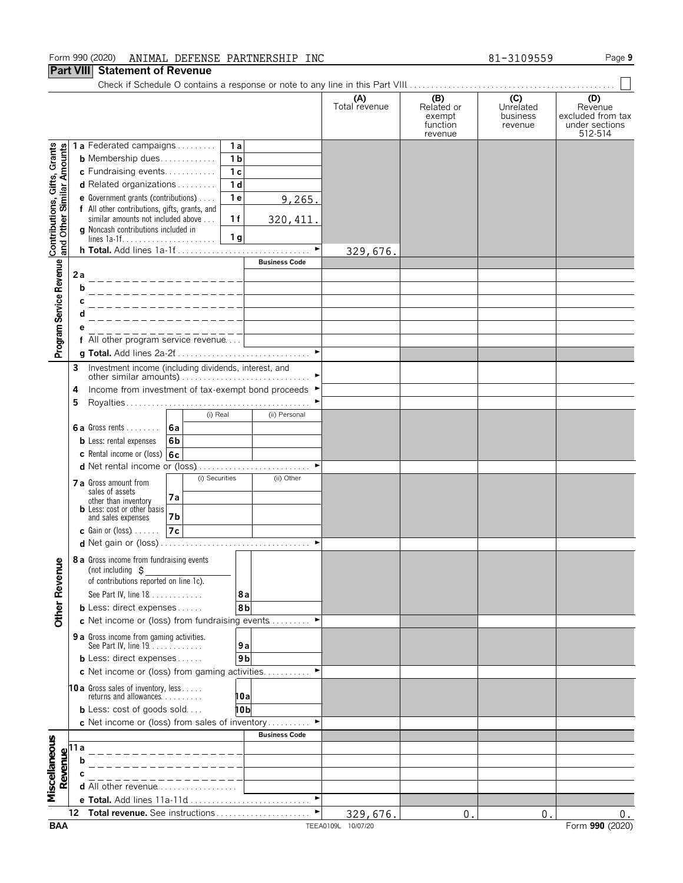#### Form 990 (2020) Page **9** ANIMAL DEFENSE PARTNERSHIP INC 81-3109559

|                                                                                      | <b>Part VIII</b> Statement of Revenue |                                                                                                                                                                                                                                                                                                                                                                                                       |                                                                      |                                |                                         |                                         |                                                       |  |  |  |
|--------------------------------------------------------------------------------------|---------------------------------------|-------------------------------------------------------------------------------------------------------------------------------------------------------------------------------------------------------------------------------------------------------------------------------------------------------------------------------------------------------------------------------------------------------|----------------------------------------------------------------------|--------------------------------|-----------------------------------------|-----------------------------------------|-------------------------------------------------------|--|--|--|
|                                                                                      |                                       |                                                                                                                                                                                                                                                                                                                                                                                                       |                                                                      | (A)<br>Total revenue           | (B)<br>Related or<br>exempt<br>function | (C)<br>Unrelated<br>business<br>revenue | (D)<br>Revenue<br>excluded from tax<br>under sections |  |  |  |
| Contributions, Gifts, Grants<br>and Other Similar Amounts<br>Program Service Revenue | 2a<br>b<br>c                          | 1a Federated campaigns<br>1 a<br>1 <sub>b</sub><br><b>b</b> Membership dues<br>c Fundraising events<br>1 <sub>c</sub><br>1 <sub>d</sub><br><b>d</b> Related organizations $\ldots$<br>1e<br><b>e</b> Government grants (contributions) $\ldots$<br>f All other contributions, gifts, grants, and<br>similar amounts not included above<br>1f<br>g Noncash contributions included in<br>1 <sub>g</sub> | 9,265.<br>320, 411.<br>$\blacktriangleright$<br><b>Business Code</b> | 329,676                        | revenue                                 |                                         | 512-514                                               |  |  |  |
|                                                                                      |                                       | f All other program service revenue                                                                                                                                                                                                                                                                                                                                                                   |                                                                      |                                |                                         |                                         |                                                       |  |  |  |
|                                                                                      | 3<br>4<br>5                           | Investment income (including dividends, interest, and<br>Income from investment of tax-exempt bond proceeds ▶<br>(i) Real                                                                                                                                                                                                                                                                             | (ii) Personal                                                        |                                |                                         |                                         |                                                       |  |  |  |
|                                                                                      |                                       | 6a<br>6a Gross rents<br><b>b</b> Less: rental expenses<br>6b<br>c Rental income or (loss) $6c$<br>d Net rental income or (loss)<br>(i) Securities<br><b>7 a</b> Gross amount from<br>sales of assets<br>7а                                                                                                                                                                                            | (ii) Other                                                           |                                |                                         |                                         |                                                       |  |  |  |
| ۰                                                                                    |                                       | other than inventory<br><b>b</b> Less: cost or other basis<br>and sales expenses<br>7b<br>7c<br><b>c</b> Gain or (loss) $\ldots$ .<br><b>d</b> Net gain or (loss).<br><b>8a</b> Gross income from fundraising events<br>(not including $\zeta$                                                                                                                                                        |                                                                      |                                |                                         |                                         |                                                       |  |  |  |
| Other Revenu                                                                         |                                       | of contributions reported on line 1c).<br>See Part IV, line 18<br><b>b</b> Less: direct expenses<br>c Net income or (loss) from fundraising events<br><b>9 a</b> Gross income from gaming activities.<br>See Part IV, line 19                                                                                                                                                                         | 8а<br>8b                                                             |                                |                                         |                                         |                                                       |  |  |  |
|                                                                                      |                                       | <b>b</b> Less: direct expenses<br>c Net income or (loss) from gaming activities<br><b>10a</b> Gross sales of inventory, less<br>returns and allowances.<br><b>b</b> Less: cost of goods sold                                                                                                                                                                                                          | 9а<br>9 <sub>b</sub><br>10a<br>10b                                   |                                |                                         |                                         |                                                       |  |  |  |
| Miscellaneous<br>evenue                                                              | 11 a<br>b<br>с                        | c Net income or (loss) from sales of inventory                                                                                                                                                                                                                                                                                                                                                        | <b>Business Code</b>                                                 |                                |                                         |                                         |                                                       |  |  |  |
| õ.<br><b>BAA</b>                                                                     | 12                                    | <b>d</b> All other revenue $\ldots \ldots \ldots \ldots \ldots$<br>e Total. Add lines 11a-11d<br>Total revenue. See instructions                                                                                                                                                                                                                                                                      | ►                                                                    | 329,676.<br>TEEA0109L 10/07/20 | 0                                       | 0                                       | Ω.<br>Form 990 (2020)                                 |  |  |  |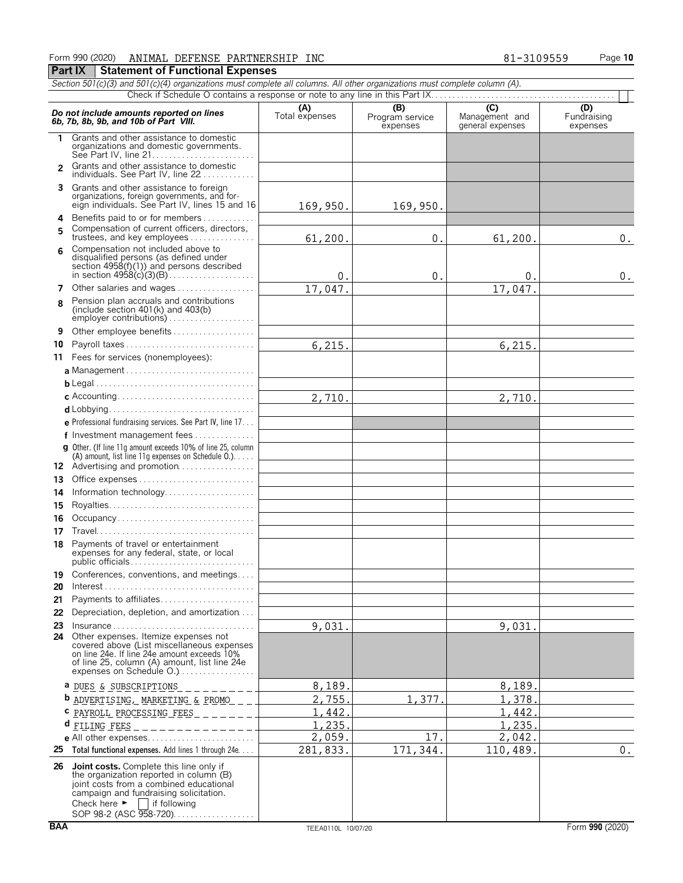#### Form 990 (2020) **ANIMAL DEFENSE PARTNERSHIP INC** 81-3109559 Page **10**

#### **Part IX | Statement of Functional Expenses**

j.

*Section 501(c)(3) and 501(c)(4) organizations must complete all columns. All other organizations must complete column (A).* Check if Schedule O contains a response or note to any line in this Part IX. . . . . . . . . . . . . . . . . . . . . . . . . . . . . . . . . . . . . . . . . . .

|                | Do not include amounts reported on lines<br>6b, 7b, 8b, 9b, and 10b of Part VIII.                                                                                                                                                                          | (A)<br>Total expenses | (B)<br>Program service<br>expenses | (C)<br>Management and<br>general expenses | (D)<br>Fundraising<br>expenses |
|----------------|------------------------------------------------------------------------------------------------------------------------------------------------------------------------------------------------------------------------------------------------------------|-----------------------|------------------------------------|-------------------------------------------|--------------------------------|
| 1              | Grants and other assistance to domestic<br>organizations and domestic governments.<br>See Part IV, line 21                                                                                                                                                 |                       |                                    |                                           |                                |
| $\overline{2}$ | Grants and other assistance to domestic<br>individuals. See Part IV, line 22                                                                                                                                                                               |                       |                                    |                                           |                                |
| 3              | Grants and other assistance to foreign<br>organizations, foreign governments, and for-<br>eign individuals. See Part IV, lines 15 and 16                                                                                                                   | 169,950.              | 169,950.                           |                                           |                                |
| 4              | Benefits paid to or for members                                                                                                                                                                                                                            |                       |                                    |                                           |                                |
| 5              | Compensation of current officers, directors,<br>trustees, and key employees                                                                                                                                                                                | 61,200.               | 0.                                 | 61,200.                                   | 0.                             |
| 6              | Compensation not included above to<br>disqualified persons (as defined under<br>section $4958(f)(1)$ and persons described                                                                                                                                 |                       |                                    |                                           |                                |
| 7              | Other salaries and wages                                                                                                                                                                                                                                   | 0.                    | $\mathbf 0$ .                      | 0.                                        | 0.                             |
| 8              | Pension plan accruals and contributions<br>(include section $401(k)$ and $403(b)$ )                                                                                                                                                                        | 17,047.               |                                    | 17,047.                                   |                                |
| 9              | Other employee benefits                                                                                                                                                                                                                                    |                       |                                    |                                           |                                |
| 10             |                                                                                                                                                                                                                                                            | 6, 215.               |                                    | 6, 215.                                   |                                |
| 11             | Fees for services (nonemployees):                                                                                                                                                                                                                          |                       |                                    |                                           |                                |
|                |                                                                                                                                                                                                                                                            |                       |                                    |                                           |                                |
|                |                                                                                                                                                                                                                                                            |                       |                                    |                                           |                                |
|                |                                                                                                                                                                                                                                                            | 2,710.                |                                    | 2,710.                                    |                                |
|                |                                                                                                                                                                                                                                                            |                       |                                    |                                           |                                |
|                | e Professional fundraising services. See Part IV, line 17                                                                                                                                                                                                  |                       |                                    |                                           |                                |
|                | f Investment management fees<br><b>g</b> Other. (If line 11g amount exceeds 10% of line 25, column<br>(A) amount, list line 11g expenses on Schedule 0.)<br>12 Advertising and promotion                                                                   |                       |                                    |                                           |                                |
| 13             | Office expenses                                                                                                                                                                                                                                            |                       |                                    |                                           |                                |
| 14             |                                                                                                                                                                                                                                                            |                       |                                    |                                           |                                |
| 15             |                                                                                                                                                                                                                                                            |                       |                                    |                                           |                                |
| 16             | Occupancy                                                                                                                                                                                                                                                  |                       |                                    |                                           |                                |
| 17             |                                                                                                                                                                                                                                                            |                       |                                    |                                           |                                |
| 18             | Payments of travel or entertainment<br>expenses for any federal, state, or local                                                                                                                                                                           |                       |                                    |                                           |                                |
| 19             | Conferences, conventions, and meetings                                                                                                                                                                                                                     |                       |                                    |                                           |                                |
| 20             |                                                                                                                                                                                                                                                            |                       |                                    |                                           |                                |
| 21             |                                                                                                                                                                                                                                                            |                       |                                    |                                           |                                |
|                | 22 Depreciation, depletion, and amortization                                                                                                                                                                                                               |                       |                                    |                                           |                                |
| 23             | Insurance                                                                                                                                                                                                                                                  | 9,031.                |                                    | 9,031.                                    |                                |
|                | 24 Other expenses. Itemize expenses not<br>covered above (List miscellaneous expenses<br>on line 24e. If line 24e amount exceeds 10%<br>of line 25, column (A) amount, list line 24e<br>expenses on Schedule O.)                                           |                       |                                    |                                           |                                |
|                | a DUES & SUBSCRIPTIONS                                                                                                                                                                                                                                     | 8,189.                |                                    | 8,189.                                    |                                |
|                | <b>b</b> ADVERTISING, MARKETING & PROMO                                                                                                                                                                                                                    | 2,755.                | 1,377                              | 1,378.                                    |                                |
|                | C PAYROLL PROCESSING FEES                                                                                                                                                                                                                                  | 1,442                 |                                    | 1,442.                                    |                                |
|                | d FILING FEES                                                                                                                                                                                                                                              | 1,235.                |                                    | 1,235.                                    |                                |
|                |                                                                                                                                                                                                                                                            | 2,059.                | 17.                                | 2,042.                                    |                                |
|                | 25 Total functional expenses. Add lines 1 through 24e                                                                                                                                                                                                      | 281,833.              | 171,344.                           | 110,489.                                  | 0.                             |
|                | 26 Joint costs. Complete this line only if<br>the organization reported in column (B)<br>joint costs from a combined educational<br>campaign and fundraising solicitation.<br>Check here $\blacktriangleright$<br>  if following<br>SOP 98-2 (ASC 958-720) |                       |                                    |                                           |                                |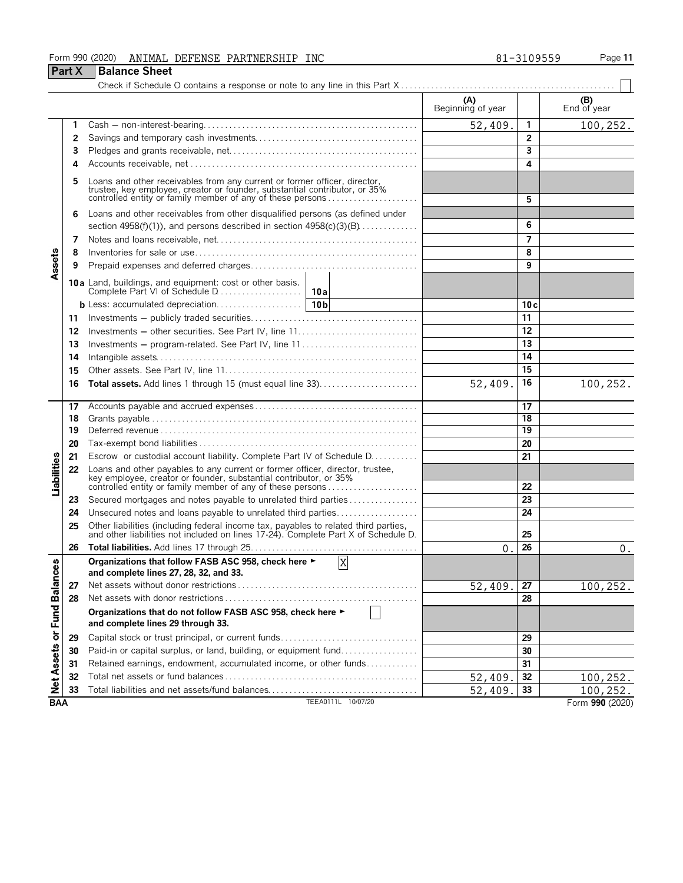#### Form 990 (2020) Page **11** ANIMAL DEFENSE PARTNERSHIP INC 81-3109559

|                            | <b>Part X</b> | <b>Balance Sheet</b>                                                                                                                                                                                                  |                          |                |                    |
|----------------------------|---------------|-----------------------------------------------------------------------------------------------------------------------------------------------------------------------------------------------------------------------|--------------------------|----------------|--------------------|
|                            |               |                                                                                                                                                                                                                       |                          |                |                    |
|                            |               |                                                                                                                                                                                                                       | (A)<br>Beginning of year |                | (B)<br>End of year |
|                            | -1            |                                                                                                                                                                                                                       | 52,409.                  | $\mathbf{1}$   | 100, 252.          |
|                            | 2             |                                                                                                                                                                                                                       |                          | $\overline{2}$ |                    |
|                            | 3             |                                                                                                                                                                                                                       |                          | 3              |                    |
|                            | 4             |                                                                                                                                                                                                                       |                          | 4              |                    |
|                            | 5             | Loans and other receivables from any current or former officer, director,<br>trustee, key employee, creator or founder, substantial contributor, or 35%<br>controlled entity or family member of any of these persons |                          | 5              |                    |
|                            | 6             | Loans and other receivables from other disqualified persons (as defined under                                                                                                                                         |                          |                |                    |
|                            |               | section $4958(f)(1)$ , and persons described in section $4958(c)(3)(B)$                                                                                                                                               |                          | 6              |                    |
|                            | 7             |                                                                                                                                                                                                                       |                          | $\overline{7}$ |                    |
|                            | 8             |                                                                                                                                                                                                                       |                          | 8              |                    |
| Assets                     | 9             |                                                                                                                                                                                                                       |                          | 9              |                    |
|                            |               | 10a Land, buildings, and equipment: cost or other basis.                                                                                                                                                              |                          |                |                    |
|                            |               |                                                                                                                                                                                                                       |                          | 10c            |                    |
|                            | 11            |                                                                                                                                                                                                                       |                          | 11             |                    |
|                            | 12            |                                                                                                                                                                                                                       |                          | 12             |                    |
|                            | 13            | Investments – program-related. See Part IV, line 11                                                                                                                                                                   |                          | 13             |                    |
|                            | 14            |                                                                                                                                                                                                                       |                          | 14             |                    |
|                            | 15            |                                                                                                                                                                                                                       |                          | 15             |                    |
|                            | 16            | <b>Total assets.</b> Add lines 1 through 15 (must equal line 33)                                                                                                                                                      | 52,409.                  | 16             | 100,252.           |
|                            | 17            |                                                                                                                                                                                                                       |                          | 17             |                    |
|                            | 18            |                                                                                                                                                                                                                       |                          | 18             |                    |
|                            | 19            |                                                                                                                                                                                                                       |                          | 19             |                    |
|                            | 20            |                                                                                                                                                                                                                       |                          | 20             |                    |
|                            | 21            | Escrow or custodial account liability. Complete Part IV of Schedule D.                                                                                                                                                |                          | 21             |                    |
| Liabilities                | 22            | Loans and other payables to any current or former officer, director, trustee, key employee, creator or founder, substantial contributor, or 35%<br>controlled entity or family member of any of these persons         |                          | 22             |                    |
|                            | 23            | Secured mortgages and notes payable to unrelated third parties                                                                                                                                                        |                          | 23             |                    |
|                            | 24            | Unsecured notes and loans payable to unrelated third parties                                                                                                                                                          |                          | 24             |                    |
|                            | 25            | Other liabilities (including federal income tax, payables to related third parties, and other liabilities not included on lines 17-24). Complete Part X of Schedule D.                                                |                          | 25             |                    |
|                            | 26            |                                                                                                                                                                                                                       | $\Omega$                 | 26             | 0.                 |
| ω                          |               | Organizations that follow FASB ASC 958, check here ►<br>X<br>and complete lines 27, 28, 32, and 33.                                                                                                                   |                          |                |                    |
| Net Assets or Fund Balance | 27            |                                                                                                                                                                                                                       | 52,409.                  | 27             | 100, 252.          |
|                            | 28            |                                                                                                                                                                                                                       |                          | 28             |                    |
|                            |               | Organizations that do not follow FASB ASC 958, check here ►<br>and complete lines 29 through 33.                                                                                                                      |                          |                |                    |
|                            | 29            | Capital stock or trust principal, or current funds                                                                                                                                                                    |                          | 29             |                    |
|                            | 30            | Paid-in or capital surplus, or land, building, or equipment fund                                                                                                                                                      |                          | 30             |                    |
|                            | 31            | Retained earnings, endowment, accumulated income, or other funds                                                                                                                                                      |                          | 31             |                    |
|                            | 32            |                                                                                                                                                                                                                       | 52,409.                  | 32             | 100, 252.          |
|                            | 33            |                                                                                                                                                                                                                       | 52,409.                  | 33             | 100,252.           |
| <b>BAA</b>                 |               | TEEA0111L 10/07/20                                                                                                                                                                                                    |                          |                | Form 990 (2020)    |

| 00(2020) ANIMAL DEFENSE P |  | <b>Dalance Choot</b> |  |
|---------------------------|--|----------------------|--|
|                           |  |                      |  |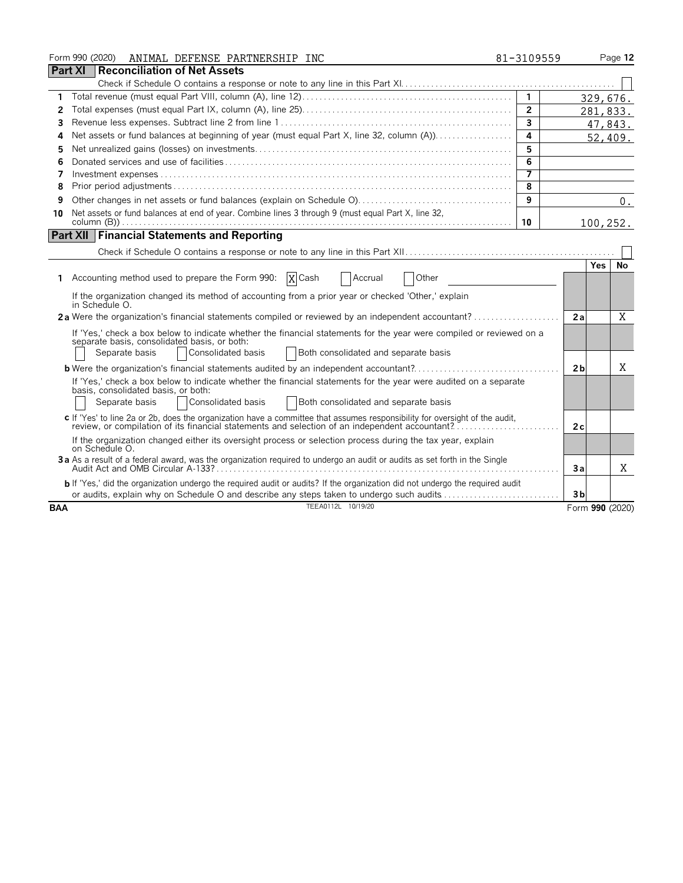|            | Form 990 (2020)<br>ANIMAL DEFENSE PARTNERSHIP INC                                                                                                                                                                                                                | 81-3109559     |                 |            | Page 12 |
|------------|------------------------------------------------------------------------------------------------------------------------------------------------------------------------------------------------------------------------------------------------------------------|----------------|-----------------|------------|---------|
|            | <b>Part XI</b><br><b>Reconciliation of Net Assets</b>                                                                                                                                                                                                            |                |                 |            |         |
|            |                                                                                                                                                                                                                                                                  |                |                 |            |         |
| 1          |                                                                                                                                                                                                                                                                  | $\mathbf{1}$   |                 | 329,676.   |         |
| 2          |                                                                                                                                                                                                                                                                  | $\overline{2}$ |                 | 281,833.   |         |
| 3          |                                                                                                                                                                                                                                                                  | 3              |                 | 47,843.    |         |
| 4          | Net assets or fund balances at beginning of year (must equal Part X, line 32, column (A))                                                                                                                                                                        | 4              |                 | 52,409.    |         |
| 5          |                                                                                                                                                                                                                                                                  | 5              |                 |            |         |
| 6          |                                                                                                                                                                                                                                                                  | 6              |                 |            |         |
| 7          |                                                                                                                                                                                                                                                                  | 7              |                 |            |         |
| 8          |                                                                                                                                                                                                                                                                  | 8              |                 |            |         |
| 9          |                                                                                                                                                                                                                                                                  | 9              |                 |            | $0$ .   |
| 10         | Net assets or fund balances at end of year. Combine lines 3 through 9 (must equal Part X, line 32,<br>column (B) $\ldots$ $\ldots$ $\ldots$ $\ldots$ $\ldots$ $\ldots$ $\ldots$ $\ldots$ $\ldots$ $\ldots$ $\ldots$ $\ldots$ $\ldots$ $\ldots$ $\ldots$ $\ldots$ | 10             |                 | 100,252.   |         |
|            | <b>Part XII Financial Statements and Reporting</b>                                                                                                                                                                                                               |                |                 |            |         |
|            |                                                                                                                                                                                                                                                                  |                |                 |            |         |
|            |                                                                                                                                                                                                                                                                  |                |                 | <b>Yes</b> | No      |
| 1          | Accounting method used to prepare the Form 990: $X$ Cash<br>  Accrual<br><b>Other</b>                                                                                                                                                                            |                |                 |            |         |
|            | If the organization changed its method of accounting from a prior year or checked 'Other,' explain<br>in Schedule O.                                                                                                                                             |                |                 |            |         |
|            | 2a Were the organization's financial statements compiled or reviewed by an independent accountant?                                                                                                                                                               |                | 2a              |            | X       |
|            | If 'Yes,' check a box below to indicate whether the financial statements for the year were compiled or reviewed on a<br>separate basis, consolidated basis, or both:                                                                                             |                |                 |            |         |
|            | Consolidated basis<br>Both consolidated and separate basis<br>Separate basis                                                                                                                                                                                     |                |                 |            |         |
|            | <b>b</b> Were the organization's financial statements audited by an independent accountant?                                                                                                                                                                      |                | 2 <sub>b</sub>  |            | X       |
|            | If 'Yes,' check a box below to indicate whether the financial statements for the year were audited on a separate                                                                                                                                                 |                |                 |            |         |
|            | basis, consolidated basis, or both:<br>Consolidated basis<br><b>Both consolidated and separate basis</b><br>Separate basis                                                                                                                                       |                |                 |            |         |
|            | c If 'Yes' to line 2a or 2b, does the organization have a committee that assumes responsibility for oversight of the audit, review, or compilation of its financial statements and selection of an independent accountant?                                       |                | 2c              |            |         |
|            | If the organization changed either its oversight process or selection process during the tax year, explain<br>on Schedule O.                                                                                                                                     |                |                 |            |         |
|            | 3a As a result of a federal award, was the organization required to undergo an audit or audits as set forth in the Single                                                                                                                                        |                | Зa              |            | X       |
|            | b If 'Yes,' did the organization undergo the required audit or audits? If the organization did not undergo the required audit<br>or audits, explain why on Schedule O and describe any steps taken to undergo such audits                                        |                | 3b              |            |         |
| <b>BAA</b> | TEEA0112L 10/19/20                                                                                                                                                                                                                                               |                | Form 990 (2020) |            |         |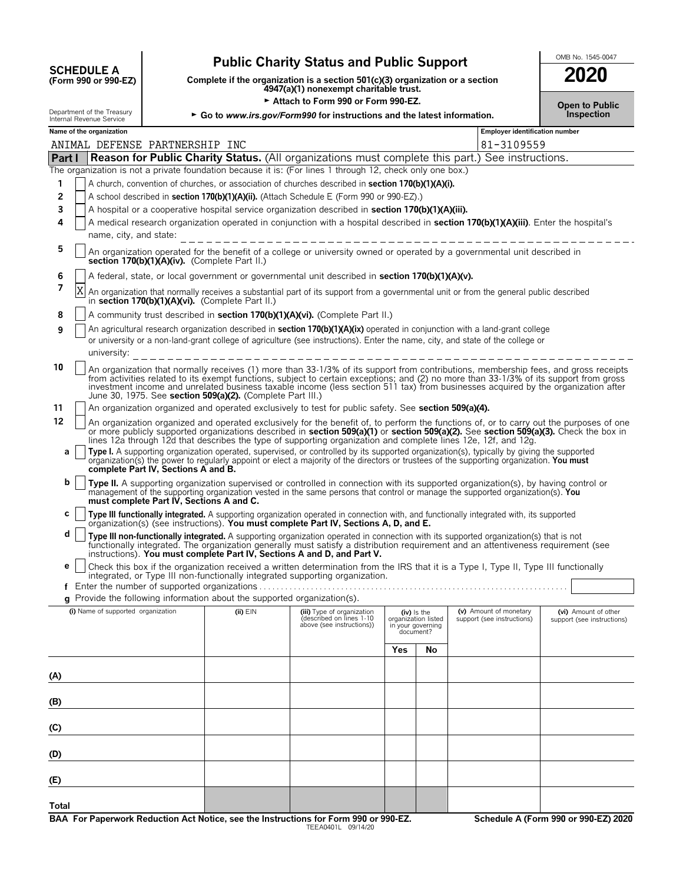|                                           |                                                            | <b>Public Charity Status and Public Support</b> |                                                                                                                           |                                                                                                                                                                                                                                                                                                                                                                                                                    |     |                                                                      | OMB No. 1545-0047                                    |                                                    |  |
|-------------------------------------------|------------------------------------------------------------|-------------------------------------------------|---------------------------------------------------------------------------------------------------------------------------|--------------------------------------------------------------------------------------------------------------------------------------------------------------------------------------------------------------------------------------------------------------------------------------------------------------------------------------------------------------------------------------------------------------------|-----|----------------------------------------------------------------------|------------------------------------------------------|----------------------------------------------------|--|
| <b>SCHEDULE A</b><br>(Form 990 or 990-EZ) |                                                            |                                                 | Complete if the organization is a section $501(c)(3)$ organization or a section<br>4947(a)(1) nonexempt charitable trust. | 2020                                                                                                                                                                                                                                                                                                                                                                                                               |     |                                                                      |                                                      |                                                    |  |
|                                           |                                                            |                                                 |                                                                                                                           | Attach to Form 990 or Form 990-EZ.                                                                                                                                                                                                                                                                                                                                                                                 |     |                                                                      |                                                      | <b>Open to Public</b>                              |  |
|                                           | Department of the Treasury<br>Internal Revenue Service     |                                                 |                                                                                                                           | ► Go to www.irs.gov/Form990 for instructions and the latest information.                                                                                                                                                                                                                                                                                                                                           |     |                                                                      |                                                      | Inspection                                         |  |
|                                           | Name of the organization<br>ANIMAL DEFENSE PARTNERSHIP INC |                                                 |                                                                                                                           |                                                                                                                                                                                                                                                                                                                                                                                                                    |     |                                                                      | <b>Employer identification number</b><br>81-3109559  |                                                    |  |
|                                           |                                                            |                                                 |                                                                                                                           | <b>Part   Reason for Public Charity Status.</b> (All organizations must complete this part.) See instructions.                                                                                                                                                                                                                                                                                                     |     |                                                                      |                                                      |                                                    |  |
|                                           |                                                            |                                                 |                                                                                                                           | The organization is not a private foundation because it is: (For lines 1 through 12, check only one box.)                                                                                                                                                                                                                                                                                                          |     |                                                                      |                                                      |                                                    |  |
| 1                                         |                                                            |                                                 |                                                                                                                           | A church, convention of churches, or association of churches described in section 170(b)(1)(A)(i).                                                                                                                                                                                                                                                                                                                 |     |                                                                      |                                                      |                                                    |  |
| 2<br>3                                    |                                                            |                                                 |                                                                                                                           | A school described in section 170(b)(1)(A)(ii). (Attach Schedule E (Form 990 or 990-EZ).)<br>A hospital or a cooperative hospital service organization described in section 170(b)(1)(A)(iii).                                                                                                                                                                                                                     |     |                                                                      |                                                      |                                                    |  |
| 4                                         |                                                            |                                                 |                                                                                                                           | A medical research organization operated in conjunction with a hospital described in section 170(b)(1)(A)(iii). Enter the hospital's                                                                                                                                                                                                                                                                               |     |                                                                      |                                                      |                                                    |  |
|                                           | name, city, and state:                                     |                                                 |                                                                                                                           |                                                                                                                                                                                                                                                                                                                                                                                                                    |     |                                                                      |                                                      |                                                    |  |
| 5                                         |                                                            |                                                 | section 170(b)(1)(A)(iv). (Complete Part II.)                                                                             | An organization operated for the benefit of a college or university owned or operated by a governmental unit described in                                                                                                                                                                                                                                                                                          |     |                                                                      |                                                      |                                                    |  |
| 6                                         |                                                            |                                                 |                                                                                                                           | A federal, state, or local government or governmental unit described in section 170(b)(1)(A)(v).                                                                                                                                                                                                                                                                                                                   |     |                                                                      |                                                      |                                                    |  |
| 7                                         | Χ                                                          |                                                 | in section 170(b)(1)(A)(vi). (Complete Part II.)                                                                          | An organization that normally receives a substantial part of its support from a governmental unit or from the general public described                                                                                                                                                                                                                                                                             |     |                                                                      |                                                      |                                                    |  |
| 8                                         |                                                            |                                                 |                                                                                                                           | A community trust described in section 170(b)(1)(A)(vi). (Complete Part II.)                                                                                                                                                                                                                                                                                                                                       |     |                                                                      |                                                      |                                                    |  |
| 9                                         | university:                                                |                                                 |                                                                                                                           | An agricultural research organization described in section 170(b)(1)(A)(ix) operated in conjunction with a land-grant college<br>or university or a non-land-grant college of agriculture (see instructions). Enter the name, city, and state of the college or                                                                                                                                                    |     |                                                                      |                                                      |                                                    |  |
| 10                                        |                                                            |                                                 | June 30, 1975. See section 509(a)(2). (Complete Part III.)                                                                | An organization that normally receives (1) more than 33-1/3% of its support from contributions, membership fees, and gross receipts<br>from activities related to its exempt functions, subject to certain exceptions; and (2) no more than 33-1/3% of its support from gross<br>investment income and unrelated business taxable income (less section 511 tax) from businesses acquired by the organization after |     |                                                                      |                                                      |                                                    |  |
| 11                                        |                                                            |                                                 |                                                                                                                           | An organization organized and operated exclusively to test for public safety. See section 509(a)(4).                                                                                                                                                                                                                                                                                                               |     |                                                                      |                                                      |                                                    |  |
| 12                                        |                                                            |                                                 |                                                                                                                           | An organization organized and operated exclusively for the benefit of, to perform the functions of, or to carry out the purposes of one<br>or more publicly supported organizations described in section 509(a)(1) or section 509(a)(2). See section 509(a)(3). Check the box in<br>lines 12a through 12d that describes the type of supporting organization and complete lines 12e, 12f, and 12g,                 |     |                                                                      |                                                      |                                                    |  |
|                                           | а                                                          | complete Part IV, Sections A and B.             |                                                                                                                           | Type I. A supporting organization operated, supervised, or controlled by its supported organization(s), typically by giving the supported<br>organization(s) the power to regularly appoint or elect a majority of the directors or trustees of the supporting organization. You must                                                                                                                              |     |                                                                      |                                                      |                                                    |  |
|                                           | b                                                          | must complete Part IV, Sections A and C.        |                                                                                                                           | Type II. A supporting organization supervised or controlled in connection with its supported organization(s), by having control or<br>management of the supporting organization vested in the same persons that control or manage the supported organization(s). You                                                                                                                                               |     |                                                                      |                                                      |                                                    |  |
| с                                         |                                                            |                                                 |                                                                                                                           | Type III functionally integrated. A supporting organization operated in connection with, and functionally integrated with, its supported<br>organization(s) (see instructions). You must complete Part IV, Sections A, D, and E.                                                                                                                                                                                   |     |                                                                      |                                                      |                                                    |  |
|                                           | d                                                          |                                                 |                                                                                                                           | Type III non-functionally integrated. A supporting organization operated in connection with its supported organization(s) that is not<br>functionally integrated. The organization generally must satisfy a distribution requirement and an attentiveness requirement (see<br>instructions). You must complete Part IV, Sections A and D, and Part V.                                                              |     |                                                                      |                                                      |                                                    |  |
|                                           | е                                                          |                                                 |                                                                                                                           | Check this box if the organization received a written determination from the IRS that it is a Type I, Type II, Type III functionally integrated, or Type III non-functionally integrated supporting organization.                                                                                                                                                                                                  |     |                                                                      |                                                      |                                                    |  |
|                                           |                                                            |                                                 | g Provide the following information about the supported organization(s).                                                  |                                                                                                                                                                                                                                                                                                                                                                                                                    |     |                                                                      |                                                      |                                                    |  |
|                                           | (i) Name of supported organization                         |                                                 | $(ii)$ $EIN$                                                                                                              | (iii) Type of organization<br>(described on lines 1-10<br>above (see instructions))                                                                                                                                                                                                                                                                                                                                |     | (iv) Is the<br>organization listed<br>in your governing<br>document? | (v) Amount of monetary<br>support (see instructions) | (vi) Amount of other<br>support (see instructions) |  |
|                                           |                                                            |                                                 |                                                                                                                           |                                                                                                                                                                                                                                                                                                                                                                                                                    | Yes | No                                                                   |                                                      |                                                    |  |
| (A)                                       |                                                            |                                                 |                                                                                                                           |                                                                                                                                                                                                                                                                                                                                                                                                                    |     |                                                                      |                                                      |                                                    |  |
| (B)                                       |                                                            |                                                 |                                                                                                                           |                                                                                                                                                                                                                                                                                                                                                                                                                    |     |                                                                      |                                                      |                                                    |  |
| (C)                                       |                                                            |                                                 |                                                                                                                           |                                                                                                                                                                                                                                                                                                                                                                                                                    |     |                                                                      |                                                      |                                                    |  |
| (D)                                       |                                                            |                                                 |                                                                                                                           |                                                                                                                                                                                                                                                                                                                                                                                                                    |     |                                                                      |                                                      |                                                    |  |
| (E)                                       |                                                            |                                                 |                                                                                                                           |                                                                                                                                                                                                                                                                                                                                                                                                                    |     |                                                                      |                                                      |                                                    |  |
| Total                                     |                                                            |                                                 |                                                                                                                           | <b>RAA</b> For Reponsible Reduction Act Notice, see the Instructions for Form 880 or 880 F7                                                                                                                                                                                                                                                                                                                        |     |                                                                      |                                                      | Schodule A (Form 990 or 990 E7) 2020               |  |

| BAA For Paperwork Reduction Act Notice, see the Instructions for Form 990 or 990-EZ. |  |
|--------------------------------------------------------------------------------------|--|
| TEEA0401L 09/14/20                                                                   |  |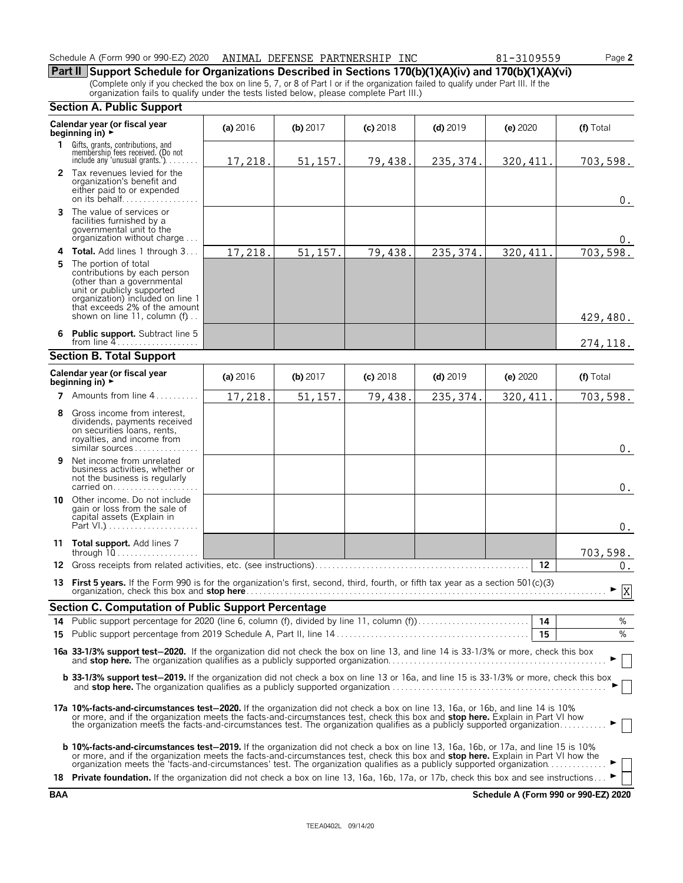#### Schedule A (Form 990 or 990-EZ) 2020 ANIMAL DEFENSE PARTNERSHIP INC  $81-3109559$  Page 2

**Part II Support Schedule for Organizations Described in Sections 170(b)(1)(A)(iv) and 170(b)(1)(A)(vi)** (Complete only if you checked the box on line 5, 7, or 8 of Part I or if the organization failed to qualify under Part III. If the organization fails to qualify under the tests listed below, please complete Part III.)

|    | <b>Section A. Public Support</b>                                                                                                                                                                                                                                                                                                                                                                         |            |            |            |            |           |                      |  |
|----|----------------------------------------------------------------------------------------------------------------------------------------------------------------------------------------------------------------------------------------------------------------------------------------------------------------------------------------------------------------------------------------------------------|------------|------------|------------|------------|-----------|----------------------|--|
|    | Calendar year (or fiscal year<br>beginning in) $\rightarrow$                                                                                                                                                                                                                                                                                                                                             | (a) 2016   | (b) $2017$ | $(c)$ 2018 | $(d)$ 2019 | (e) 2020  | (f) Total            |  |
|    | 1 Gifts, grants, contributions, and<br>membership fees received. (Do not<br>include any 'unusual grants.'). $\ldots$                                                                                                                                                                                                                                                                                     | 17,218.    | 51, 157.   | 79,438.    | 235, 374.  | 320, 411. | 703,598.             |  |
|    | 2 Tax revenues levied for the<br>organization's benefit and<br>either paid to or expended<br>on its behalf                                                                                                                                                                                                                                                                                               |            |            |            |            |           | $0$ .                |  |
| 3  | The value of services or<br>facilities furnished by a<br>governmental unit to the<br>organization without charge                                                                                                                                                                                                                                                                                         |            |            |            |            |           | 0.                   |  |
| 5. | 4 Total. Add lines 1 through 3<br>The portion of total<br>contributions by each person<br>(other than a governmental<br>unit or publicly supported<br>organization) included on line 1<br>that exceeds 2% of the amount<br>shown on line 11, column (f)                                                                                                                                                  | 17,218.    | 51,157.    | 79,438.    | 235, 374.  | 320, 411  | 703,598.<br>429,480. |  |
|    | 6 Public support. Subtract line 5                                                                                                                                                                                                                                                                                                                                                                        |            |            |            |            |           | 274,118.             |  |
|    | <b>Section B. Total Support</b>                                                                                                                                                                                                                                                                                                                                                                          |            |            |            |            |           |                      |  |
|    | Calendar year (or fiscal year<br>beginning in) $\rightarrow$                                                                                                                                                                                                                                                                                                                                             | (a) $2016$ | (b) $2017$ | $(c)$ 2018 | $(d)$ 2019 | (e) 2020  | (f) Total            |  |
| 7  | Amounts from line 4                                                                                                                                                                                                                                                                                                                                                                                      | 17,218.    | 51, 157.   | 79,438.    | 235, 374.  | 320, 411. | 703,598.             |  |
| 8  | Gross income from interest,<br>dividends, payments received<br>on securities loans, rents,<br>royalties, and income from<br>similar sources                                                                                                                                                                                                                                                              |            |            |            |            |           | 0.                   |  |
| 9  | Net income from unrelated<br>business activities, whether or<br>not the business is regularly<br>carried on                                                                                                                                                                                                                                                                                              |            |            |            |            |           | $0$ .                |  |
|    | <b>10</b> Other income. Do not include<br>gain or loss from the sale of<br>capital assets (Explain in                                                                                                                                                                                                                                                                                                    |            |            |            |            |           | $0$ .                |  |
|    | 11 Total support. Add lines 7                                                                                                                                                                                                                                                                                                                                                                            |            |            |            |            |           | 703,598.             |  |
|    |                                                                                                                                                                                                                                                                                                                                                                                                          |            |            |            |            | 12        | $0$ .                |  |
|    | 13 First 5 years. If the Form 990 is for the organization's first, second, third, fourth, or fifth tax year as a section 501(c)(3)                                                                                                                                                                                                                                                                       |            |            |            |            |           | $\mathbf X$          |  |
|    | <b>Section C. Computation of Public Support Percentage</b>                                                                                                                                                                                                                                                                                                                                               |            |            |            |            |           |                      |  |
| 14 | Public support percentage for 2020 (line 6, column (f), divided by line 11, column (f)                                                                                                                                                                                                                                                                                                                   |            |            |            |            | 14        | ℅                    |  |
|    |                                                                                                                                                                                                                                                                                                                                                                                                          |            |            |            |            | 15        | %                    |  |
|    | 16a 33-1/3% support test-2020. If the organization did not check the box on line 13, and line 14 is 33-1/3% or more, check this box                                                                                                                                                                                                                                                                      |            |            |            |            |           |                      |  |
|    | <b>b 33-1/3% support test-2019.</b> If the organization did not check a box on line 13 or 16a, and line 15 is 33-1/3% or more, check this box                                                                                                                                                                                                                                                            |            |            |            |            |           |                      |  |
|    | 17a 10%-facts-and-circumstances test-2020. If the organization did not check a box on line 13, 16a, or 16b, and line 14 is 10%<br>or more, and if the organization meets the facts-and-circumstances test, check this box and <b>stop here.</b> Explain in Part VI how<br>the organization meets the facts-and-circumstances test. The organization qualifies as a publicly supported organization       |            |            |            |            |           |                      |  |
|    | <b>b 10%-facts-and-circumstances test-2019.</b> If the organization did not check a box on line 13, 16a, 16b, or 17a, and line 15 is 10%<br>or more, and if the organization meets the facts-and-circumstances test, check this box and stop here. Explain in Part VI how the<br>organization meets the 'facts-and-circumstances' test. The organization qualifies as a publicly supported organization. |            |            |            |            |           |                      |  |
|    | 18 Private foundation. If the organization did not check a box on line 13, 16a, 16b, 17a, or 17b, check this box and see instructions                                                                                                                                                                                                                                                                    |            |            |            |            |           |                      |  |

**BAA Schedule A (Form 990 or 990-EZ) 2020**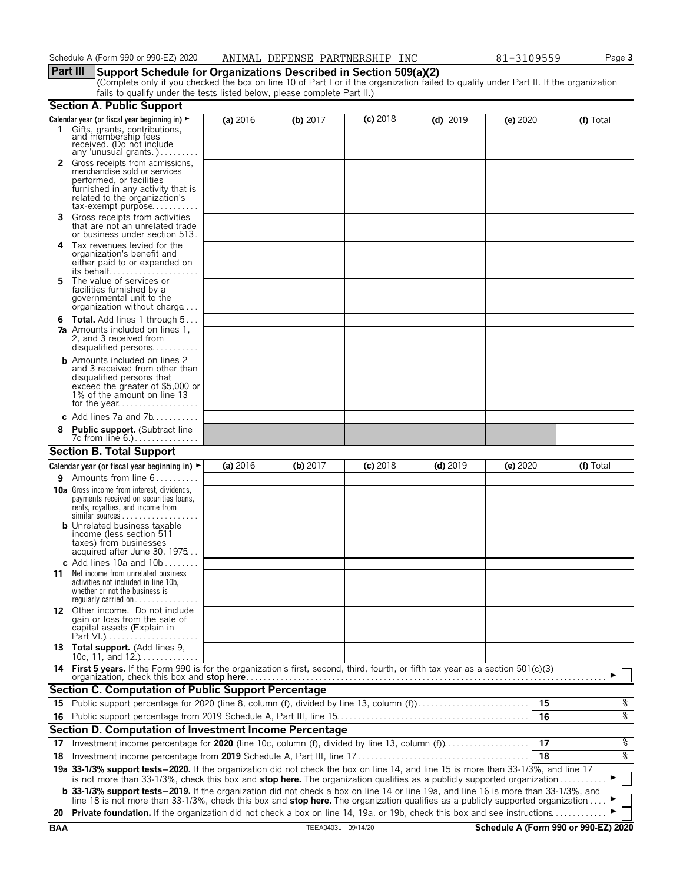#### Schedule A (Form 990 or 990-EZ) 2020 ANIMAL DEFENSE PARTNERSHIP INC  $81-3109559$  Page 3

#### **Part III Support Schedule for Organizations Described in Section 509(a)(2)** (Complete only if you checked the box on line 10 of Part I or if the organization failed to qualify under Part II. If the organization fails to qualify under the tests listed below, please complete Part II.)

|     | <b>Section A. Public Support</b>                                                                                                                                                                                                                               |          |            |            |            |            |    |           |
|-----|----------------------------------------------------------------------------------------------------------------------------------------------------------------------------------------------------------------------------------------------------------------|----------|------------|------------|------------|------------|----|-----------|
|     | Calendar year (or fiscal year beginning in) >                                                                                                                                                                                                                  | (a) 2016 | (b) 2017   | $(c)$ 2018 | $(d)$ 2019 | (e) 2020   |    | (f) Total |
|     | Gifts, grants, contributions,<br>and membership fees<br>received. (Do not include<br>any 'unusual grants.')                                                                                                                                                    |          |            |            |            |            |    |           |
|     | <b>2</b> Gross receipts from admissions,                                                                                                                                                                                                                       |          |            |            |            |            |    |           |
|     | merchandise sold or services<br>performed, or facilities                                                                                                                                                                                                       |          |            |            |            |            |    |           |
|     | furnished in any activity that is                                                                                                                                                                                                                              |          |            |            |            |            |    |           |
|     | related to the organization's                                                                                                                                                                                                                                  |          |            |            |            |            |    |           |
| 3   | tax-exempt purpose<br>Gross receipts from activities                                                                                                                                                                                                           |          |            |            |            |            |    |           |
|     | that are not an unrelated trade<br>or business under section 513.                                                                                                                                                                                              |          |            |            |            |            |    |           |
| 4   | Tax revenues levied for the                                                                                                                                                                                                                                    |          |            |            |            |            |    |           |
|     | organization's benefit and<br>either paid to or expended on                                                                                                                                                                                                    |          |            |            |            |            |    |           |
|     | its behalf                                                                                                                                                                                                                                                     |          |            |            |            |            |    |           |
| 5.  | The value of services or<br>facilities furnished by a                                                                                                                                                                                                          |          |            |            |            |            |    |           |
|     | governmental unit to the                                                                                                                                                                                                                                       |          |            |            |            |            |    |           |
|     | organization without charge                                                                                                                                                                                                                                    |          |            |            |            |            |    |           |
|     | <b>6 Total.</b> Add lines 1 through 5<br><b>7a</b> Amounts included on lines 1,                                                                                                                                                                                |          |            |            |            |            |    |           |
|     | 2, and 3 received from                                                                                                                                                                                                                                         |          |            |            |            |            |    |           |
|     | disqualified persons<br><b>b</b> Amounts included on lines 2                                                                                                                                                                                                   |          |            |            |            |            |    |           |
|     | and 3 received from other than                                                                                                                                                                                                                                 |          |            |            |            |            |    |           |
|     | disqualified persons that<br>exceed the greater of \$5,000 or                                                                                                                                                                                                  |          |            |            |            |            |    |           |
|     | 1% of the amount on line 13                                                                                                                                                                                                                                    |          |            |            |            |            |    |           |
|     | for the year                                                                                                                                                                                                                                                   |          |            |            |            |            |    |           |
|     | c Add lines $7a$ and $7b$                                                                                                                                                                                                                                      |          |            |            |            |            |    |           |
| 8   | Public support. (Subtract line<br>7c from line 6.)                                                                                                                                                                                                             |          |            |            |            |            |    |           |
|     | <b>Section B. Total Support</b>                                                                                                                                                                                                                                |          |            |            |            |            |    |           |
|     | Calendar year (or fiscal year beginning in) $\blacktriangleright$                                                                                                                                                                                              | (a) 2016 | $(b)$ 2017 | $(c)$ 2018 | $(d)$ 2019 | (e) $2020$ |    | (f) Total |
|     | <b>9</b> Amounts from line 6                                                                                                                                                                                                                                   |          |            |            |            |            |    |           |
|     | <b>10a</b> Gross income from interest, dividends,<br>payments received on securities loans,                                                                                                                                                                    |          |            |            |            |            |    |           |
|     | rents, royalties, and income from                                                                                                                                                                                                                              |          |            |            |            |            |    |           |
|     | similar sources<br><b>b</b> Unrelated business taxable                                                                                                                                                                                                         |          |            |            |            |            |    |           |
|     | income (less section 511                                                                                                                                                                                                                                       |          |            |            |            |            |    |           |
|     | taxes) from businesses<br>acquired after June 30, 1975.                                                                                                                                                                                                        |          |            |            |            |            |    |           |
|     | c Add lines 10a and $10b$                                                                                                                                                                                                                                      |          |            |            |            |            |    |           |
| 11  | Net income from unrelated business                                                                                                                                                                                                                             |          |            |            |            |            |    |           |
|     | activities not included in line 10b,<br>whether or not the business is                                                                                                                                                                                         |          |            |            |            |            |    |           |
|     | requilarly carried on $\dots$                                                                                                                                                                                                                                  |          |            |            |            |            |    |           |
|     | <b>12</b> Other income. Do not include<br>gain or loss from the sale of                                                                                                                                                                                        |          |            |            |            |            |    |           |
|     | capital assets (Explain in                                                                                                                                                                                                                                     |          |            |            |            |            |    |           |
|     | Part VI.)<br>13 Total support. (Add lines 9,                                                                                                                                                                                                                   |          |            |            |            |            |    |           |
|     | 10c, 11, and $12.$ )                                                                                                                                                                                                                                           |          |            |            |            |            |    |           |
|     | 14 First 5 years. If the Form 990 is for the organization's first, second, third, fourth, or fifth tax year as a section 501(c)(3)                                                                                                                             |          |            |            |            |            |    |           |
|     | <b>Section C. Computation of Public Support Percentage</b>                                                                                                                                                                                                     |          |            |            |            |            |    |           |
| 15. | Public support percentage for 2020 (line 8, column (f), divided by line 13, column (f)                                                                                                                                                                         |          |            |            |            |            | 15 | န့        |
| 16  |                                                                                                                                                                                                                                                                |          |            |            |            |            | 16 | နွ        |
|     | Section D. Computation of Investment Income Percentage                                                                                                                                                                                                         |          |            |            |            |            |    |           |
| 17  |                                                                                                                                                                                                                                                                |          |            |            |            |            | 17 | ిం        |
| 18  |                                                                                                                                                                                                                                                                |          |            |            |            |            | 18 | နွ        |
|     | 19a 33-1/3% support tests-2020. If the organization did not check the box on line 14, and line 15 is more than 33-1/3%, and line 17<br>is not more than 33-1/3%, check this box and stop here. The organization qualifies as a publicly supported organization |          |            |            |            |            |    |           |
|     | <b>b</b> 33-1/3% support tests–2019. If the organization did not check a box on line 14 or line 19a, and line 16 is more than 33-1/3%, and                                                                                                                     |          |            |            |            |            |    |           |
|     | line 18 is not more than 33-1/3%, check this box and <b>stop here.</b> The organization qualifies as a publicly supported organization                                                                                                                         |          |            |            |            |            |    |           |
|     | 20 Private foundation. If the organization did not check a box on line 14, 19a, or 19b, check this box and see instructions                                                                                                                                    |          |            |            |            |            |    |           |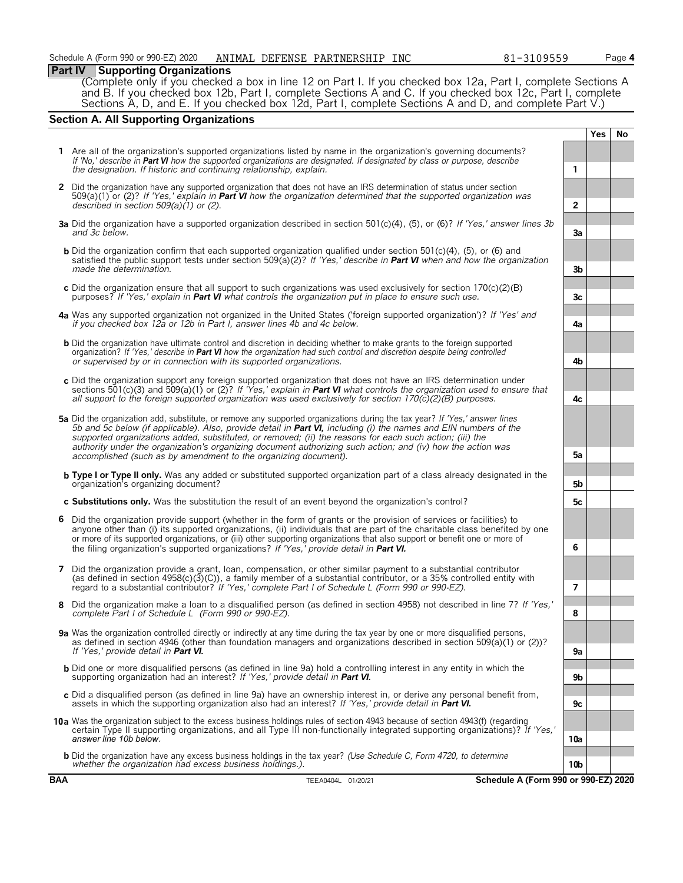#### **Part IV | Supporting Organizations**

**Section A. All Supporting Organizations**

(Complete only if you checked a box in line 12 on Part I. If you checked box 12a, Part I, complete Sections A and B. If you checked box 12b, Part I, complete Sections A and C. If you checked box 12c, Part I, complete Sections A, D, and E. If you checked box 12d, Part I, complete Sections A and D, and complete Part V.)

|                                                                                                                                                                                                                                                                                                                                                                                                                                                                                                                                              |                 | Yes. | No. |
|----------------------------------------------------------------------------------------------------------------------------------------------------------------------------------------------------------------------------------------------------------------------------------------------------------------------------------------------------------------------------------------------------------------------------------------------------------------------------------------------------------------------------------------------|-----------------|------|-----|
| 1 Are all of the organization's supported organizations listed by name in the organization's governing documents?<br>If 'No,' describe in Part VI how the supported organizations are designated. If designated by class or purpose, describe<br>the designation. If historic and continuing relationship, explain.                                                                                                                                                                                                                          | $\mathbf{1}$    |      |     |
| 2 Did the organization have any supported organization that does not have an IRS determination of status under section<br>509(a)(1) or (2)? If 'Yes,' explain in <b>Part VI</b> how the organization determined that the supported organization was<br>described in section $509(a)(1)$ or (2).                                                                                                                                                                                                                                              | $\mathbf{2}$    |      |     |
| 3a Did the organization have a supported organization described in section 501(c)(4), (5), or (6)? If 'Yes,' answer lines 3b<br>and 3c below.                                                                                                                                                                                                                                                                                                                                                                                                | 3a              |      |     |
| <b>b</b> Did the organization confirm that each supported organization qualified under section 501(c)(4), (5), or (6) and<br>satisfied the public support tests under section 509(a)(2)? If 'Yes,' describe in <b>Part VI</b> when and how the organization<br>made the determination.                                                                                                                                                                                                                                                       | 3 <sub>b</sub>  |      |     |
| <b>c</b> Did the organization ensure that all support to such organizations was used exclusively for section 170(c)(2)(B)<br>purposes? If 'Yes,' explain in <b>Part VI</b> what controls the organization put in place to ensure such use.                                                                                                                                                                                                                                                                                                   | 3 <sub>c</sub>  |      |     |
| 4a Was any supported organization not organized in the United States ('foreign supported organization')? If 'Yes' and<br>if you checked box 12a or 12b in Part I, answer lines 4b and 4c below.                                                                                                                                                                                                                                                                                                                                              | 4a              |      |     |
| <b>b</b> Did the organization have ultimate control and discretion in deciding whether to make grants to the foreign supported<br>organization? If 'Yes,' describe in Part VI how the organization had such control and discretion despite being controlled<br>or supervised by or in connection with its supported organizations.                                                                                                                                                                                                           | 4b              |      |     |
| $\epsilon$ Did the organization support any foreign supported organization that does not have an IRS determination under<br>sections 501(c)(3) and 509(a)(1) or (2)? If 'Yes,' explain in <b>Part VI</b> what controls the organization used to ensure that<br>all support to the foreign supported organization was used exclusively for section $170(c)(2)(B)$ purposes.                                                                                                                                                                   | 4c              |      |     |
| 5a Did the organization add, substitute, or remove any supported organizations during the tax year? If 'Yes,' answer lines<br>5b and 5c below (if applicable). Also, provide detail in Part VI, including (i) the names and EIN numbers of the<br>supported organizations added, substituted, or removed; (ii) the reasons for each such action; (iii) the<br>authority under the organization's organizing document authorizing such action; and (iv) how the action was<br>accomplished (such as by amendment to the organizing document). | 5a              |      |     |
| <b>b</b> Type I or Type II only. Was any added or substituted supported organization part of a class already designated in the<br>organization's organizing document?                                                                                                                                                                                                                                                                                                                                                                        | 5b              |      |     |
| c Substitutions only. Was the substitution the result of an event beyond the organization's control?                                                                                                                                                                                                                                                                                                                                                                                                                                         | 5с              |      |     |
| 6 Did the organization provide support (whether in the form of grants or the provision of services or facilities) to<br>anyone other than (i) its supported organizations, (ii) individuals that are part of the charitable class benefited by one<br>or more of its supported organizations, or (iii) other supporting organizations that also support or benefit one or more of<br>the filing organization's supported organizations? If 'Yes,' provide detail in Part VI.                                                                 | 6               |      |     |
| 7 Did the organization provide a grant, loan, compensation, or other similar payment to a substantial contributor<br>(as defined in section 4958(c)(3)(C)), a family member of a substantial contributor, or a 35% controlled entity with<br>regard to a substantial contributor? If 'Yes,' complete Part I of Schedule L (Form 990 or 990-EZ).                                                                                                                                                                                              | $\overline{7}$  |      |     |
| 8 Did the organization make a loan to a disqualified person (as defined in section 4958) not described in line 7? If 'Yes,'<br>complete Part I of Schedule L (Form 990 or 990-EZ).                                                                                                                                                                                                                                                                                                                                                           | 8               |      |     |
| 9a Was the organization controlled directly or indirectly at any time during the tax year by one or more disqualified persons,<br>as defined in section 4946 (other than foundation managers and organizations described in section 509(a)(1) or (2))?<br>If 'Yes,' provide detail in <b>Part VI.</b>                                                                                                                                                                                                                                        | 9a              |      |     |
| <b>b</b> Did one or more disqualified persons (as defined in line 9a) hold a controlling interest in any entity in which the<br>supporting organization had an interest? If 'Yes,' provide detail in Part VI.                                                                                                                                                                                                                                                                                                                                | 9b              |      |     |
| c Did a disqualified person (as defined in line 9a) have an ownership interest in, or derive any personal benefit from,<br>assets in which the supporting organization also had an interest? If 'Yes,' provide detail in Part VI.                                                                                                                                                                                                                                                                                                            | 9с              |      |     |
| 10a Was the organization subject to the excess business holdings rules of section 4943 because of section 4943(f) (regarding<br>certain Type II supporting organizations, and all Type III non-functionally integrated supporting organizations)? If 'Yes,'<br>answer line 10b below.                                                                                                                                                                                                                                                        | 10a             |      |     |
| <b>b</b> Did the organization have any excess business holdings in the tax year? (Use Schedule C, Form 4720, to determine<br>whether the organization had excess business holdings.).                                                                                                                                                                                                                                                                                                                                                        | 10 <sub>b</sub> |      |     |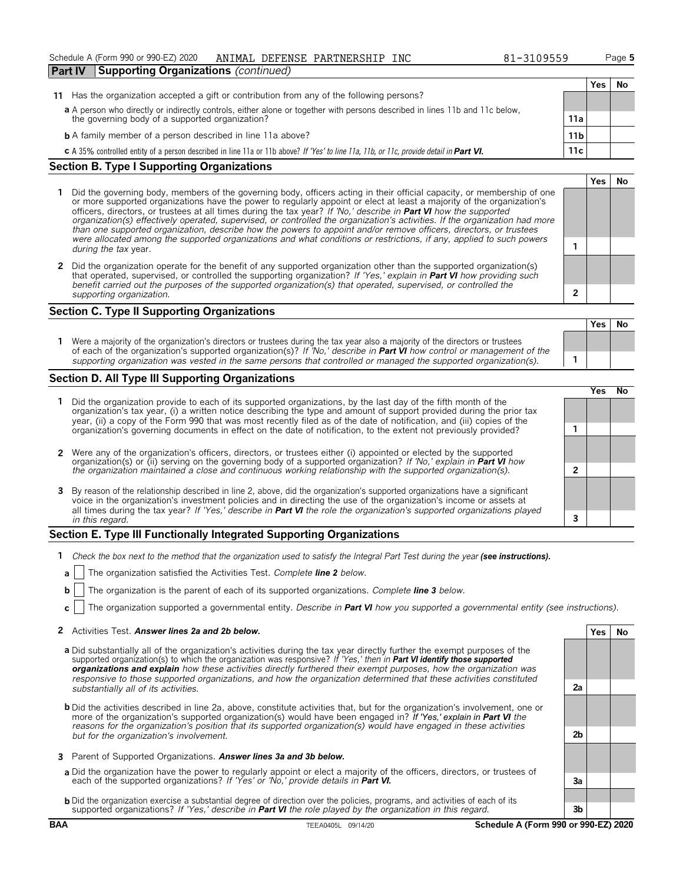**Yes No 11** Has the organization accepted a gift or contribution from any of the following persons? **a** A person who directly or indirectly controls, either alone or together with persons described in lines 11b and 11c below, the governing body of a supported organization? **11a b** A family member of a person described in line 11a above? **11b 11b 11b 11b 11b 11b c** A 35% controlled entity of a person described in line 11a or 11b above? *If 'Yes' to line 11a, 11b, or 11c, provide detail in Part VI.* **11c**

#### **Section B. Type I Supporting Organizations**

- **1** Did the governing body, members of the governing body, officers acting in their official capacity, or membership of one or more supported organizations have the power to regularly appoint or elect at least a majority of the organization's officers, directors, or trustees at all times during the tax year? *If 'No,' describe in Part VI how the supported organization(s) effectively operated, supervised, or controlled the organization's activities. If the organization had more than one supported organization, describe how the powers to appoint and/or remove officers, directors, or trustees were allocated among the supported organizations and what conditions or restrictions, if any, applied to such powers* **<sup>1</sup>** *during the tax* year.
- **2** Did the organization operate for the benefit of any supported organization other than the supported organization(s) that operated, supervised, or controlled the supporting organization? *If 'Yes,' explain in Part VI how providing such benefit carried out the purposes of the supported organization(s) that operated, supervised, or controlled the supporting organization.* **2**

#### **Section C. Type II Supporting Organizations**

**1** Were a majority of the organization's directors or trustees during the tax year also a majority of the directors or trustees of each of the organization's supported organization(s)? *If 'No,' describe in Part VI how control or management of the supporting organization was vested in the same persons that controlled or managed the supported organization(s).* **1**

#### **Section D. All Type III Supporting Organizations**

**1** Did the organization provide to each of its supported organizations, by the last day of the fifth month of the organization's tax year, (i) a written notice describing the type and amount of support provided during the prior tax year, (ii) a copy of the Form 990 that was most recently filed as of the date of notification, and (iii) copies of the organization's governing documents in effect on the date of notification, to the extent not previously provided? **1 2** Were any of the organization's officers, directors, or trustees either (i) appointed or elected by the supported organization(s) or (ii) serving on the governing body of a supported organization? *If 'No,' explain in Part VI how the organization maintained a close and continuous working relationship with the supported organization(s).* **2 3** By reason of the relationship described in line 2, above, did the organization's supported organizations have a significant voice in the organization's investment policies and in directing the use of the organization's income or assets at all times during the tax year? *If 'Yes,' describe in Part VI the role the organization's supported organizations played in this regard.* **3**

#### **Section E. Type III Functionally Integrated Supporting Organizations**

- **1** *Check the box next to the method that the organization used to satisfy the Integral Part Test during the year (see instructions).*
- **a** The organization satisfied the Activities Test. *Complete line 2 below.*
- **b** The organization is the parent of each of its supported organizations. *Complete line 3 below.*
- **c** The organization supported a governmental entity. *Describe in Part VI how you supported a governmental entity (see instructions).*

#### **2** Activities Test. Answer lines 2a and 2b below. **Yes No Western Constant Constant Constant Pressure in the No**

- **a** Did substantially all of the organization's activities during the tax year directly further the exempt purposes of the supported organization(s) to which the organization was responsive? *If 'Yes,' then in Part VI identify those supported organizations and explain how these activities directly furthered their exempt purposes, how the organization was responsive to those supported organizations, and how the organization determined that these activities constituted substantially all of its activities.* **2a**
- **b** Did the activities described in line 2a, above, constitute activities that, but for the organization's involvement, one or more of the organization's supported organization(s) would have been engaged in? *If 'Yes,' explain in Part VI the reasons for the organization's position that its supported organization(s) would have engaged in these activities but for the organization's involvement.* **2b**
- **3** Parent of Supported Organizations. *Answer lines 3a and 3b below.*
- a Did the organization have the power to regularly appoint or elect a majority of the officers, directors, or trustees of<br>each of the supported organizations? If 'Yes' or 'No,' provide details in Part VI.
- **b** Did the organization exercise a substantial degree of direction over the policies, programs, and activities of each of its supported organizations? *If 'Yes,' describe in Part VI the role played by the organization in this regard.* **3b**



**Yes No**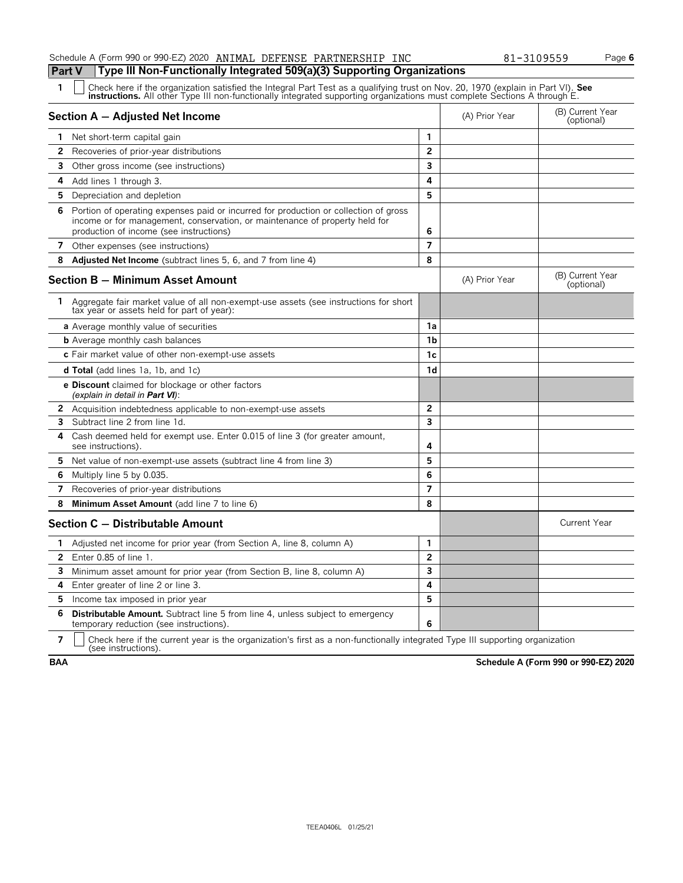### Schedule A (Form 990 or 990-EZ) 2020 ANIMAL DEFENSE PARTNERSHIP INC  $81-3109559$  Page 6

### **Part V Type III Non-Functionally Integrated 509(a)(3) Supporting Organizations**

1 Denck here if the organization satisfied the Integral Part Test as a qualifying trust on Nov. 20, 1970 (explain in Part Ⅵ). See instructions. All other Type III non-functionally integrated supporting organizations must

|              | Section A - Adjusted Net Income                                                                                                                                                                                |                | (A) Prior Year | (B) Current Year<br>(optional) |
|--------------|----------------------------------------------------------------------------------------------------------------------------------------------------------------------------------------------------------------|----------------|----------------|--------------------------------|
| 1            | Net short-term capital gain                                                                                                                                                                                    | $\mathbf{1}$   |                |                                |
| 2            | Recoveries of prior-year distributions                                                                                                                                                                         | $\overline{2}$ |                |                                |
| 3            | Other gross income (see instructions)                                                                                                                                                                          | 3              |                |                                |
| 4            | Add lines 1 through 3.                                                                                                                                                                                         | 4              |                |                                |
| 5.           | Depreciation and depletion                                                                                                                                                                                     | 5              |                |                                |
| 6            | Portion of operating expenses paid or incurred for production or collection of gross<br>income or for management, conservation, or maintenance of property held for<br>production of income (see instructions) | 6              |                |                                |
| 7            | Other expenses (see instructions)                                                                                                                                                                              | $\overline{7}$ |                |                                |
|              | 8 Adjusted Net Income (subtract lines 5, 6, and 7 from line 4)                                                                                                                                                 | 8              |                |                                |
|              | <b>Section B - Minimum Asset Amount</b>                                                                                                                                                                        |                | (A) Prior Year | (B) Current Year<br>(optional) |
| 1.           | Aggregate fair market value of all non-exempt-use assets (see instructions for short<br>tax year or assets held for part of year):                                                                             |                |                |                                |
|              | a Average monthly value of securities                                                                                                                                                                          | 1a             |                |                                |
|              | <b>b</b> Average monthly cash balances                                                                                                                                                                         | 1 <sub>b</sub> |                |                                |
|              | c Fair market value of other non-exempt-use assets                                                                                                                                                             | 1c             |                |                                |
|              | <b>d Total</b> (add lines 1a, 1b, and 1c)                                                                                                                                                                      | 1d             |                |                                |
|              | <b>e Discount</b> claimed for blockage or other factors<br>(explain in detail in Part VI):                                                                                                                     |                |                |                                |
|              | <b>2</b> Acquisition indebtedness applicable to non-exempt-use assets                                                                                                                                          | $\overline{2}$ |                |                                |
| 3            | Subtract line 2 from line 1d.                                                                                                                                                                                  | 3              |                |                                |
| 4            | Cash deemed held for exempt use. Enter 0.015 of line 3 (for greater amount,<br>see instructions).                                                                                                              | 4              |                |                                |
| 5.           | Net value of non-exempt-use assets (subtract line 4 from line 3)                                                                                                                                               | 5              |                |                                |
| 6            | Multiply line 5 by 0.035.                                                                                                                                                                                      | 6              |                |                                |
| 7            | Recoveries of prior-year distributions                                                                                                                                                                         | $\overline{7}$ |                |                                |
| 8            | Minimum Asset Amount (add line 7 to line 6)                                                                                                                                                                    | 8              |                |                                |
|              | Section C - Distributable Amount                                                                                                                                                                               |                |                | <b>Current Year</b>            |
| 1            | Adjusted net income for prior year (from Section A, line 8, column A)                                                                                                                                          | $\mathbf{1}$   |                |                                |
| $\mathbf{2}$ | Enter 0.85 of line 1.                                                                                                                                                                                          | $\overline{2}$ |                |                                |
| 3            | Minimum asset amount for prior year (from Section B, line 8, column A)                                                                                                                                         | 3              |                |                                |
| 4            | Enter greater of line 2 or line 3.                                                                                                                                                                             | 4              |                |                                |
| 5            | Income tax imposed in prior year                                                                                                                                                                               | 5              |                |                                |
| 6            | Distributable Amount. Subtract line 5 from line 4, unless subject to emergency<br>temporary reduction (see instructions).                                                                                      | 6              |                |                                |
|              |                                                                                                                                                                                                                |                |                |                                |

**7**  $\Box$  Check here if the current year is the organization's first as a non-functionally integrated Type III supporting organization (see instructions).

**BAA Schedule A (Form 990 or 990-EZ) 2020**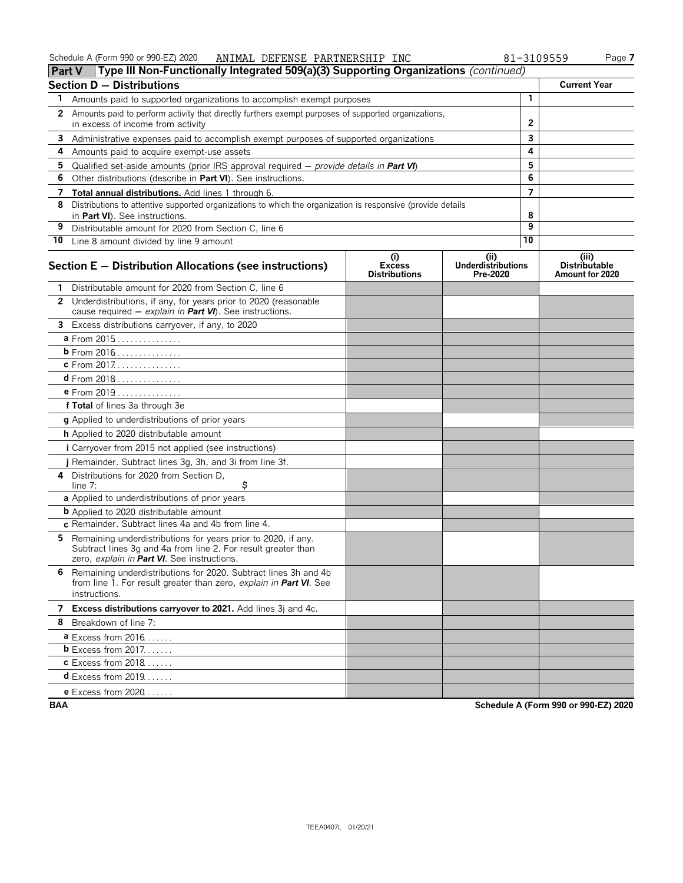| <b>Section D - Distributions</b> | <b>Current Year</b>                                                                                                                                                           |                                                       |                                               |                |                                                  |  |  |
|----------------------------------|-------------------------------------------------------------------------------------------------------------------------------------------------------------------------------|-------------------------------------------------------|-----------------------------------------------|----------------|--------------------------------------------------|--|--|
| 1                                | 1<br>Amounts paid to supported organizations to accomplish exempt purposes                                                                                                    |                                                       |                                               |                |                                                  |  |  |
|                                  | 2 Amounts paid to perform activity that directly furthers exempt purposes of supported organizations,<br>in excess of income from activity                                    |                                                       |                                               | 2              |                                                  |  |  |
| 3                                | Administrative expenses paid to accomplish exempt purposes of supported organizations                                                                                         |                                                       |                                               | 3              |                                                  |  |  |
| 4                                | Amounts paid to acquire exempt-use assets                                                                                                                                     |                                                       |                                               | 4              |                                                  |  |  |
| 5                                | Qualified set-aside amounts (prior IRS approval required - provide details in Part VI)                                                                                        |                                                       |                                               | 5              |                                                  |  |  |
| 6                                | Other distributions (describe in Part VI). See instructions.                                                                                                                  |                                                       |                                               | 6              |                                                  |  |  |
| 7                                | Total annual distributions. Add lines 1 through 6.                                                                                                                            |                                                       |                                               | $\overline{7}$ |                                                  |  |  |
| 8                                | Distributions to attentive supported organizations to which the organization is responsive (provide details<br>in Part VI). See instructions.                                 |                                                       |                                               | 8              |                                                  |  |  |
| 9                                | Distributable amount for 2020 from Section C, line 6                                                                                                                          |                                                       |                                               | 9              |                                                  |  |  |
|                                  | 10 Line 8 amount divided by line 9 amount                                                                                                                                     |                                                       |                                               | 10             |                                                  |  |  |
|                                  | Section $E -$ Distribution Allocations (see instructions)                                                                                                                     | $\mathbf{U}$<br><b>Excess</b><br><b>Distributions</b> | (ii)<br><b>Underdistributions</b><br>Pre-2020 |                | (iii)<br><b>Distributable</b><br>Amount for 2020 |  |  |
|                                  | Distributable amount for 2020 from Section C, line 6                                                                                                                          |                                                       |                                               |                |                                                  |  |  |
| $\mathbf{2}$                     | Underdistributions, if any, for years prior to 2020 (reasonable<br>cause required $-$ explain in Part VI). See instructions.                                                  |                                                       |                                               |                |                                                  |  |  |
|                                  | 3 Excess distributions carryover, if any, to 2020                                                                                                                             |                                                       |                                               |                |                                                  |  |  |
|                                  | a From 2015                                                                                                                                                                   |                                                       |                                               |                |                                                  |  |  |
|                                  | <b>b</b> From 2016                                                                                                                                                            |                                                       |                                               |                |                                                  |  |  |
|                                  | c From 2017.                                                                                                                                                                  |                                                       |                                               |                |                                                  |  |  |
|                                  | d From 2018                                                                                                                                                                   |                                                       |                                               |                |                                                  |  |  |
|                                  | e From 2019                                                                                                                                                                   |                                                       |                                               |                |                                                  |  |  |
|                                  | f Total of lines 3a through 3e                                                                                                                                                |                                                       |                                               |                |                                                  |  |  |
|                                  | g Applied to underdistributions of prior years                                                                                                                                |                                                       |                                               |                |                                                  |  |  |
|                                  | h Applied to 2020 distributable amount                                                                                                                                        |                                                       |                                               |                |                                                  |  |  |
|                                  | <i>i</i> Carryover from 2015 not applied (see instructions)                                                                                                                   |                                                       |                                               |                |                                                  |  |  |
|                                  | <i>j</i> Remainder. Subtract lines 3g, 3h, and 3i from line 3f.                                                                                                               |                                                       |                                               |                |                                                  |  |  |
|                                  | 4 Distributions for 2020 from Section D,<br>\$<br>line $7:$                                                                                                                   |                                                       |                                               |                |                                                  |  |  |
|                                  | a Applied to underdistributions of prior years                                                                                                                                |                                                       |                                               |                |                                                  |  |  |
|                                  | <b>b</b> Applied to 2020 distributable amount                                                                                                                                 |                                                       |                                               |                |                                                  |  |  |
|                                  | c Remainder. Subtract lines 4a and 4b from line 4.                                                                                                                            |                                                       |                                               |                |                                                  |  |  |
| 5.                               | Remaining underdistributions for years prior to 2020, if any.<br>Subtract lines 3g and 4a from line 2. For result greater than<br>zero, explain in Part VI. See instructions. |                                                       |                                               |                |                                                  |  |  |
| 6                                | Remaining underdistributions for 2020. Subtract lines 3h and 4b<br>from line 1. For result greater than zero, explain in Part VI. See<br>instructions.                        |                                                       |                                               |                |                                                  |  |  |
|                                  | 7 Excess distributions carryover to 2021. Add lines 3j and 4c.                                                                                                                |                                                       |                                               |                |                                                  |  |  |
|                                  | 8 Breakdown of line 7:                                                                                                                                                        |                                                       |                                               |                |                                                  |  |  |
|                                  | <b>a</b> Excess from 2016                                                                                                                                                     |                                                       |                                               |                |                                                  |  |  |
|                                  | $b$ Excess from 2017.                                                                                                                                                         |                                                       |                                               |                |                                                  |  |  |
|                                  | c Excess from 2018                                                                                                                                                            |                                                       |                                               |                |                                                  |  |  |
|                                  | <b>d</b> Excess from $2019$                                                                                                                                                   |                                                       |                                               |                |                                                  |  |  |
|                                  | e Excess from 2020.                                                                                                                                                           |                                                       |                                               |                |                                                  |  |  |

**BAA Schedule A (Form 990 or 990-EZ) 2020**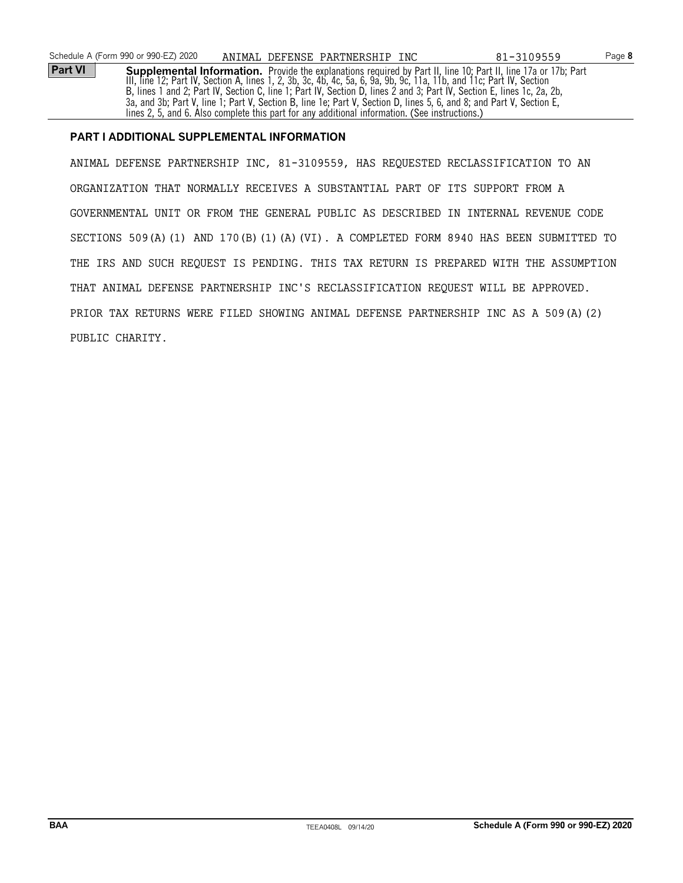Schedule A (Form 990 or 990-EZ) 2020 ANIMAL DEFENSE PARTNERSHIP INC 81-3109559 Page 8

**Part VI** Supplemental Information. Provide the explanations required by Part II, line 10; Part II, line 17a or 17b; Part II, line 17a or 17b; Part II, Inne 12, Part IV, Section A, lines 1, 2, 3b, 3c, 4b, 4c, 5a, 6, 9a, 9b B, lines 1 and 2; Part IV, Section C, line 1; Part IV, Section D, lines 2 and 3; Part IV, Section E, lines 1c, 2a, 2b, 3a, and 3b; Part V, line 1; Part V, Section B, line 1e; Part V, Section D, lines 5, 6, and 8; and Part V, Section E, lines 2, 5, and 6. Also complete this part for any additional information. (See instructions.)

#### **PART I ADDITIONAL SUPPLEMENTAL INFORMATION**

ANIMAL DEFENSE PARTNERSHIP INC, 81-3109559, HAS REQUESTED RECLASSIFICATION TO AN ORGANIZATION THAT NORMALLY RECEIVES A SUBSTANTIAL PART OF ITS SUPPORT FROM A GOVERNMENTAL UNIT OR FROM THE GENERAL PUBLIC AS DESCRIBED IN INTERNAL REVENUE CODE SECTIONS 509(A)(1) AND 170(B)(1)(A)(VI). A COMPLETED FORM 8940 HAS BEEN SUBMITTED TO THE IRS AND SUCH REQUEST IS PENDING. THIS TAX RETURN IS PREPARED WITH THE ASSUMPTION THAT ANIMAL DEFENSE PARTNERSHIP INC'S RECLASSIFICATION REQUEST WILL BE APPROVED. PRIOR TAX RETURNS WERE FILED SHOWING ANIMAL DEFENSE PARTNERSHIP INC AS A 509(A)(2) PUBLIC CHARITY.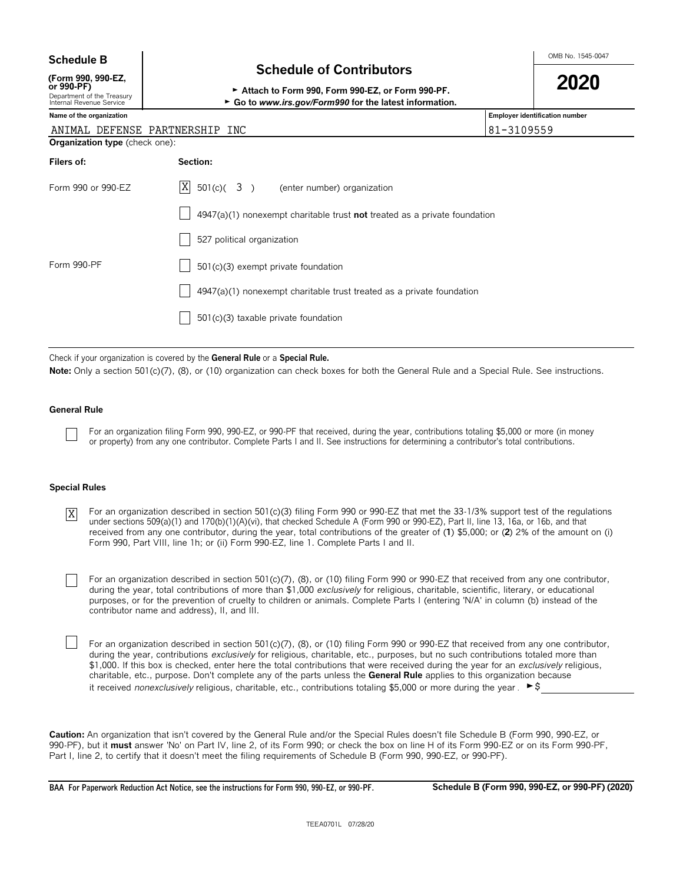#### **Schedule B** 2008 No. 1545-0047

**(Form 990, 990-EZ,** Department of the Treasury<br>Internal Revenue Service

### **Schedule of Contributors**

**or 990-PF)** <sup>G</sup>**Attach to Form 990, Form 990-EZ, or Form 990-PF. 2020** ▶ Go to *www.irs.gov/Form990* for the latest information.

**Name of the organization** 

| <b>Employer identification number</b> |  |
|---------------------------------------|--|
|                                       |  |

| <b>DEFENSE</b><br>PARTNERSHIP<br>ANIMAL | INC |  |
|-----------------------------------------|-----|--|
|-----------------------------------------|-----|--|

| Organization type (check one):                                              |
|-----------------------------------------------------------------------------|
| Section:                                                                    |
| $ X $ 501(c)( 3) (enter number) organization                                |
| $4947(a)(1)$ nonexempt charitable trust not treated as a private foundation |
| 527 political organization                                                  |
| 501(c)(3) exempt private foundation                                         |
| 4947(a)(1) nonexempt charitable trust treated as a private foundation       |
| 501(c)(3) taxable private foundation                                        |
|                                                                             |

Check if your organization is covered by the **General Rule** or a **Special Rule.**

**Note:** Only a section 501(c)(7), (8), or (10) organization can check boxes for both the General Rule and a Special Rule. See instructions.

#### **General Rule**

For an organization filing Form 990, 990-EZ, or 990-PF that received, during the year, contributions totaling \$5,000 or more (in money or property) from any one contributor. Complete Parts I and II. See instructions for determining a contributor's total contributions.

#### **Special Rules**

For an organization described in section 501(c)(3) filing Form 990 or 990-EZ that met the 33-1/3% support test of the regulations under sections 509(a)(1) and 170(b)(1)(A)(vi), that checked Schedule A (Form 990 or 990-EZ), Part II, line 13, 16a, or 16b, and that received from any one contributor, during the year, total contributions of the greater of (**1**) \$5,000; or (**2**) 2% of the amount on (i) Form 990, Part VIII, line 1h; or (ii) Form 990-EZ, line 1. Complete Parts I and II. X

For an organization described in section 501(c)(7), (8), or (10) filing Form 990 or 990-EZ that received from any one contributor, during the year, total contributions of more than \$1,000 *exclusively* for religious, charitable, scientific, literary, or educational purposes, or for the prevention of cruelty to children or animals. Complete Parts I (entering 'N/A' in column (b) instead of the contributor name and address), II, and III.

For an organization described in section 501(c)(7), (8), or (10) filing Form 990 or 990-EZ that received from any one contributor, during the year, contributions *exclusively* for religious, charitable, etc., purposes, but no such contributions totaled more than \$1,000. If this box is checked, enter here the total contributions that were received during the year for an *exclusively* religious, charitable, etc., purpose. Don't complete any of the parts unless the **General Rule** applies to this organization because it received *nonexclusively* religious, charitable, etc., contributions totaling \$5,000 or more during the year . ▶ \$

**Caution:** An organization that isn't covered by the General Rule and/or the Special Rules doesn't file Schedule B (Form 990, 990-EZ, or 990-PF), but it **must** answer 'No' on Part IV, line 2, of its Form 990; or check the box on line H of its Form 990-EZ or on its Form 990-PF, Part I, line 2, to certify that it doesn't meet the filing requirements of Schedule B (Form 990, 990-EZ, or 990-PF).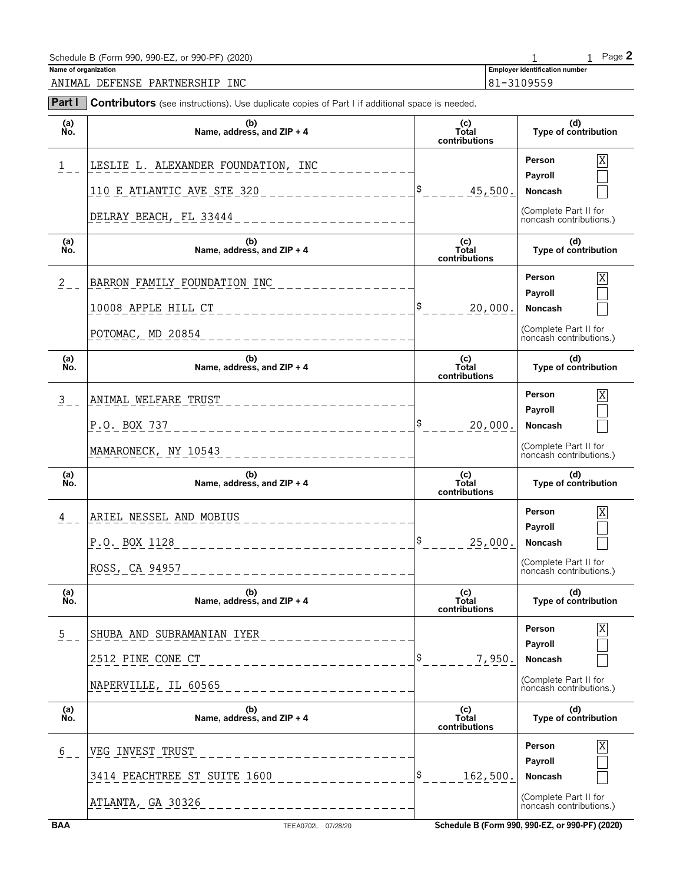| Schedule B (Form 990, 990-EZ, or 990-PF) (2020) |                                       | Page $Z$ |
|-------------------------------------------------|---------------------------------------|----------|
| Name of organization                            | <b>Employer identification number</b> |          |
| INC<br>ANIMAL DEFENSE PARTNERSHIP               | 81-3109559                            |          |

**Part I** Contributors (see instructions). Use duplicate copies of Part I if additional space is needed.

| (a)<br>No.        | (b)<br>Name, address, and ZIP + 4                                 | (c)<br>Total<br>contributions        | (d)<br>Type of contribution                      |
|-------------------|-------------------------------------------------------------------|--------------------------------------|--------------------------------------------------|
| $\mathbf{1}$      | LESLIE L. ALEXANDER FOUNDATION, INC<br>110 E ATLANTIC AVE STE 320 | 45,500.                              | Person<br>Payroll<br><b>Noncash</b>              |
|                   | DELRAY BEACH, FL 33444                                            |                                      | (Complete Part II for<br>noncash contributions.) |
| (a)<br>No.        | (b)<br>Name, address, and ZIP + 4                                 | (c)<br>Total<br>contributions        | (d)<br>Type of contribution                      |
| $\frac{2}{2}$ – – | BARRON FAMILY FOUNDATION INC                                      |                                      | Person<br>Χ<br>Payroll                           |
|                   | 10008 APPLE HILL CT<br>______________________                     | l\$<br>20,000.                       | <b>Noncash</b>                                   |
|                   | POTOMAC, MD 20854                                                 |                                      | (Complete Part II for<br>noncash contributions.) |
| (a)<br>No.        | (b)<br>Name, address, and $ZIP + 4$                               | (c)<br>Total<br>contributions        | (d)<br>Type of contribution                      |
| $\frac{3}{2}$     | ANIMAL WELFARE TRUST                                              |                                      | Person<br>Payroll                                |
|                   | P.O. BOX 737 ____________________________                         | 20,000.                              | <b>Noncash</b>                                   |
|                   | MAMARONECK, NY 10543<br>-------------------                       |                                      | (Complete Part II for<br>noncash contributions.) |
|                   |                                                                   |                                      |                                                  |
| (a)<br>No.        | (b)<br>Name, address, and ZIP + 4                                 | (c)<br>Total<br>contributions        | (d)<br>Type of contribution                      |
| 4                 | ARIEL NESSEL AND MOBIUS                                           |                                      | Person<br>Χ                                      |
|                   | P.O. BOX 1128<br>___________________                              | \$<br>25,000.                        | Payroll<br>Noncash                               |
|                   | <u>ROSS, CA 94957</u>                                             |                                      | (Complete Part II for<br>noncash contributions.) |
| (a)<br>No.        | (b)<br>Name, address, and ZIP + 4                                 | (c)<br>Total<br><b>contributions</b> | (d)<br>Type of contribution                      |
| $\overline{5}$    | SHUBA AND SUBRAMANIAN IYER                                        |                                      | Person                                           |
|                   | 2512 PINE CONE CT                                                 | 7,950.                               | Payroll<br>Noncash                               |
|                   | NAPERVILLE, IL 60565                                              |                                      | (Complete Part II for<br>noncash contributions.) |
| (a)<br>No.        | (b)<br>Name, address, and $ZIP + 4$                               | (c)<br>Total<br>contributions        | (d)<br>Type of contribution                      |
| 6                 | VEG INVEST TRUST                                                  |                                      | Person<br>X                                      |
|                   | 3414 PEACHTREE ST SUITE 1600                                      | 162,500.                             | Payroll<br>Noncash                               |
|                   | ATLANTA, GA 30326                                                 |                                      | (Complete Part II for<br>noncash contributions.) |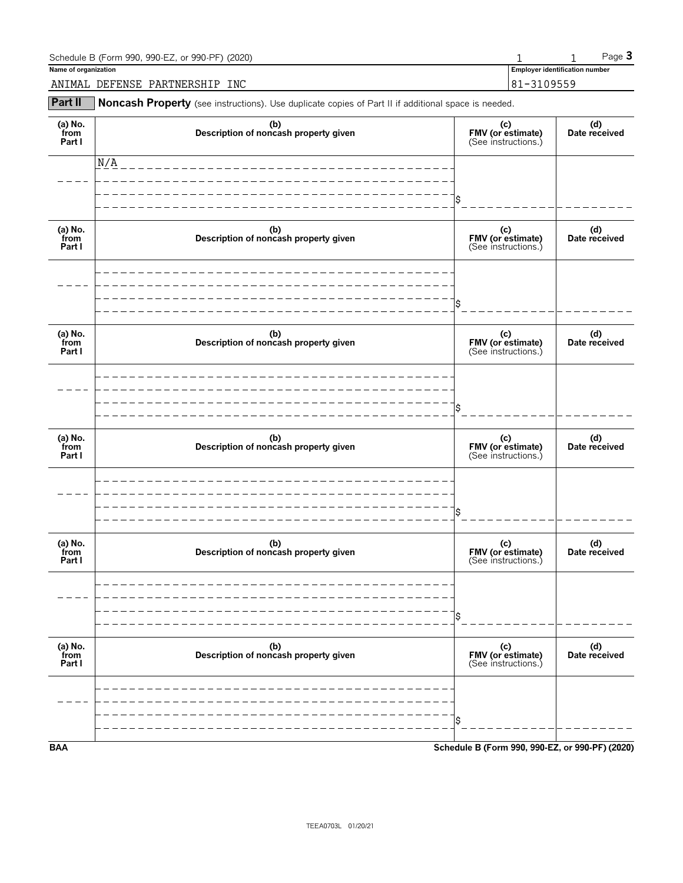| Schedule B (Form 990, 990-EZ, or 990-PF) (2020) |                                       | Page 3 |
|-------------------------------------------------|---------------------------------------|--------|
| Name of organization                            | <b>Employer identification number</b> |        |
| ANIMAL DEFENSE PARTNERSHIP INC                  | 81-3109559                            |        |

**Part II** Noncash Property (see instructions). Use duplicate copies of Part II if additional space is needed.

| (a) No.<br>from<br>Part I | (b)<br>Description of noncash property given | (c)<br>FMV (or estimate)<br>(See instructions.) | (d)<br>Date received |
|---------------------------|----------------------------------------------|-------------------------------------------------|----------------------|
|                           | N/A                                          |                                                 |                      |
| (a) No.<br>from<br>Part I | (b)<br>Description of noncash property given | (c)<br>FMV (or estimate)<br>(See instructions.) | (d)<br>Date received |
|                           |                                              |                                                 |                      |
| (a) No.<br>from<br>Part I | (b)<br>Description of noncash property given | (c)<br>FMV (or estimate)<br>(See instructions.) | (d)<br>Date received |
|                           |                                              |                                                 |                      |
| (a) No.<br>from<br>Part I | (b)<br>Description of noncash property given | (c)<br>FMV (or estimate)<br>(See instructions.) | (d)<br>Date received |
|                           |                                              |                                                 |                      |
| (a) $No.$ from<br>Part I  | (b)<br>Description of noncash property given | (c)<br>FMV (or estimate)<br>(See instructions.) | (d)<br>Date received |
|                           |                                              | l\$                                             |                      |
| (a) No.<br>from<br>Part I | (b)<br>Description of noncash property given | (c)<br>FMV (or estimate)<br>(See instructions.) | (d)<br>Date received |
|                           |                                              |                                                 |                      |

**BAA Schedule B (Form 990, 990-EZ, or 990-PF) (2020)**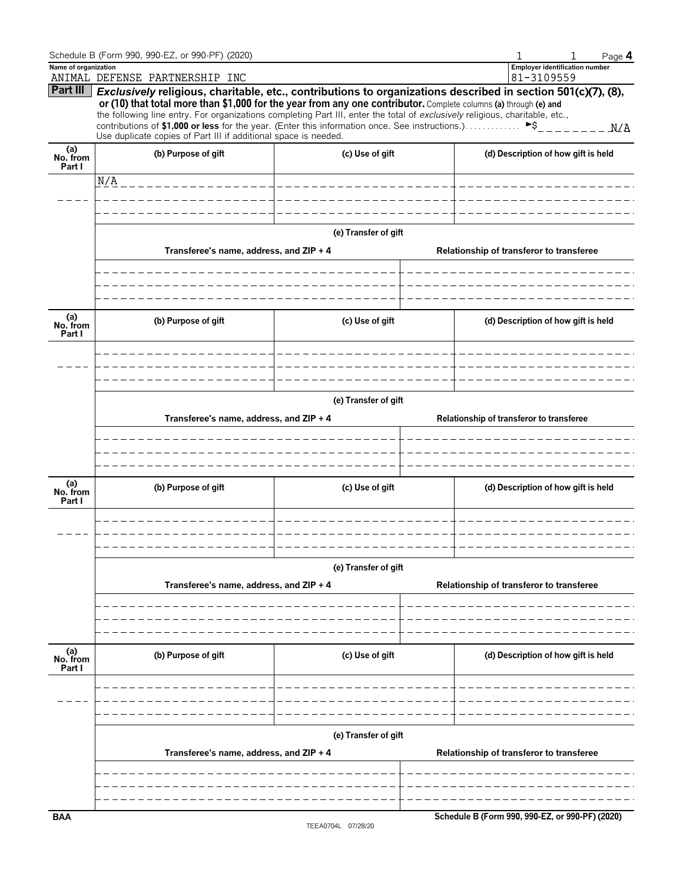|                           | Schedule B (Form 990, 990-EZ, or 990-PF) (2020)                                                                              |                        |                                          | 1<br>Page 4<br>1                                    |
|---------------------------|------------------------------------------------------------------------------------------------------------------------------|------------------------|------------------------------------------|-----------------------------------------------------|
| Name of organization      | ANIMAL DEFENSE PARTNERSHIP INC                                                                                               |                        |                                          | <b>Employer identification number</b><br>81-3109559 |
| Part III                  | Exclusively religious, charitable, etc., contributions to organizations described in section 501(c)(7), (8),                 |                        |                                          |                                                     |
|                           | or (10) that total more than \$1,000 for the year from any one contributor. Complete columns (a) through (e) and             |                        |                                          |                                                     |
|                           | the following line entry. For organizations completing Part III, enter the total of exclusively religious, charitable, etc., |                        |                                          |                                                     |
|                           | Use duplicate copies of Part III if additional space is needed.                                                              |                        |                                          | $=-N/A$                                             |
| (a)<br>No. from<br>Part I | (b) Purpose of gift                                                                                                          | (c) Use of gift        |                                          | (d) Description of how gift is held                 |
|                           | N/A                                                                                                                          |                        |                                          |                                                     |
|                           | __________________                                                                                                           | ______________________ |                                          | ----------------                                    |
|                           |                                                                                                                              |                        |                                          |                                                     |
|                           |                                                                                                                              |                        |                                          |                                                     |
|                           |                                                                                                                              | (e) Transfer of gift   |                                          |                                                     |
|                           | Transferee's name, address, and ZIP + 4                                                                                      |                        |                                          | Relationship of transferor to transferee            |
|                           |                                                                                                                              |                        |                                          |                                                     |
|                           |                                                                                                                              |                        |                                          |                                                     |
|                           |                                                                                                                              |                        |                                          |                                                     |
| (a)<br>No. from<br>Part I | (b) Purpose of gift                                                                                                          | (c) Use of gift        |                                          | (d) Description of how gift is held                 |
|                           | _________                                                                                                                    | _____________________  |                                          |                                                     |
|                           |                                                                                                                              |                        |                                          |                                                     |
|                           |                                                                                                                              |                        |                                          |                                                     |
|                           |                                                                                                                              | (e) Transfer of gift   |                                          |                                                     |
|                           | Transferee's name, address, and ZIP + 4                                                                                      |                        | Relationship of transferor to transferee |                                                     |
|                           |                                                                                                                              |                        |                                          |                                                     |
|                           |                                                                                                                              |                        |                                          |                                                     |
|                           |                                                                                                                              |                        |                                          |                                                     |
|                           |                                                                                                                              |                        |                                          | (d) Description of how gift is held                 |
| (a)<br>No. from<br>Part I | (b) Purpose of gift                                                                                                          | (c) Use of gift        |                                          |                                                     |
|                           |                                                                                                                              |                        |                                          |                                                     |
|                           |                                                                                                                              |                        |                                          |                                                     |
|                           |                                                                                                                              | ---------              | -----------+                             |                                                     |
|                           |                                                                                                                              |                        |                                          |                                                     |
|                           |                                                                                                                              | (e) Transfer of gift   |                                          |                                                     |
|                           | Transferee's name, address, and ZIP + 4                                                                                      |                        |                                          | Relationship of transferor to transferee            |
|                           |                                                                                                                              |                        |                                          |                                                     |
|                           |                                                                                                                              |                        |                                          |                                                     |
|                           |                                                                                                                              |                        |                                          |                                                     |
| (a)<br>No. from           | (b) Purpose of gift                                                                                                          | (c) Use of gift        |                                          | (d) Description of how gift is held                 |
| Part I                    |                                                                                                                              |                        |                                          |                                                     |
|                           |                                                                                                                              |                        |                                          |                                                     |
|                           |                                                                                                                              |                        |                                          |                                                     |
|                           |                                                                                                                              |                        |                                          |                                                     |
|                           |                                                                                                                              | (e) Transfer of gift   |                                          |                                                     |
|                           | Transferee's name, address, and ZIP + 4                                                                                      |                        |                                          | Relationship of transferor to transferee            |
|                           |                                                                                                                              |                        |                                          |                                                     |
|                           |                                                                                                                              |                        |                                          |                                                     |
|                           |                                                                                                                              |                        |                                          |                                                     |
| <b>BAA</b>                |                                                                                                                              |                        |                                          | Schedule B (Form 990, 990-EZ, or 990-PF) (2020)     |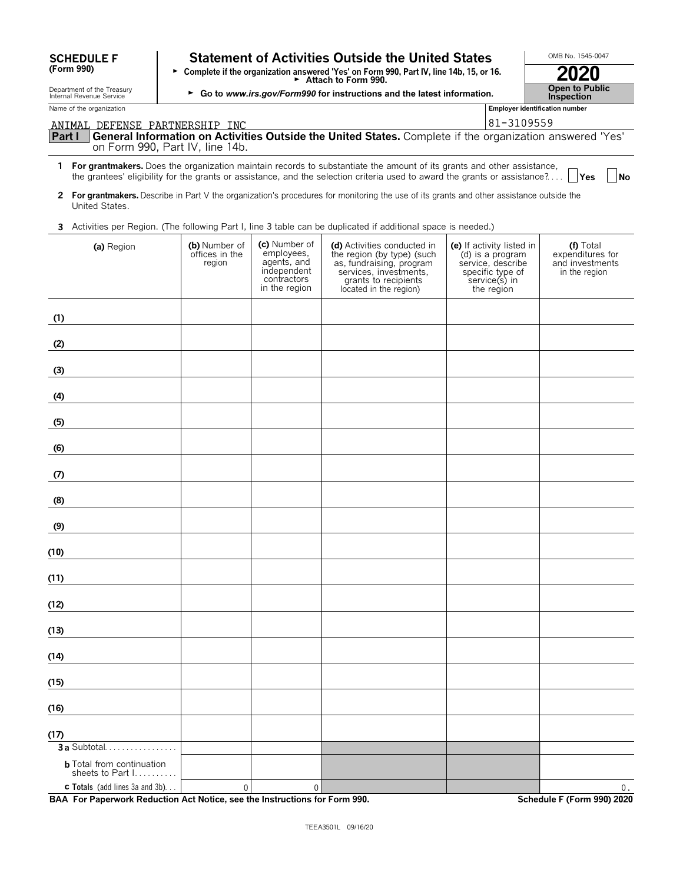| <b>SCHEDULE F</b><br>(Form 990)                                                           |                                           |                                                                                           | <b>Statement of Activities Outside the United States</b><br>► Complete if the organization answered 'Yes' on Form 990, Part IV, line 14b, 15, or 16.                                                                                                   |                                                                                                                       | OMB No. 1545-0047                                                 |
|-------------------------------------------------------------------------------------------|-------------------------------------------|-------------------------------------------------------------------------------------------|--------------------------------------------------------------------------------------------------------------------------------------------------------------------------------------------------------------------------------------------------------|-----------------------------------------------------------------------------------------------------------------------|-------------------------------------------------------------------|
| Department of the Treasury                                                                |                                           |                                                                                           | Attach to Form 990.                                                                                                                                                                                                                                    |                                                                                                                       | <b>Open to Public</b>                                             |
| Internal Revenue Service<br>Name of the organization                                      |                                           |                                                                                           | ► Go to www.irs.gov/Form990 for instructions and the latest information.                                                                                                                                                                               |                                                                                                                       | <b>Inspection</b>                                                 |
| ANIMAL DEFENSE PARTNERSHIP INC                                                            |                                           |                                                                                           |                                                                                                                                                                                                                                                        | 81-3109559                                                                                                            | <b>Employer identification number</b>                             |
| <b>Part I</b>                                                                             | on Form 990, Part IV, line 14b.           |                                                                                           | General Information on Activities Outside the United States. Complete if the organization answered 'Yes'                                                                                                                                               |                                                                                                                       |                                                                   |
|                                                                                           |                                           |                                                                                           | 1 For grantmakers. Does the organization maintain records to substantiate the amount of its grants and other assistance,<br>the grantees' eligibility for the grants or assistance, and the selection criteria used to award the grants or assistance? |                                                                                                                       | <b>Yes</b><br><b>No</b>                                           |
| 2<br>United States.                                                                       |                                           |                                                                                           | For grantmakers. Describe in Part V the organization's procedures for monitoring the use of its grants and other assistance outside the                                                                                                                |                                                                                                                       |                                                                   |
|                                                                                           |                                           |                                                                                           | 3 Activities per Region. (The following Part I, line 3 table can be duplicated if additional space is needed.)                                                                                                                                         |                                                                                                                       |                                                                   |
| (a) Region                                                                                | (b) Number of<br>offices in the<br>region | (c) Number of<br>employees,<br>agents, and<br>independent<br>contractors<br>in the region | (d) Activities conducted in<br>the region (by type) (such<br>as, fundraising, program<br>services, investments,<br>grants to recipients<br>located in the region)                                                                                      | (e) If activity listed in<br>(d) is a program<br>service, describe<br>specific type of<br>service(s) in<br>the region | (f) Total<br>expenditures for<br>and investments<br>in the region |
| (1)                                                                                       |                                           |                                                                                           |                                                                                                                                                                                                                                                        |                                                                                                                       |                                                                   |
| (2)                                                                                       |                                           |                                                                                           |                                                                                                                                                                                                                                                        |                                                                                                                       |                                                                   |
| (3)                                                                                       |                                           |                                                                                           |                                                                                                                                                                                                                                                        |                                                                                                                       |                                                                   |
| (4)                                                                                       |                                           |                                                                                           |                                                                                                                                                                                                                                                        |                                                                                                                       |                                                                   |
| (5)                                                                                       |                                           |                                                                                           |                                                                                                                                                                                                                                                        |                                                                                                                       |                                                                   |
| (6)                                                                                       |                                           |                                                                                           |                                                                                                                                                                                                                                                        |                                                                                                                       |                                                                   |
| (7)                                                                                       |                                           |                                                                                           |                                                                                                                                                                                                                                                        |                                                                                                                       |                                                                   |
| (8)                                                                                       |                                           |                                                                                           |                                                                                                                                                                                                                                                        |                                                                                                                       |                                                                   |
| (9)                                                                                       |                                           |                                                                                           |                                                                                                                                                                                                                                                        |                                                                                                                       |                                                                   |
| (10)                                                                                      |                                           |                                                                                           |                                                                                                                                                                                                                                                        |                                                                                                                       |                                                                   |
| (11)                                                                                      |                                           |                                                                                           |                                                                                                                                                                                                                                                        |                                                                                                                       |                                                                   |
| (12)                                                                                      |                                           |                                                                                           |                                                                                                                                                                                                                                                        |                                                                                                                       |                                                                   |
| (13)                                                                                      |                                           |                                                                                           |                                                                                                                                                                                                                                                        |                                                                                                                       |                                                                   |
| (14)                                                                                      |                                           |                                                                                           |                                                                                                                                                                                                                                                        |                                                                                                                       |                                                                   |
| (15)                                                                                      |                                           |                                                                                           |                                                                                                                                                                                                                                                        |                                                                                                                       |                                                                   |
| (16)                                                                                      |                                           |                                                                                           |                                                                                                                                                                                                                                                        |                                                                                                                       |                                                                   |
| (17)                                                                                      |                                           |                                                                                           |                                                                                                                                                                                                                                                        |                                                                                                                       |                                                                   |
| <b>3 a</b> Subtotal.<br><b>b</b> Total from continuation<br>sheets to Part $1, \ldots, n$ |                                           |                                                                                           |                                                                                                                                                                                                                                                        |                                                                                                                       |                                                                   |
| <b>c</b> Totals (add lines 3a and 3b)                                                     | $\Omega$                                  | 0                                                                                         |                                                                                                                                                                                                                                                        |                                                                                                                       | О.                                                                |
| BAA For Paperwork Reduction Act Notice, see the Instructions for Form 990.                |                                           |                                                                                           |                                                                                                                                                                                                                                                        |                                                                                                                       | Schedule F (Form 990) 2020                                        |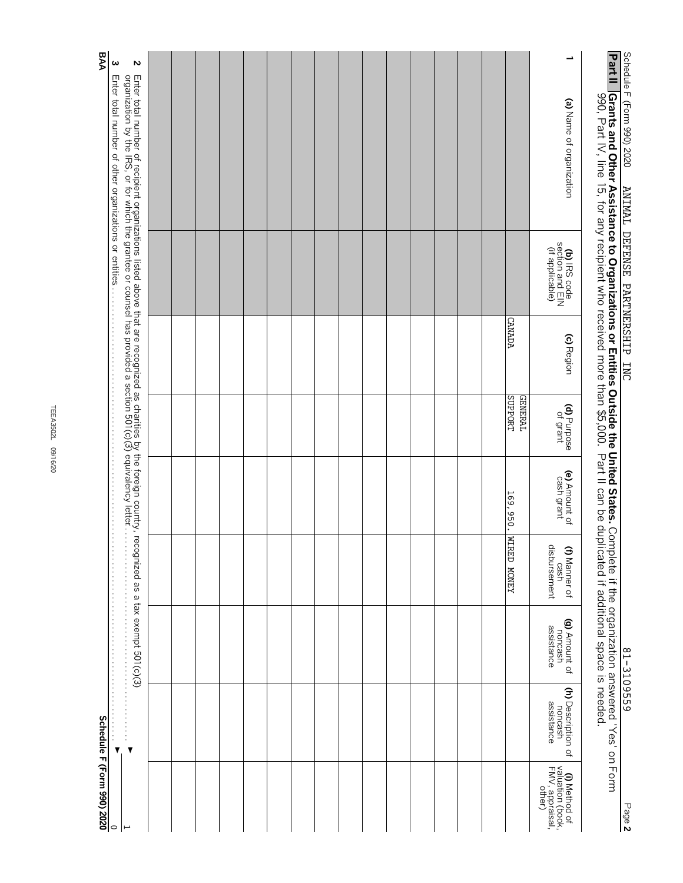| Schedule F (Form 990) 2020<br><b>Part II</b><br><b>Crants and Other Assistance to Organizations or Entities Outside the United States.</b> Complete if the organization answered 'Yes' on Form<br>990, Part IV, line 15, for any recipient who received more than \$5,000. Part II can<br>ANIMAL DEFENSE PARTNERSHIP<br><b>INC</b> | ∸<br>(a) Name of organization<br><b>(b)</b> IRS code<br>section and EIN<br>(if applicable)<br>(c) Region<br><b>(d)</b> Purpose<br>of grant<br>(e) Amount of<br>cash grant<br>disbursement<br>(f) Manner of<br>cash | <b>CANADA</b><br><b>GENERAL</b><br>SUPPORT<br>169, 950.<br><b>WIRED MONEY</b> |  |  |  |  |  |  |  |  |
|------------------------------------------------------------------------------------------------------------------------------------------------------------------------------------------------------------------------------------------------------------------------------------------------------------------------------------|--------------------------------------------------------------------------------------------------------------------------------------------------------------------------------------------------------------------|-------------------------------------------------------------------------------|--|--|--|--|--|--|--|--|
|                                                                                                                                                                                                                                                                                                                                    |                                                                                                                                                                                                                    |                                                                               |  |  |  |  |  |  |  |  |
|                                                                                                                                                                                                                                                                                                                                    |                                                                                                                                                                                                                    |                                                                               |  |  |  |  |  |  |  |  |
|                                                                                                                                                                                                                                                                                                                                    |                                                                                                                                                                                                                    |                                                                               |  |  |  |  |  |  |  |  |
| 81-3109559                                                                                                                                                                                                                                                                                                                         | (g) Amount of<br>assistance<br>noncash                                                                                                                                                                             |                                                                               |  |  |  |  |  |  |  |  |
|                                                                                                                                                                                                                                                                                                                                    | (h) Description of<br>assistance<br>noncash                                                                                                                                                                        |                                                                               |  |  |  |  |  |  |  |  |
| Page 2                                                                                                                                                                                                                                                                                                                             | valuation (book,<br>FMV, appraisal,<br>other)<br>(i) Method of                                                                                                                                                     |                                                                               |  |  |  |  |  |  |  |  |

TEEA3502L 09/16/20 TEEA3502L 09/16/20

 $\equiv$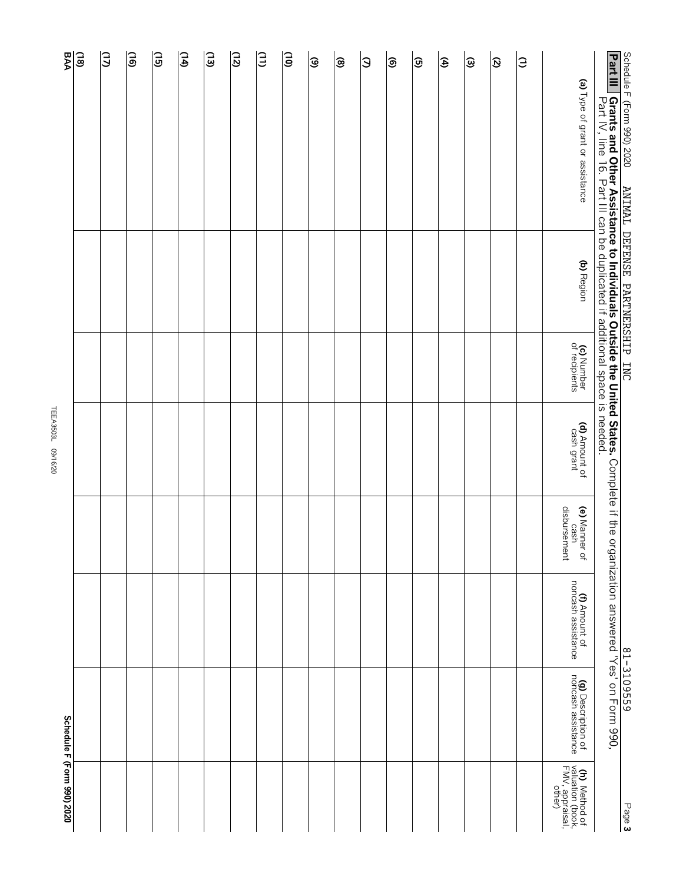| <b>BAA</b>                 | $\frac{1}{8}$ | Ĵ | $\mathbf{G}$ | $\mathbf{G}$ | $\mathfrak{a}$ | (13) | (12) | $\frac{1}{2}$ | $\hat{e}$ | ම | $\circledcirc$ | g | $\circledcirc$ | ම | E | $\widehat{\omega}$ | $\mathfrak{D}$ | $\ominus$ |                                                                       | Part III                                                                                                                                                                                                                                           |
|----------------------------|---------------|---|--------------|--------------|----------------|------|------|---------------|-----------|---|----------------|---|----------------|---|---|--------------------|----------------|-----------|-----------------------------------------------------------------------|----------------------------------------------------------------------------------------------------------------------------------------------------------------------------------------------------------------------------------------------------|
|                            |               |   |              |              |                |      |      |               |           |   |                |   |                |   |   |                    |                |           | (a) Type of grant or assistance                                       | Schedule F (Form 990) 2020<br><b>Crants and Other Assistance to Individuals Outside the United States.</b> Complete if the organization answered 'Yes' on Form 990,<br>Part IV, line 16. Part III can be duplicated if additional space is needed. |
|                            |               |   |              |              |                |      |      |               |           |   |                |   |                |   |   |                    |                |           | (b) Region                                                            | ANIMAL DEFENSE PARTNERSHIP INC                                                                                                                                                                                                                     |
|                            |               |   |              |              |                |      |      |               |           |   |                |   |                |   |   |                    |                |           | (c) Number<br>of recipients                                           |                                                                                                                                                                                                                                                    |
|                            |               |   |              |              |                |      |      |               |           |   |                |   |                |   |   |                    |                |           | (d) Amount of<br>cash grant                                           |                                                                                                                                                                                                                                                    |
|                            |               |   |              |              |                |      |      |               |           |   |                |   |                |   |   |                    |                |           | (e) Manner of<br>cash<br>disbursement                                 |                                                                                                                                                                                                                                                    |
|                            |               |   |              |              |                |      |      |               |           |   |                |   |                |   |   |                    |                |           | (f) Amount of<br>noncash assistance                                   |                                                                                                                                                                                                                                                    |
|                            |               |   |              |              |                |      |      |               |           |   |                |   |                |   |   |                    |                |           | (g) Description of<br>noncash assistance                              | 81-3109559                                                                                                                                                                                                                                         |
| Schedule F (Form 990) 2020 |               |   |              |              |                |      |      |               |           |   |                |   |                |   |   |                    |                |           | <b>(h)</b> Method of<br>valuation (book,<br>FMV, appraisal,<br>other) | Page 3                                                                                                                                                                                                                                             |

TEEA3503L 09/16/20 TEEA3503L 09/16/20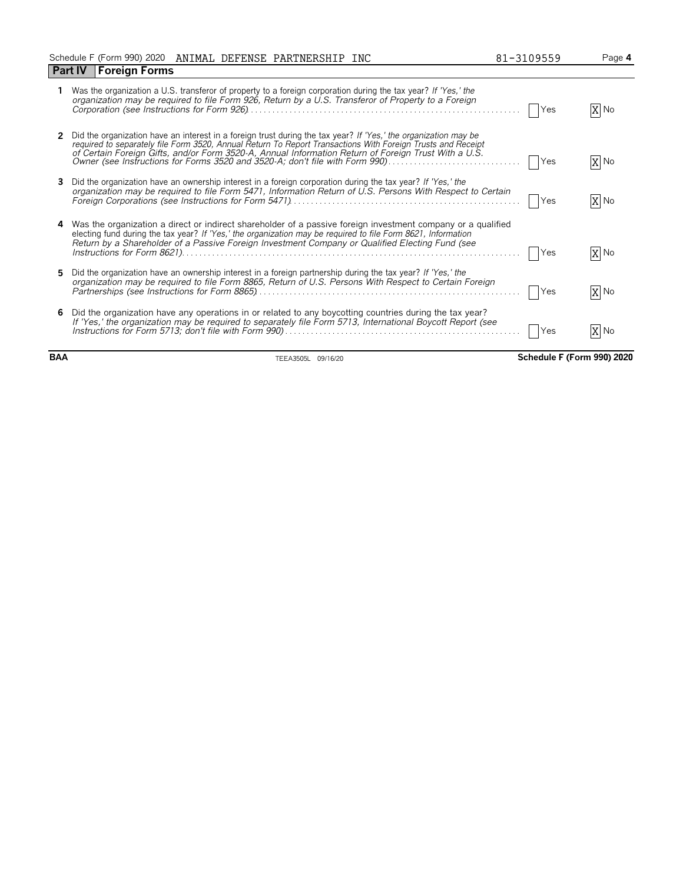| ۰. |  |
|----|--|
|----|--|

|   | Was the organization a U.S. transferor of property to a foreign corporation during the tax year? If 'Yes,' the<br>organization may be required to file Form 926, Return by a U.S. Transferor of Property to a Foreign                                                                                                                  | Yes        | X No |
|---|----------------------------------------------------------------------------------------------------------------------------------------------------------------------------------------------------------------------------------------------------------------------------------------------------------------------------------------|------------|------|
| 2 | Did the organization have an interest in a foreign trust during the tax year? If 'Yes,' the organization may be<br>required to separately file Form 3520, Annual Return To Report Transactions With Foreign Trusts and Receipt<br>of Certain Foreign Gifts, and/or Form 3520-A, Annual Information Return of Foreign Trust With a U.S. | Yes        | X No |
| 3 | Did the organization have an ownership interest in a foreign corporation during the tax year? If 'Yes,' the<br>organization may be required to file Form 5471, Information Return of U.S. Persons With Respect to Certain                                                                                                              | <b>Yes</b> | X No |
|   | 4 Was the organization a direct or indirect shareholder of a passive foreign investment company or a qualified<br>electing fund during the tax year? If 'Yes,' the organization may be required to file Form 8621, Information<br>Return by a Shareholder of a Passive Foreign Investment Company or Qualified Electing Fund (see      | Yes        | X No |
| 5 | Did the organization have an ownership interest in a foreign partnership during the tax year? If 'Yes,' the<br>organization may be required to file Form 8865, Return of U.S. Persons With Respect to Certain Foreign                                                                                                                  | Yes        | X No |
| 6 | Did the organization have any operations in or related to any boycotting countries during the tax year?<br>If 'Yes,' the organization may be required to separately file Form 5713, International Boycott Report (see                                                                                                                  | <b>Yes</b> | X No |

**BAA** TEEA3505L 09/16/20 **Schedule F (Form 990) 2020**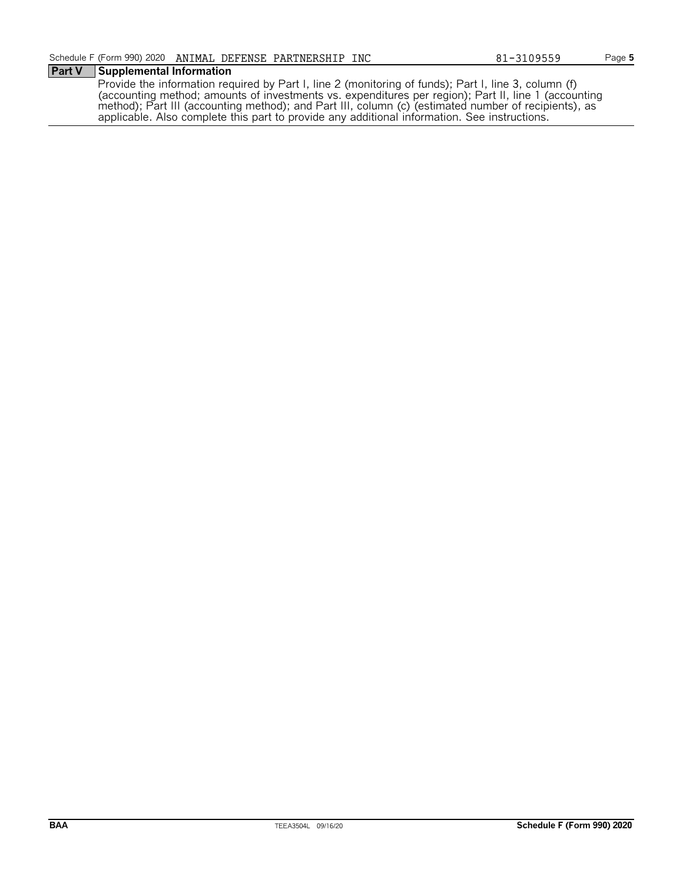#### **Part V Supplemental Information**

Provide the information required by Part I, line 2 (monitoring of funds); Part I, line 3, column (f) (accounting method; amounts of investments vs. expenditures per region); Part II, line 1 (accounting method); Part III (accounting method); and Part III, column (c) (estimated number of recipients), as applicable. Also complete this part to provide any additional information. See instructions.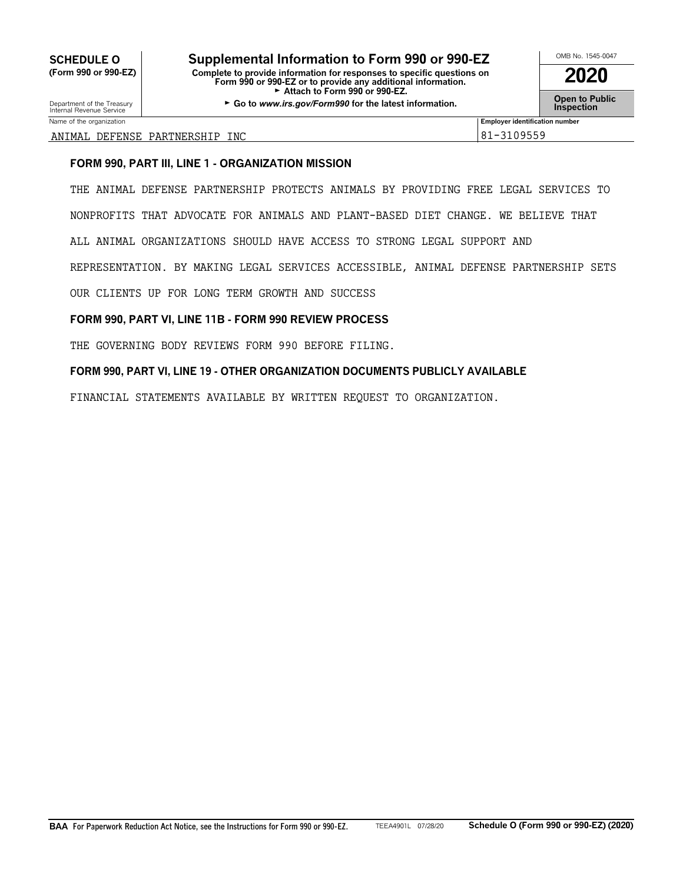# **CHEDULE O Supplemental Information to Form 990 or 990-EZ** <br>
Complete to provide information for responses to specific questions on **20020**

**(Form 990 or 990-EZ) Complete to provide information for responses to specific questions on Form 990 or 990-EZ or to provide any additional information. 2020** ► Attach to Form 990 or 990-EZ.

**Open to Public** Department of the Treasury General Revenue Service<br>
Internal Revenue Service **Inspection**<br>
Inspection

Name of the organization **Employer identification numbers Employer identification numbers Employer identification numbers** 

ANIMAL DEFENSE PARTNERSHIP INC 81-3109559

#### **FORM 990, PART III, LINE 1 - ORGANIZATION MISSION**

THE ANIMAL DEFENSE PARTNERSHIP PROTECTS ANIMALS BY PROVIDING FREE LEGAL SERVICES TO

NONPROFITS THAT ADVOCATE FOR ANIMALS AND PLANT-BASED DIET CHANGE. WE BELIEVE THAT

ALL ANIMAL ORGANIZATIONS SHOULD HAVE ACCESS TO STRONG LEGAL SUPPORT AND

REPRESENTATION. BY MAKING LEGAL SERVICES ACCESSIBLE, ANIMAL DEFENSE PARTNERSHIP SETS

OUR CLIENTS UP FOR LONG TERM GROWTH AND SUCCESS

#### **FORM 990, PART VI, LINE 11B - FORM 990 REVIEW PROCESS**

THE GOVERNING BODY REVIEWS FORM 990 BEFORE FILING.

#### **FORM 990, PART VI, LINE 19 - OTHER ORGANIZATION DOCUMENTS PUBLICLY AVAILABLE**

FINANCIAL STATEMENTS AVAILABLE BY WRITTEN REQUEST TO ORGANIZATION.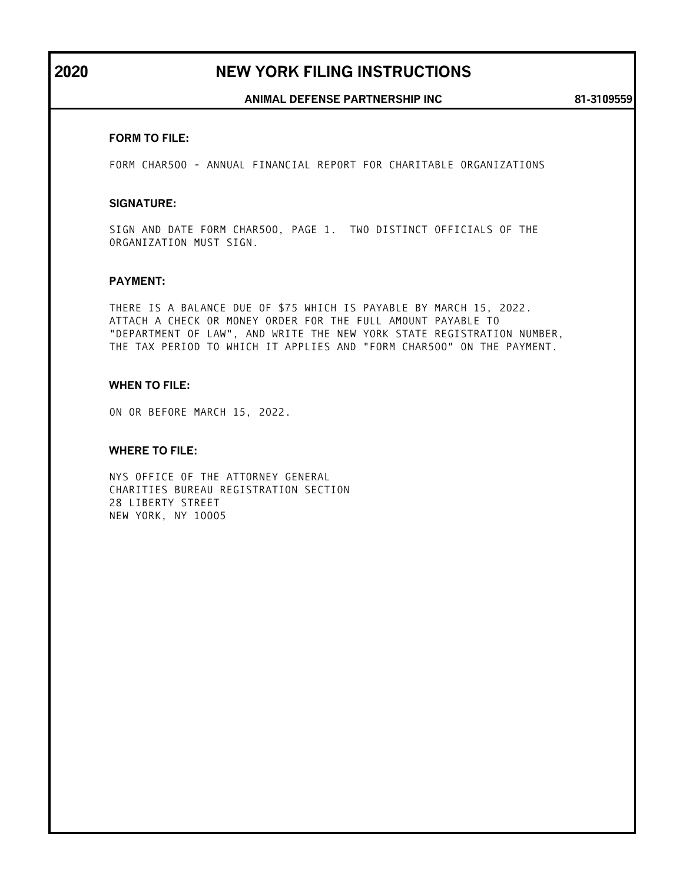## **2020 NEW YORK FILING INSTRUCTIONS**

#### **ANIMAL DEFENSE PARTNERSHIP INC 81-3109559**

#### **FORM TO FILE:**

FORM CHAR500 - ANNUAL FINANCIAL REPORT FOR CHARITABLE ORGANIZATIONS

#### **SIGNATURE:**

SIGN AND DATE FORM CHAR500, PAGE 1. TWO DISTINCT OFFICIALS OF THE ORGANIZATION MUST SIGN.

#### **PAYMENT:**

THERE IS A BALANCE DUE OF \$75 WHICH IS PAYABLE BY MARCH 15, 2022. ATTACH A CHECK OR MONEY ORDER FOR THE FULL AMOUNT PAYABLE TO "DEPARTMENT OF LAW", AND WRITE THE NEW YORK STATE REGISTRATION NUMBER, THE TAX PERIOD TO WHICH IT APPLIES AND "FORM CHAR500" ON THE PAYMENT.

#### **WHEN TO FILE:**

ON OR BEFORE MARCH 15, 2022.

#### **WHERE TO FILE:**

NYS OFFICE OF THE ATTORNEY GENERAL CHARITIES BUREAU REGISTRATION SECTION 28 LIBERTY STREET NEW YORK, NY 10005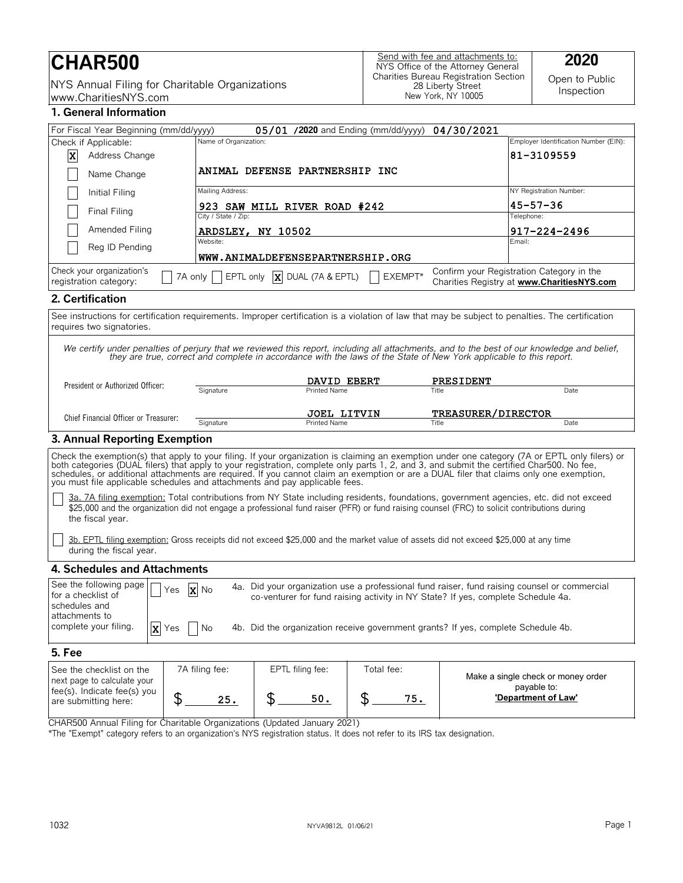NYS Annual Filing for Charitable Organizations and Charities Bureau Registration Section Open to Public New York, NY 10005

| 1. General Information |
|------------------------|
|                        |

| i. General information                                                                                                                                                                                                                                                                                                                                                                                                                                                                                                |                                                                                                                     |                         |                                                                                                                                                   |  |  |
|-----------------------------------------------------------------------------------------------------------------------------------------------------------------------------------------------------------------------------------------------------------------------------------------------------------------------------------------------------------------------------------------------------------------------------------------------------------------------------------------------------------------------|---------------------------------------------------------------------------------------------------------------------|-------------------------|---------------------------------------------------------------------------------------------------------------------------------------------------|--|--|
| 04/30/2021<br>For Fiscal Year Beginning (mm/dd/yyyy)<br>05/01 /2020 and Ending (mm/dd/yyyy)                                                                                                                                                                                                                                                                                                                                                                                                                           |                                                                                                                     |                         |                                                                                                                                                   |  |  |
| Check if Applicable:                                                                                                                                                                                                                                                                                                                                                                                                                                                                                                  | Name of Organization:                                                                                               |                         | Employer Identification Number (EIN):                                                                                                             |  |  |
| x<br>Address Change                                                                                                                                                                                                                                                                                                                                                                                                                                                                                                   |                                                                                                                     |                         | 81-3109559                                                                                                                                        |  |  |
| Name Change                                                                                                                                                                                                                                                                                                                                                                                                                                                                                                           | ANIMAL DEFENSE PARTNERSHIP INC                                                                                      |                         |                                                                                                                                                   |  |  |
| Initial Filing                                                                                                                                                                                                                                                                                                                                                                                                                                                                                                        | Mailing Address:                                                                                                    |                         | NY Registration Number:                                                                                                                           |  |  |
| <b>Final Filing</b>                                                                                                                                                                                                                                                                                                                                                                                                                                                                                                   | 923 SAW MILL RIVER ROAD #242                                                                                        |                         | $45 - 57 - 36$                                                                                                                                    |  |  |
|                                                                                                                                                                                                                                                                                                                                                                                                                                                                                                                       | City / State / Zip:                                                                                                 |                         | Telephone:                                                                                                                                        |  |  |
| Amended Filing                                                                                                                                                                                                                                                                                                                                                                                                                                                                                                        | ARDSLEY, NY 10502                                                                                                   |                         | $917 - 224 - 2496$                                                                                                                                |  |  |
| Reg ID Pending                                                                                                                                                                                                                                                                                                                                                                                                                                                                                                        | Website:                                                                                                            |                         | Email:                                                                                                                                            |  |  |
|                                                                                                                                                                                                                                                                                                                                                                                                                                                                                                                       | WWW.ANIMALDEFENSEPARTNERSHIP.ORG                                                                                    |                         |                                                                                                                                                   |  |  |
| Check your organization's<br>registration category:                                                                                                                                                                                                                                                                                                                                                                                                                                                                   | 7A only<br>EPTL only $X$ DUAL (7A & EPTL)                                                                           | EXEMPT*                 | Confirm your Registration Category in the<br>Charities Registry at www.CharitiesNYS.com                                                           |  |  |
| 2. Certification                                                                                                                                                                                                                                                                                                                                                                                                                                                                                                      |                                                                                                                     |                         |                                                                                                                                                   |  |  |
|                                                                                                                                                                                                                                                                                                                                                                                                                                                                                                                       |                                                                                                                     |                         | See instructions for certification requirements. Improper certification is a violation of law that may be subject to penalties. The certification |  |  |
| requires two signatories.                                                                                                                                                                                                                                                                                                                                                                                                                                                                                             |                                                                                                                     |                         |                                                                                                                                                   |  |  |
|                                                                                                                                                                                                                                                                                                                                                                                                                                                                                                                       | they are true, correct and complete in accordance with the laws of the State of New York applicable to this report. |                         | We certify under penalties of perjury that we reviewed this report, including all attachments, and to the best of our knowledge and belief,       |  |  |
|                                                                                                                                                                                                                                                                                                                                                                                                                                                                                                                       |                                                                                                                     |                         |                                                                                                                                                   |  |  |
| President or Authorized Officer:                                                                                                                                                                                                                                                                                                                                                                                                                                                                                      | DAVID EBERT<br>Signature<br><b>Printed Name</b>                                                                     | Title                   | PRESIDENT<br>Date                                                                                                                                 |  |  |
|                                                                                                                                                                                                                                                                                                                                                                                                                                                                                                                       |                                                                                                                     |                         |                                                                                                                                                   |  |  |
| Chief Financial Officer or Treasurer:                                                                                                                                                                                                                                                                                                                                                                                                                                                                                 | JOEL LITVIN                                                                                                         |                         | <b>TREASURER/DIRECTOR</b>                                                                                                                         |  |  |
|                                                                                                                                                                                                                                                                                                                                                                                                                                                                                                                       | Signature<br><b>Printed Name</b>                                                                                    | Title                   | Date                                                                                                                                              |  |  |
| 3. Annual Reporting Exemption                                                                                                                                                                                                                                                                                                                                                                                                                                                                                         |                                                                                                                     |                         |                                                                                                                                                   |  |  |
| Check the exemption(s) that apply to your filing. If your organization is claiming an exemption under one category (7A or EPTL only filers) or<br>both categories (DUAL filers) that apply to your registration, complete only parts 1, 2, and 3, and submit the certified Char500. No fee,<br>schedules, or additional attachments are required. If you cannot claim an exemption or are a DUAL filer that claims only one exemption,<br>you must file applicable schedules and attachments and pay applicable fees. |                                                                                                                     |                         |                                                                                                                                                   |  |  |
| 3a. 7A filing exemption: Total contributions from NY State including residents, foundations, government agencies, etc. did not exceed<br>\$25,000 and the organization did not engage a professional fund raiser (PFR) or fund raising counsel (FRC) to solicit contributions during<br>the fiscal year.                                                                                                                                                                                                              |                                                                                                                     |                         |                                                                                                                                                   |  |  |
| 3b. EPTL filing exemption: Gross receipts did not exceed \$25,000 and the market value of assets did not exceed \$25,000 at any time<br>during the fiscal year.                                                                                                                                                                                                                                                                                                                                                       |                                                                                                                     |                         |                                                                                                                                                   |  |  |
| 4. Schedules and Attachments                                                                                                                                                                                                                                                                                                                                                                                                                                                                                          |                                                                                                                     |                         |                                                                                                                                                   |  |  |
| See the following page<br>4a. Did your organization use a professional fund raiser, fund raising counsel or commercial<br>X No<br>Yes<br>for a checklist of<br>co-venturer for fund raising activity in NY State? If yes, complete Schedule 4a.<br>schedules and<br>attachments to<br>complete your filing.<br>X Yes<br><b>No</b><br>4b. Did the organization receive government grants? If yes, complete Schedule 4b.                                                                                                |                                                                                                                     |                         |                                                                                                                                                   |  |  |
| 5. Fee                                                                                                                                                                                                                                                                                                                                                                                                                                                                                                                |                                                                                                                     |                         |                                                                                                                                                   |  |  |
| See the checklist on the<br>next page to calculate your<br>fee(s). Indicate fee(s) you<br>\$<br>are submitting here:                                                                                                                                                                                                                                                                                                                                                                                                  | 7A filing fee:<br>EPTL filing fee:<br>\$<br><u>50.</u><br>25.                                                       | Total fee:<br>\$<br>75. | Make a single check or money order<br>payable to:<br>'Department of Law'                                                                          |  |  |

CHAR500 Annual Filing for Charitable Organizations (Updated January 2021)

\*The "Exempt" category refers to an organization's NYS registration status. It does not refer to its IRS tax designation.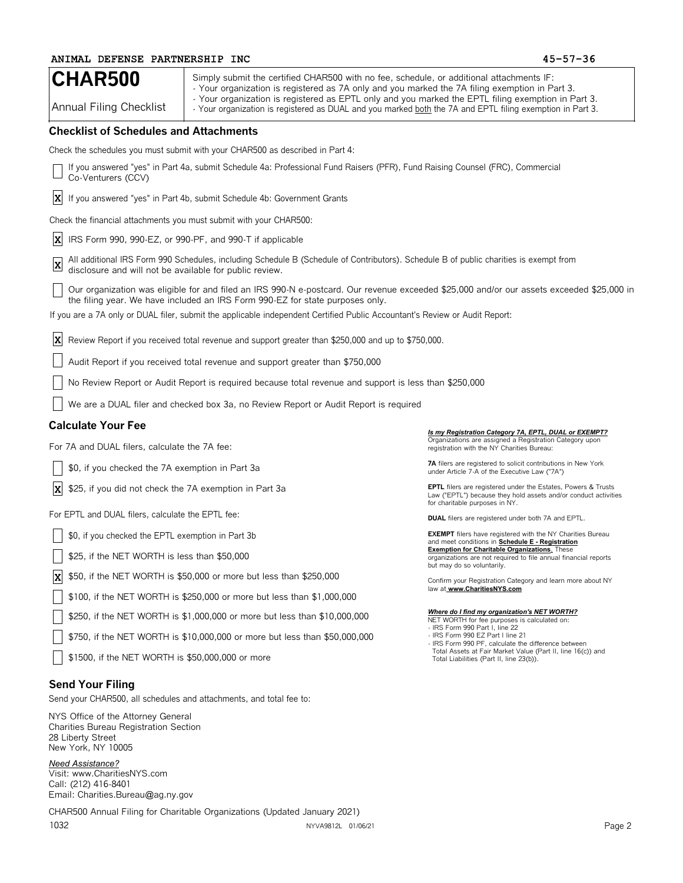#### ANIMAL DEFENSE PARTNERSHIP INC 600 and 15-57-36

| <b>CHAR500</b>                                                                     | Simply submit the certified CHAR500 with no fee, schedule, or additional attachments IF:<br>- Your organization is registered as 7A only and you marked the 7A filing exemption in Part 3.<br>- Your organization is registered as EPTL only and you marked the EPTL filing exemption in Part 3. |                                                                                                                                                                    |  |
|------------------------------------------------------------------------------------|--------------------------------------------------------------------------------------------------------------------------------------------------------------------------------------------------------------------------------------------------------------------------------------------------|--------------------------------------------------------------------------------------------------------------------------------------------------------------------|--|
| Annual Filing Checklist                                                            | - Your organization is registered as DUAL and you marked both the 7A and EPTL filing exemption in Part 3.                                                                                                                                                                                        |                                                                                                                                                                    |  |
| <b>Checklist of Schedules and Attachments</b>                                      |                                                                                                                                                                                                                                                                                                  |                                                                                                                                                                    |  |
|                                                                                    | Check the schedules you must submit with your CHAR500 as described in Part 4:                                                                                                                                                                                                                    |                                                                                                                                                                    |  |
| Co-Venturers (CCV)                                                                 | If you answered "yes" in Part 4a, submit Schedule 4a: Professional Fund Raisers (PFR), Fund Raising Counsel (FRC), Commercial                                                                                                                                                                    |                                                                                                                                                                    |  |
| ΙX                                                                                 | If you answered "yes" in Part 4b, submit Schedule 4b: Government Grants                                                                                                                                                                                                                          |                                                                                                                                                                    |  |
| Check the financial attachments you must submit with your CHAR500:                 |                                                                                                                                                                                                                                                                                                  |                                                                                                                                                                    |  |
| X                                                                                  | IRS Form 990, 990-EZ, or 990-PF, and 990-T if applicable                                                                                                                                                                                                                                         |                                                                                                                                                                    |  |
| $\overline{\mathbf{x}}$<br>disclosure and will not be available for public review. | All additional IRS Form 990 Schedules, including Schedule B (Schedule of Contributors). Schedule B of public charities is exempt from                                                                                                                                                            |                                                                                                                                                                    |  |
|                                                                                    | Our organization was eligible for and filed an IRS 990-N e-postcard. Our revenue exceeded \$25,000 and/or our assets exceeded \$25,000 in<br>the filing year. We have included an IRS Form 990-EZ for state purposes only.                                                                       |                                                                                                                                                                    |  |
|                                                                                    | If you are a 7A only or DUAL filer, submit the applicable independent Certified Public Accountant's Review or Audit Report:                                                                                                                                                                      |                                                                                                                                                                    |  |
| x                                                                                  | Review Report if you received total revenue and support greater than \$250,000 and up to \$750,000.                                                                                                                                                                                              |                                                                                                                                                                    |  |
|                                                                                    | Audit Report if you received total revenue and support greater than \$750,000                                                                                                                                                                                                                    |                                                                                                                                                                    |  |
|                                                                                    | No Review Report or Audit Report is required because total revenue and support is less than \$250,000                                                                                                                                                                                            |                                                                                                                                                                    |  |
|                                                                                    | We are a DUAL filer and checked box 3a, no Review Report or Audit Report is required                                                                                                                                                                                                             |                                                                                                                                                                    |  |
| <b>Calculate Your Fee</b>                                                          |                                                                                                                                                                                                                                                                                                  | Is my Registration Category 7A, EPTL, DUAL or EXEMPT?                                                                                                              |  |
| For 7A and DUAL filers, calculate the 7A fee:                                      |                                                                                                                                                                                                                                                                                                  | Organizations are assigned a Registration Category upon<br>registration with the NY Charities Bureau:                                                              |  |
| \$0, if you checked the 7A exemption in Part 3a                                    |                                                                                                                                                                                                                                                                                                  | <b>7A</b> filers are registered to solicit contributions in New York<br>under Article 7-A of the Executive Law ("7A")                                              |  |
| \$25, if you did not check the 7A exemption in Part 3a<br>X                        |                                                                                                                                                                                                                                                                                                  | EPTL filers are registered under the Estates, Powers & Trusts<br>Law ("EPTL") because they hold assets and/or conduct activities<br>for charitable purposes in NY. |  |
| For EPTL and DUAL filers, calculate the EPTL fee:                                  |                                                                                                                                                                                                                                                                                                  | <b>DUAL</b> filers are registered under both 7A and EPTL.                                                                                                          |  |
| \$0, if you checked the EPTL exemption in Part 3b                                  |                                                                                                                                                                                                                                                                                                  | <b>EXEMPT</b> filers have registered with the NY Charities Bureau<br>and meet conditions in <b>Schedule E - Registration</b>                                       |  |
| \$25, if the NET WORTH is less than \$50,000                                       |                                                                                                                                                                                                                                                                                                  | <b>Exemption for Charitable Organizations.</b> These<br>organizations are not required to file annual financial reports<br>but may do so voluntarily.              |  |
| X                                                                                  | \$50, if the NET WORTH is \$50,000 or more but less than \$250,000                                                                                                                                                                                                                               | Confirm your Registration Category and learn more about NY<br>law at_www.CharitiesNYS.com                                                                          |  |
|                                                                                    | \$100, if the NET WORTH is \$250,000 or more but less than \$1,000,000                                                                                                                                                                                                                           |                                                                                                                                                                    |  |
|                                                                                    | \$250, if the NET WORTH is \$1,000,000 or more but less than \$10,000,000                                                                                                                                                                                                                        | Where do I find my organization's NET WORTH?<br>NET WORTH for fee purposes is calculated on:<br>- IRS Form 990 Part I, line 22                                     |  |
|                                                                                    | \$750, if the NET WORTH is \$10,000,000 or more but less than \$50,000,000                                                                                                                                                                                                                       | - IRS Form 990 EZ Part I line 21<br>- IRS Form 990 PF, calculate the difference between                                                                            |  |
| \$1500, if the NET WORTH is \$50,000,000 or more                                   |                                                                                                                                                                                                                                                                                                  | Total Assets at Fair Market Value (Part II, line 16(c)) and<br>Total Liabilities (Part II, line 23(b)).                                                            |  |

### **Send Your Filing**

Send your CHAR500, all schedules and attachments, and total fee to:

NYS Office of the Attorney General Charities Bureau Registration Section 28 Liberty Street New York, NY 10005

*Need Assistance?* Visit: www.CharitiesNYS.com Call: (212) 416-8401 Email: Charities.Bureau@ag.ny.gov

CHAR500 Annual Filing for Charitable Organizations (Updated January 2021) 1032 **NYVA9812L 01/06/21 NYVA9812L 01/06/21 Page 2**